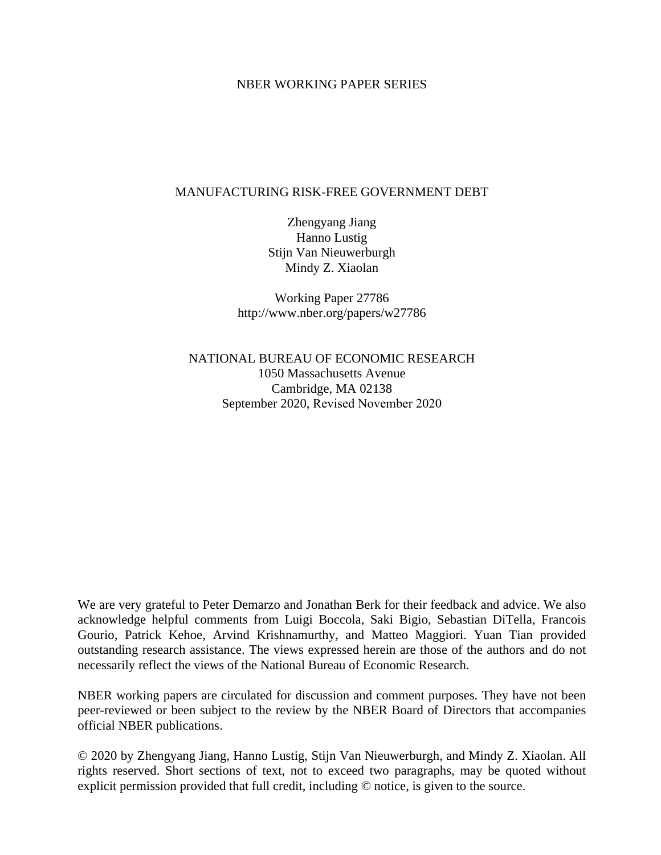# NBER WORKING PAPER SERIES

# MANUFACTURING RISK-FREE GOVERNMENT DEBT

Zhengyang Jiang Hanno Lustig Stijn Van Nieuwerburgh Mindy Z. Xiaolan

Working Paper 27786 http://www.nber.org/papers/w27786

NATIONAL BUREAU OF ECONOMIC RESEARCH 1050 Massachusetts Avenue Cambridge, MA 02138 September 2020, Revised November 2020

We are very grateful to Peter Demarzo and Jonathan Berk for their feedback and advice. We also acknowledge helpful comments from Luigi Boccola, Saki Bigio, Sebastian DiTella, Francois Gourio, Patrick Kehoe, Arvind Krishnamurthy, and Matteo Maggiori. Yuan Tian provided outstanding research assistance. The views expressed herein are those of the authors and do not necessarily reflect the views of the National Bureau of Economic Research.

NBER working papers are circulated for discussion and comment purposes. They have not been peer-reviewed or been subject to the review by the NBER Board of Directors that accompanies official NBER publications.

© 2020 by Zhengyang Jiang, Hanno Lustig, Stijn Van Nieuwerburgh, and Mindy Z. Xiaolan. All rights reserved. Short sections of text, not to exceed two paragraphs, may be quoted without explicit permission provided that full credit, including © notice, is given to the source.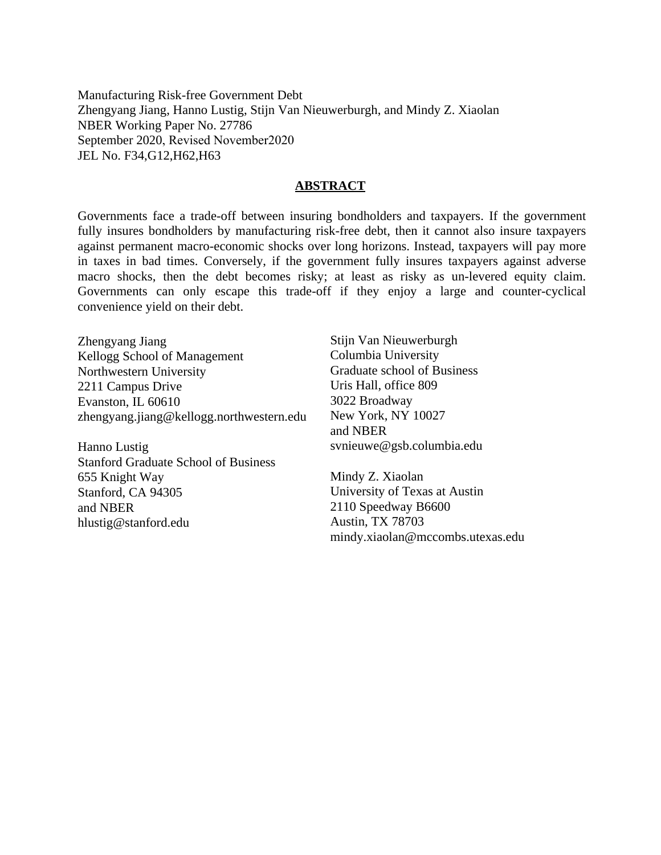Manufacturing Risk-free Government Debt Zhengyang Jiang, Hanno Lustig, Stijn Van Nieuwerburgh, and Mindy Z. Xiaolan NBER Working Paper No. 27786 September 2020, Revised November2020 JEL No. F34,G12,H62,H63

# **ABSTRACT**

Governments face a trade-off between insuring bondholders and taxpayers. If the government fully insures bondholders by manufacturing risk-free debt, then it cannot also insure taxpayers against permanent macro-economic shocks over long horizons. Instead, taxpayers will pay more in taxes in bad times. Conversely, if the government fully insures taxpayers against adverse macro shocks, then the debt becomes risky; at least as risky as un-levered equity claim. Governments can only escape this trade-off if they enjoy a large and counter-cyclical convenience yield on their debt.

Zhengyang Jiang Kellogg School of Management Northwestern University 2211 Campus Drive Evanston, IL 60610 zhengyang.jiang@kellogg.northwestern.edu

Hanno Lustig Stanford Graduate School of Business 655 Knight Way Stanford, CA 94305 and NBER hlustig@stanford.edu

Stijn Van Nieuwerburgh Columbia University Graduate school of Business Uris Hall, office 809 3022 Broadway New York, NY 10027 and NBER svnieuwe@gsb.columbia.edu

Mindy Z. Xiaolan University of Texas at Austin 2110 Speedway B6600 Austin, TX 78703 mindy.xiaolan@mccombs.utexas.edu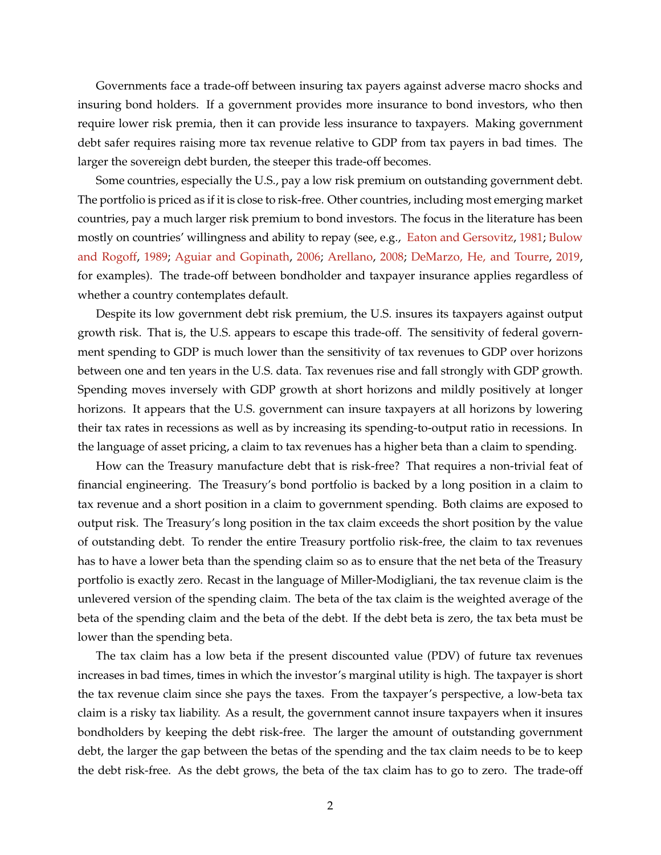Governments face a trade-off between insuring tax payers against adverse macro shocks and insuring bond holders. If a government provides more insurance to bond investors, who then require lower risk premia, then it can provide less insurance to taxpayers. Making government debt safer requires raising more tax revenue relative to GDP from tax payers in bad times. The larger the sovereign debt burden, the steeper this trade-off becomes.

Some countries, especially the U.S., pay a low risk premium on outstanding government debt. The portfolio is priced as if it is close to risk-free. Other countries, including most emerging market countries, pay a much larger risk premium to bond investors. The focus in the literature has been mostly on countries' willingness and ability to repay (see, e.g., [Eaton and Gersovitz,](#page-38-0) [1981;](#page-38-0) [Bulow](#page-37-0) [and Rogoff,](#page-37-0) [1989;](#page-37-0) [Aguiar and Gopinath,](#page-36-0) [2006;](#page-36-0) [Arellano,](#page-36-1) [2008;](#page-36-1) [DeMarzo, He, and Tourre,](#page-38-1) [2019,](#page-38-1) for examples). The trade-off between bondholder and taxpayer insurance applies regardless of whether a country contemplates default.

Despite its low government debt risk premium, the U.S. insures its taxpayers against output growth risk. That is, the U.S. appears to escape this trade-off. The sensitivity of federal government spending to GDP is much lower than the sensitivity of tax revenues to GDP over horizons between one and ten years in the U.S. data. Tax revenues rise and fall strongly with GDP growth. Spending moves inversely with GDP growth at short horizons and mildly positively at longer horizons. It appears that the U.S. government can insure taxpayers at all horizons by lowering their tax rates in recessions as well as by increasing its spending-to-output ratio in recessions. In the language of asset pricing, a claim to tax revenues has a higher beta than a claim to spending.

How can the Treasury manufacture debt that is risk-free? That requires a non-trivial feat of financial engineering. The Treasury's bond portfolio is backed by a long position in a claim to tax revenue and a short position in a claim to government spending. Both claims are exposed to output risk. The Treasury's long position in the tax claim exceeds the short position by the value of outstanding debt. To render the entire Treasury portfolio risk-free, the claim to tax revenues has to have a lower beta than the spending claim so as to ensure that the net beta of the Treasury portfolio is exactly zero. Recast in the language of Miller-Modigliani, the tax revenue claim is the unlevered version of the spending claim. The beta of the tax claim is the weighted average of the beta of the spending claim and the beta of the debt. If the debt beta is zero, the tax beta must be lower than the spending beta.

The tax claim has a low beta if the present discounted value (PDV) of future tax revenues increases in bad times, times in which the investor's marginal utility is high. The taxpayer is short the tax revenue claim since she pays the taxes. From the taxpayer's perspective, a low-beta tax claim is a risky tax liability. As a result, the government cannot insure taxpayers when it insures bondholders by keeping the debt risk-free. The larger the amount of outstanding government debt, the larger the gap between the betas of the spending and the tax claim needs to be to keep the debt risk-free. As the debt grows, the beta of the tax claim has to go to zero. The trade-off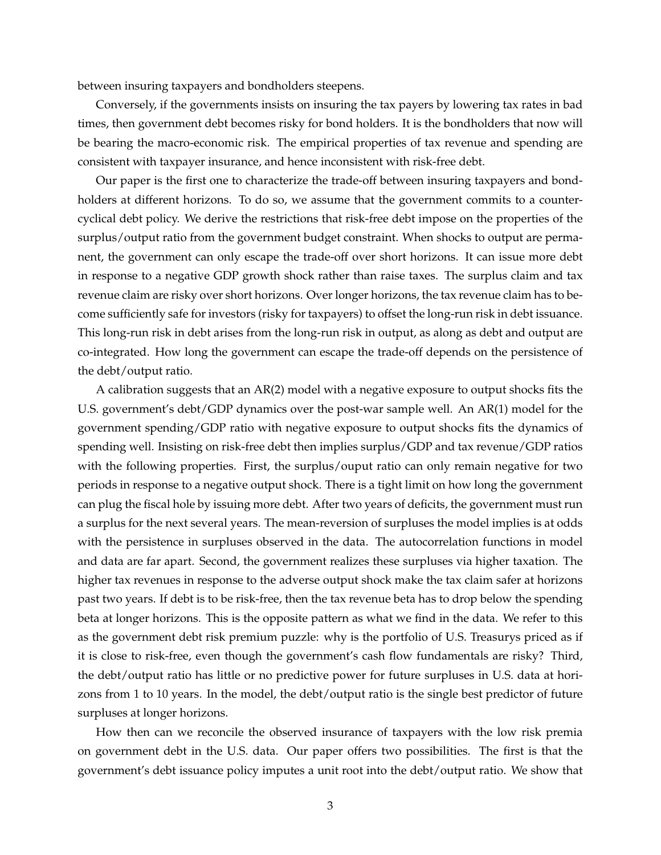between insuring taxpayers and bondholders steepens.

Conversely, if the governments insists on insuring the tax payers by lowering tax rates in bad times, then government debt becomes risky for bond holders. It is the bondholders that now will be bearing the macro-economic risk. The empirical properties of tax revenue and spending are consistent with taxpayer insurance, and hence inconsistent with risk-free debt.

Our paper is the first one to characterize the trade-off between insuring taxpayers and bondholders at different horizons. To do so, we assume that the government commits to a countercyclical debt policy. We derive the restrictions that risk-free debt impose on the properties of the surplus/output ratio from the government budget constraint. When shocks to output are permanent, the government can only escape the trade-off over short horizons. It can issue more debt in response to a negative GDP growth shock rather than raise taxes. The surplus claim and tax revenue claim are risky over short horizons. Over longer horizons, the tax revenue claim has to become sufficiently safe for investors (risky for taxpayers) to offset the long-run risk in debt issuance. This long-run risk in debt arises from the long-run risk in output, as along as debt and output are co-integrated. How long the government can escape the trade-off depends on the persistence of the debt/output ratio.

A calibration suggests that an AR(2) model with a negative exposure to output shocks fits the U.S. government's debt/GDP dynamics over the post-war sample well. An AR(1) model for the government spending/GDP ratio with negative exposure to output shocks fits the dynamics of spending well. Insisting on risk-free debt then implies surplus/GDP and tax revenue/GDP ratios with the following properties. First, the surplus/ouput ratio can only remain negative for two periods in response to a negative output shock. There is a tight limit on how long the government can plug the fiscal hole by issuing more debt. After two years of deficits, the government must run a surplus for the next several years. The mean-reversion of surpluses the model implies is at odds with the persistence in surpluses observed in the data. The autocorrelation functions in model and data are far apart. Second, the government realizes these surpluses via higher taxation. The higher tax revenues in response to the adverse output shock make the tax claim safer at horizons past two years. If debt is to be risk-free, then the tax revenue beta has to drop below the spending beta at longer horizons. This is the opposite pattern as what we find in the data. We refer to this as the government debt risk premium puzzle: why is the portfolio of U.S. Treasurys priced as if it is close to risk-free, even though the government's cash flow fundamentals are risky? Third, the debt/output ratio has little or no predictive power for future surpluses in U.S. data at horizons from 1 to 10 years. In the model, the debt/output ratio is the single best predictor of future surpluses at longer horizons.

How then can we reconcile the observed insurance of taxpayers with the low risk premia on government debt in the U.S. data. Our paper offers two possibilities. The first is that the government's debt issuance policy imputes a unit root into the debt/output ratio. We show that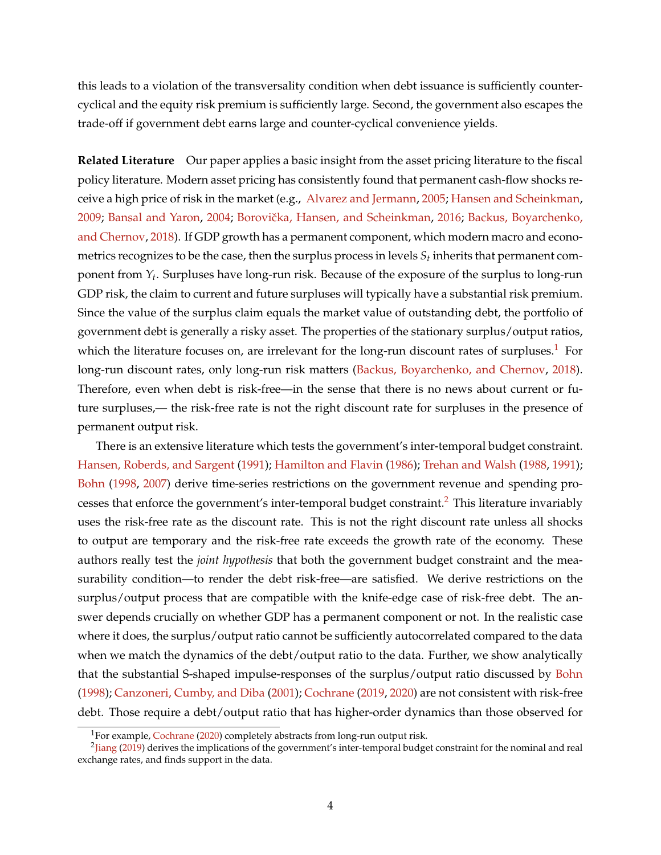this leads to a violation of the transversality condition when debt issuance is sufficiently countercyclical and the equity risk premium is sufficiently large. Second, the government also escapes the trade-off if government debt earns large and counter-cyclical convenience yields.

**Related Literature** Our paper applies a basic insight from the asset pricing literature to the fiscal policy literature. Modern asset pricing has consistently found that permanent cash-flow shocks receive a high price of risk in the market (e.g., [Alvarez and Jermann,](#page-36-2) [2005;](#page-36-2) [Hansen and Scheinkman,](#page-38-2) [2009;](#page-38-2) [Bansal and Yaron,](#page-36-3) [2004;](#page-36-3) Borovička, Hansen, and Scheinkman, [2016;](#page-37-1) [Backus, Boyarchenko,](#page-36-4) [and Chernov,](#page-36-4) [2018\)](#page-36-4). If GDP growth has a permanent component, which modern macro and econometrics recognizes to be the case, then the surplus process in levels  $S_t$  inherits that permanent component from *Y<sup>t</sup>* . Surpluses have long-run risk. Because of the exposure of the surplus to long-run GDP risk, the claim to current and future surpluses will typically have a substantial risk premium. Since the value of the surplus claim equals the market value of outstanding debt, the portfolio of government debt is generally a risky asset. The properties of the stationary surplus/output ratios, which the literature focuses on, are irrelevant for the long-run discount rates of surpluses. $1$  For long-run discount rates, only long-run risk matters [\(Backus, Boyarchenko, and Chernov,](#page-36-4) [2018\)](#page-36-4). Therefore, even when debt is risk-free—in the sense that there is no news about current or future surpluses,— the risk-free rate is not the right discount rate for surpluses in the presence of permanent output risk.

There is an extensive literature which tests the government's inter-temporal budget constraint. [Hansen, Roberds, and Sargent](#page-38-3) [\(1991\)](#page-38-3); [Hamilton and Flavin](#page-38-4) [\(1986\)](#page-38-4); [Trehan and Walsh](#page-39-0) [\(1988,](#page-39-0) [1991\)](#page-39-1); [Bohn](#page-37-2) [\(1998,](#page-37-2) [2007\)](#page-37-3) derive time-series restrictions on the government revenue and spending pro-cesses that enforce the government's inter-temporal budget constraint.<sup>[2](#page-4-1)</sup> This literature invariably uses the risk-free rate as the discount rate. This is not the right discount rate unless all shocks to output are temporary and the risk-free rate exceeds the growth rate of the economy. These authors really test the *joint hypothesis* that both the government budget constraint and the measurability condition—to render the debt risk-free—are satisfied. We derive restrictions on the surplus/output process that are compatible with the knife-edge case of risk-free debt. The answer depends crucially on whether GDP has a permanent component or not. In the realistic case where it does, the surplus/output ratio cannot be sufficiently autocorrelated compared to the data when we match the dynamics of the debt/output ratio to the data. Further, we show analytically that the substantial S-shaped impulse-responses of the surplus/output ratio discussed by [Bohn](#page-37-2) [\(1998\)](#page-37-2); [Canzoneri, Cumby, and Diba](#page-37-4) [\(2001\)](#page-37-4); [Cochrane](#page-37-5) [\(2019,](#page-37-5) [2020\)](#page-38-5) are not consistent with risk-free debt. Those require a debt/output ratio that has higher-order dynamics than those observed for

<span id="page-4-1"></span><span id="page-4-0"></span><sup>&</sup>lt;sup>1</sup>For example, [Cochrane](#page-38-5) [\(2020\)](#page-38-5) completely abstracts from long-run output risk.

<sup>&</sup>lt;sup>2</sup>[Jiang](#page-38-6) [\(2019\)](#page-38-6) derives the implications of the government's inter-temporal budget constraint for the nominal and real exchange rates, and finds support in the data.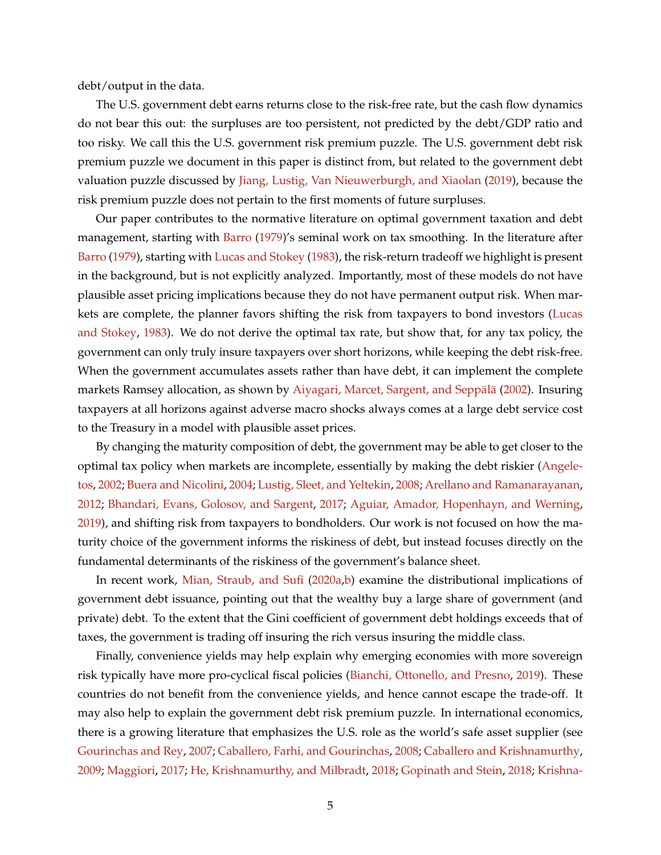debt/output in the data.

The U.S. government debt earns returns close to the risk-free rate, but the cash flow dynamics do not bear this out: the surpluses are too persistent, not predicted by the debt/GDP ratio and too risky. We call this the U.S. government risk premium puzzle. The U.S. government debt risk premium puzzle we document in this paper is distinct from, but related to the government debt valuation puzzle discussed by [Jiang, Lustig, Van Nieuwerburgh, and Xiaolan](#page-38-7) [\(2019\)](#page-38-7), because the risk premium puzzle does not pertain to the first moments of future surpluses.

Our paper contributes to the normative literature on optimal government taxation and debt management, starting with [Barro](#page-36-5) [\(1979\)](#page-36-5)'s seminal work on tax smoothing. In the literature after [Barro](#page-36-5) [\(1979\)](#page-36-5), starting with [Lucas and Stokey](#page-39-2) [\(1983\)](#page-39-2), the risk-return tradeoff we highlight is present in the background, but is not explicitly analyzed. Importantly, most of these models do not have plausible asset pricing implications because they do not have permanent output risk. When markets are complete, the planner favors shifting the risk from taxpayers to bond investors [\(Lucas](#page-39-2) [and Stokey,](#page-39-2) [1983\)](#page-39-2). We do not derive the optimal tax rate, but show that, for any tax policy, the government can only truly insure taxpayers over short horizons, while keeping the debt risk-free. When the government accumulates assets rather than have debt, it can implement the complete markets Ramsey allocation, as shown by Aiyagari, Marcet, Sargent, and Seppälä [\(2002\)](#page-36-6). Insuring taxpayers at all horizons against adverse macro shocks always comes at a large debt service cost to the Treasury in a model with plausible asset prices.

By changing the maturity composition of debt, the government may be able to get closer to the optimal tax policy when markets are incomplete, essentially by making the debt riskier [\(Angele](#page-36-7)[tos,](#page-36-7) [2002;](#page-36-7) [Buera and Nicolini,](#page-37-6) [2004;](#page-37-6) [Lustig, Sleet, and Yeltekin,](#page-39-3) [2008;](#page-39-3) [Arellano and Ramanarayanan,](#page-36-8) [2012;](#page-36-8) [Bhandari, Evans, Golosov, and Sargent,](#page-37-7) [2017;](#page-37-7) [Aguiar, Amador, Hopenhayn, and Werning,](#page-36-9) [2019\)](#page-36-9), and shifting risk from taxpayers to bondholders. Our work is not focused on how the maturity choice of the government informs the riskiness of debt, but instead focuses directly on the fundamental determinants of the riskiness of the government's balance sheet.

In recent work, [Mian, Straub, and Sufi](#page-39-4) [\(2020a](#page-39-4)[,b\)](#page-39-5) examine the distributional implications of government debt issuance, pointing out that the wealthy buy a large share of government (and private) debt. To the extent that the Gini coefficient of government debt holdings exceeds that of taxes, the government is trading off insuring the rich versus insuring the middle class.

Finally, convenience yields may help explain why emerging economies with more sovereign risk typically have more pro-cyclical fiscal policies [\(Bianchi, Ottonello, and Presno,](#page-37-8) [2019\)](#page-37-8). These countries do not benefit from the convenience yields, and hence cannot escape the trade-off. It may also help to explain the government debt risk premium puzzle. In international economics, there is a growing literature that emphasizes the U.S. role as the world's safe asset supplier (see [Gourinchas and Rey,](#page-38-8) [2007;](#page-38-8) [Caballero, Farhi, and Gourinchas,](#page-37-9) [2008;](#page-37-9) [Caballero and Krishnamurthy,](#page-37-10) [2009;](#page-37-10) [Maggiori,](#page-39-6) [2017;](#page-39-6) [He, Krishnamurthy, and Milbradt,](#page-38-9) [2018;](#page-38-9) [Gopinath and Stein,](#page-38-10) [2018;](#page-38-10) [Krishna-](#page-39-7)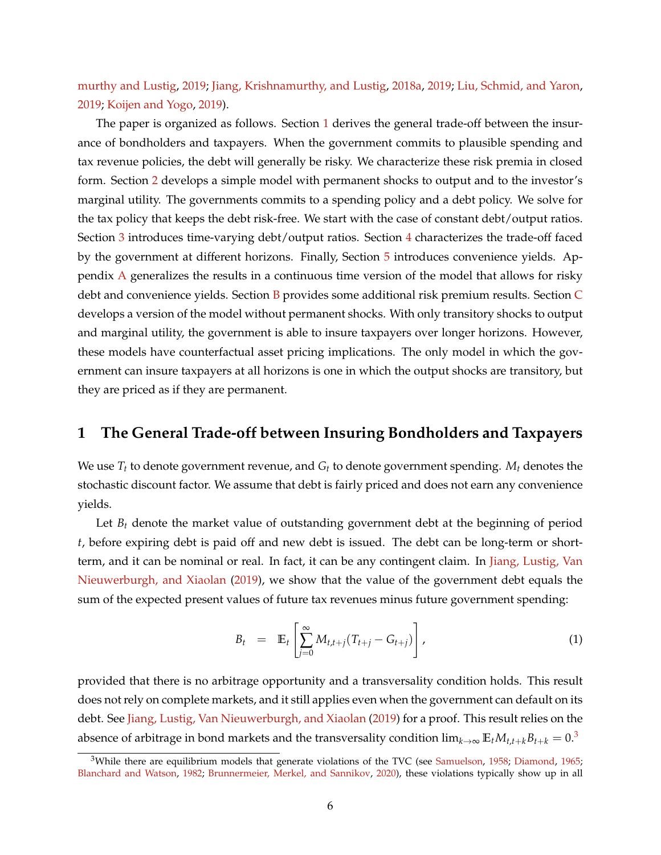[murthy and Lustig,](#page-39-7) [2019;](#page-39-7) [Jiang, Krishnamurthy, and Lustig,](#page-38-11) [2018a,](#page-38-11) [2019;](#page-38-12) [Liu, Schmid, and Yaron,](#page-39-8) [2019;](#page-39-8) [Koijen and Yogo,](#page-39-9) [2019\)](#page-39-9).

The paper is organized as follows. Section [1](#page-6-0) derives the general trade-off between the insurance of bondholders and taxpayers. When the government commits to plausible spending and tax revenue policies, the debt will generally be risky. We characterize these risk premia in closed form. Section [2](#page-11-0) develops a simple model with permanent shocks to output and to the investor's marginal utility. The governments commits to a spending policy and a debt policy. We solve for the tax policy that keeps the debt risk-free. We start with the case of constant debt/output ratios. Section [3](#page-15-0) introduces time-varying debt/output ratios. Section [4](#page-25-0) characterizes the trade-off faced by the government at different horizons. Finally, Section [5](#page-34-0) introduces convenience yields. Appendix [A](#page-40-0) generalizes the results in a continuous time version of the model that allows for risky debt and convenience yields. Section [B](#page-43-0) provides some additional risk premium results. Section [C](#page-43-1) develops a version of the model without permanent shocks. With only transitory shocks to output and marginal utility, the government is able to insure taxpayers over longer horizons. However, these models have counterfactual asset pricing implications. The only model in which the government can insure taxpayers at all horizons is one in which the output shocks are transitory, but they are priced as if they are permanent.

# <span id="page-6-0"></span>**1 The General Trade-off between Insuring Bondholders and Taxpayers**

We use *T<sup>t</sup>* to denote government revenue, and *G<sup>t</sup>* to denote government spending. *M<sup>t</sup>* denotes the stochastic discount factor. We assume that debt is fairly priced and does not earn any convenience yields.

Let  $B_t$  denote the market value of outstanding government debt at the beginning of period *t*, before expiring debt is paid off and new debt is issued. The debt can be long-term or shortterm, and it can be nominal or real. In fact, it can be any contingent claim. In [Jiang, Lustig, Van](#page-38-7) [Nieuwerburgh, and Xiaolan](#page-38-7) [\(2019\)](#page-38-7), we show that the value of the government debt equals the sum of the expected present values of future tax revenues minus future government spending:

<span id="page-6-2"></span>
$$
B_t = \mathbb{E}_t \left[ \sum_{j=0}^{\infty} M_{t,t+j} (T_{t+j} - G_{t+j}) \right], \qquad (1)
$$

provided that there is no arbitrage opportunity and a transversality condition holds. This result does not rely on complete markets, and it still applies even when the government can default on its debt. See [Jiang, Lustig, Van Nieuwerburgh, and Xiaolan](#page-38-7) [\(2019\)](#page-38-7) for a proof. This result relies on the absence of arbitrage in bond markets and the transversality condition  $\lim_{k\to\infty} \mathbb{E}_t M_{t,t+k} B_{t+k} = 0.3$  $\lim_{k\to\infty} \mathbb{E}_t M_{t,t+k} B_{t+k} = 0.3$ 

<span id="page-6-1"></span> $3$ While there are equilibrium models that generate violations of the TVC (see [Samuelson,](#page-39-10) [1958;](#page-39-10) [Diamond,](#page-38-13) [1965;](#page-38-13) [Blanchard and Watson,](#page-37-11) [1982;](#page-37-11) [Brunnermeier, Merkel, and Sannikov,](#page-37-12) [2020\)](#page-37-12), these violations typically show up in all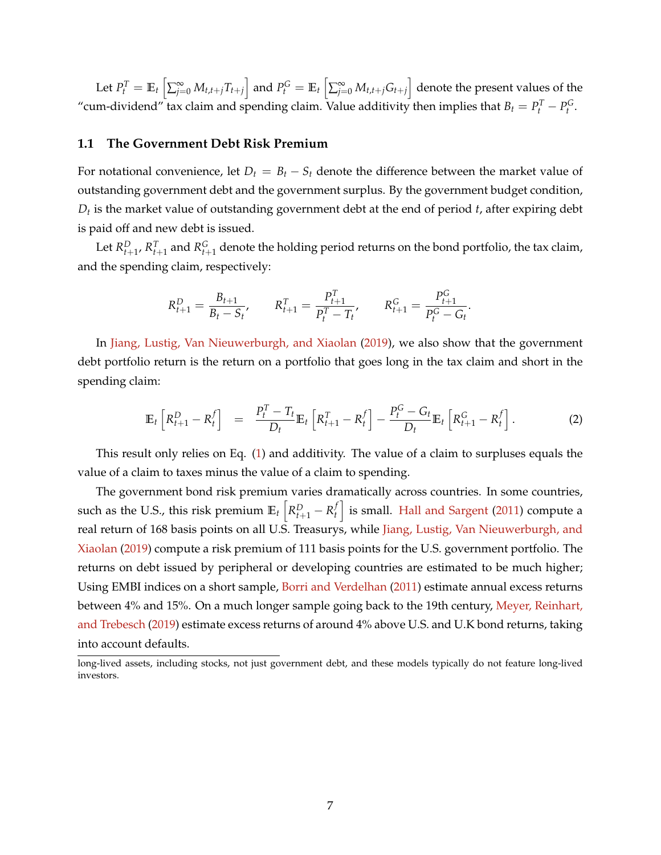Let  $P_t^T=\mathbb{E}_t\left[\sum_{j=0}^{\infty}M_{t,t+j}T_{t+j}\right]$  and  $P_t^G=\mathbb{E}_t\left[\sum_{j=0}^{\infty}M_{t,t+j}G_{t+j}\right]$  denote the present values of the "cum-dividend" tax claim and spending claim. Value additivity then implies that  $B_t = P_t^T - P_t^G$ .

## **1.1 The Government Debt Risk Premium**

For notational convenience, let  $D_t = B_t - S_t$  denote the difference between the market value of outstanding government debt and the government surplus. By the government budget condition, *Dt* is the market value of outstanding government debt at the end of period *t*, after expiring debt is paid off and new debt is issued.

Let  $R_{t+1}^D$ ,  $R_{t+1}^T$  and  $R_{t+1}^G$  denote the holding period returns on the bond portfolio, the tax claim, and the spending claim, respectively:

$$
R_{t+1}^D = \frac{B_{t+1}}{B_t - S_t}, \qquad R_{t+1}^T = \frac{P_{t+1}^T}{P_t^T - T_t}, \qquad R_{t+1}^G = \frac{P_{t+1}^G}{P_t^G - G_t}.
$$

In [Jiang, Lustig, Van Nieuwerburgh, and Xiaolan](#page-38-7) [\(2019\)](#page-38-7), we also show that the government debt portfolio return is the return on a portfolio that goes long in the tax claim and short in the spending claim:

<span id="page-7-0"></span>
$$
\mathbb{E}_t\left[R_{t+1}^D - R_t^f\right] = \frac{P_t^T - T_t}{D_t} \mathbb{E}_t\left[R_{t+1}^T - R_t^f\right] - \frac{P_t^G - G_t}{D_t} \mathbb{E}_t\left[R_{t+1}^G - R_t^f\right].
$$
 (2)

This result only relies on Eq. [\(1\)](#page-6-2) and additivity. The value of a claim to surpluses equals the value of a claim to taxes minus the value of a claim to spending.

The government bond risk premium varies dramatically across countries. In some countries, such as the U.S., this risk premium  $\mathbb{E}_t\left[R_{t+1}^D-R_t^f\right]$  $\left\{ \begin{array}{l} f \ h \end{array} \right\}$  is small. [Hall and Sargent](#page-38-14) [\(2011\)](#page-38-14) compute a real return of 168 basis points on all U.S. Treasurys, while [Jiang, Lustig, Van Nieuwerburgh, and](#page-38-7) [Xiaolan](#page-38-7) [\(2019\)](#page-38-7) compute a risk premium of 111 basis points for the U.S. government portfolio. The returns on debt issued by peripheral or developing countries are estimated to be much higher; Using EMBI indices on a short sample, [Borri and Verdelhan](#page-37-13) [\(2011\)](#page-37-13) estimate annual excess returns between 4% and 15%. On a much longer sample going back to the 19th century, [Meyer, Reinhart,](#page-39-11) [and Trebesch](#page-39-11) [\(2019\)](#page-39-11) estimate excess returns of around 4% above U.S. and U.K bond returns, taking into account defaults.

long-lived assets, including stocks, not just government debt, and these models typically do not feature long-lived investors.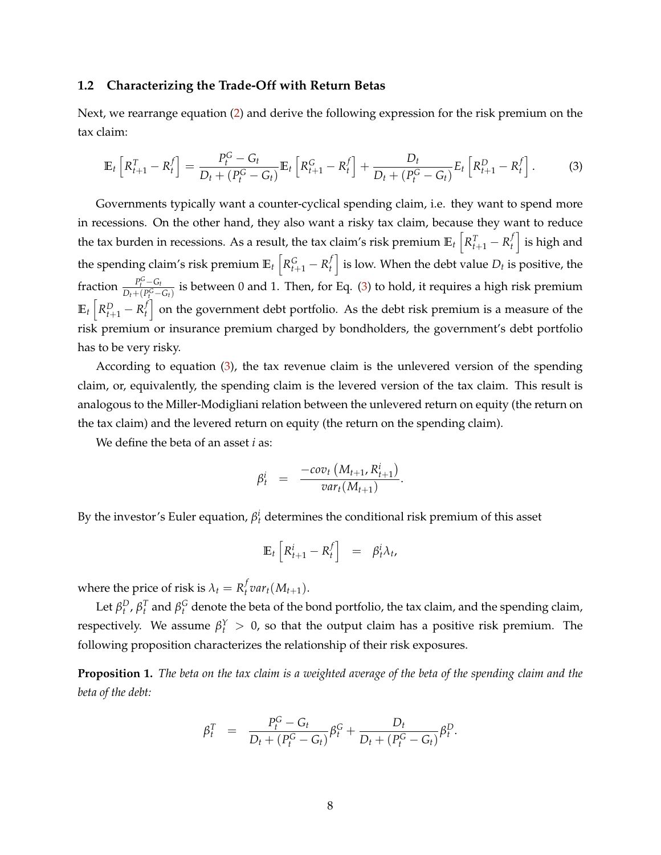## **1.2 Characterizing the Trade-Off with Return Betas**

Next, we rearrange equation [\(2\)](#page-7-0) and derive the following expression for the risk premium on the tax claim:

<span id="page-8-0"></span>
$$
\mathbb{E}_{t}\left[R_{t+1}^{T} - R_{t}^{f}\right] = \frac{P_{t}^{G} - G_{t}}{D_{t} + (P_{t}^{G} - G_{t})}\mathbb{E}_{t}\left[R_{t+1}^{G} - R_{t}^{f}\right] + \frac{D_{t}}{D_{t} + (P_{t}^{G} - G_{t})}E_{t}\left[R_{t+1}^{D} - R_{t}^{f}\right].
$$
 (3)

Governments typically want a counter-cyclical spending claim, i.e. they want to spend more in recessions. On the other hand, they also want a risky tax claim, because they want to reduce the tax burden in recessions. As a result, the tax claim's risk premium  $\mathbb{E}_t\left[R_{t+1}^T - R_t^f\right]$  $\left\{ \begin{array}{c} f \end{array} \right\}$  is high and the spending claim's risk premium  $\mathbb{E}_t\left[R_{t+1}^G-R_t^f\right]$  $\left\{ \begin{matrix} f \ f \end{matrix} \right\}$  is low. When the debt value  $D_t$  is positive, the fraction  $\frac{P_t^G - G_t}{D_t + (P_G^G - G_t)}$  $\frac{P_t - Q_t}{D_t + (P_t^G - G_t)}$  is between 0 and 1. Then, for Eq. [\(3\)](#page-8-0) to hold, it requires a high risk premium  $\mathbb{E}_t \left[ R_{t+1}^D - R_t^f \right]$  $\left\{ \begin{matrix} f \end{matrix} \right\}$  on the government debt portfolio. As the debt risk premium is a measure of the risk premium or insurance premium charged by bondholders, the government's debt portfolio has to be very risky.

According to equation [\(3\)](#page-8-0), the tax revenue claim is the unlevered version of the spending claim, or, equivalently, the spending claim is the levered version of the tax claim. This result is analogous to the Miller-Modigliani relation between the unlevered return on equity (the return on the tax claim) and the levered return on equity (the return on the spending claim).

We define the beta of an asset *i* as:

$$
\beta_t^i = \frac{-cov_t(M_{t+1}, R_{t+1}^i)}{var_t(M_{t+1})}.
$$

By the investor's Euler equation,  $\beta_t^i$  determines the conditional risk premium of this asset

$$
\mathbb{E}_t \left[ R^i_{t+1} - R^f_t \right] = \beta^i_t \lambda_t,
$$

where the price of risk is  $\lambda_t = R_t^f$  $\int_t^J var_t(M_{t+1}).$ 

Let  $\beta_t^D$ ,  $\beta_t^T$  and  $\beta_t^G$  denote the beta of the bond portfolio, the tax claim, and the spending claim, respectively. We assume  $\beta_t^Y > 0$ , so that the output claim has a positive risk premium. The following proposition characterizes the relationship of their risk exposures.

**Proposition 1.** *The beta on the tax claim is a weighted average of the beta of the spending claim and the beta of the debt:*

$$
\beta_t^T = \frac{P_t^G - G_t}{D_t + (P_t^G - G_t)} \beta_t^G + \frac{D_t}{D_t + (P_t^G - G_t)} \beta_t^D.
$$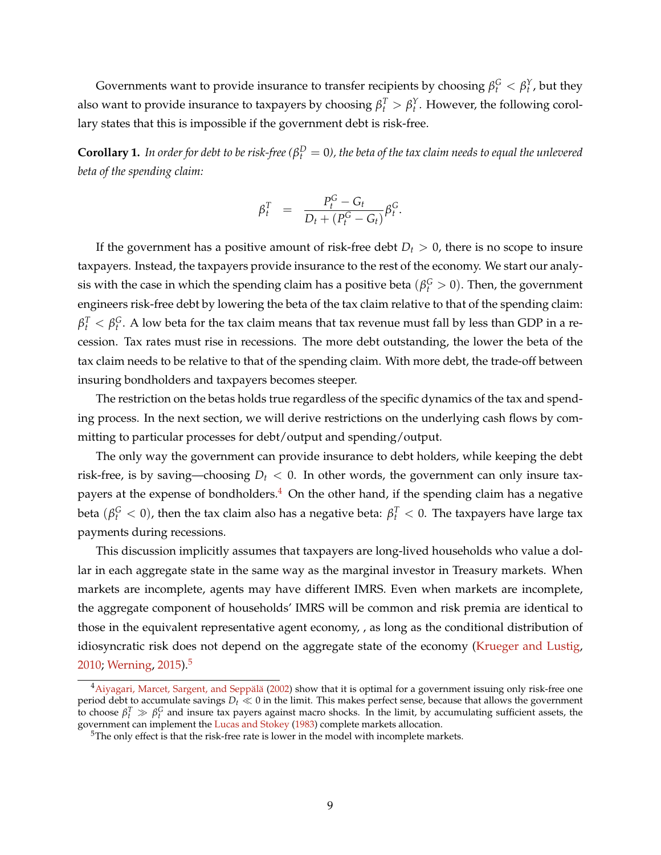Governments want to provide insurance to transfer recipients by choosing  $\beta_t^G < \beta_t^Y$ , but they also want to provide insurance to taxpayers by choosing  $\beta_t^T > \beta_t^Y$ . However, the following corollary states that this is impossible if the government debt is risk-free.

 $\bf{Corollary 1.}$  *In order for debt to be risk-free (* $\beta_t^D=0$ *), the beta of the tax claim needs to equal the unlevered beta of the spending claim:*

$$
\beta_t^T = \frac{P_t^G - G_t}{D_t + (P_t^G - G_t)} \beta_t^G.
$$

If the government has a positive amount of risk-free debt  $D_t > 0$ , there is no scope to insure taxpayers. Instead, the taxpayers provide insurance to the rest of the economy. We start our analysis with the case in which the spending claim has a positive beta  $(\beta_t^G > 0)$ . Then, the government engineers risk-free debt by lowering the beta of the tax claim relative to that of the spending claim:  $\beta_t^T < \beta_t^G$ . A low beta for the tax claim means that tax revenue must fall by less than GDP in a recession. Tax rates must rise in recessions. The more debt outstanding, the lower the beta of the tax claim needs to be relative to that of the spending claim. With more debt, the trade-off between insuring bondholders and taxpayers becomes steeper.

The restriction on the betas holds true regardless of the specific dynamics of the tax and spending process. In the next section, we will derive restrictions on the underlying cash flows by committing to particular processes for debt/output and spending/output.

The only way the government can provide insurance to debt holders, while keeping the debt risk-free, is by saving—choosing  $D_t < 0$ . In other words, the government can only insure taxpayers at the expense of bondholders. $4$  On the other hand, if the spending claim has a negative beta  $(\beta_t^G < 0)$ , then the tax claim also has a negative beta:  $\beta_t^T < 0$ . The taxpayers have large tax payments during recessions.

This discussion implicitly assumes that taxpayers are long-lived households who value a dollar in each aggregate state in the same way as the marginal investor in Treasury markets. When markets are incomplete, agents may have different IMRS. Even when markets are incomplete, the aggregate component of households' IMRS will be common and risk premia are identical to those in the equivalent representative agent economy, , as long as the conditional distribution of idiosyncratic risk does not depend on the aggregate state of the economy [\(Krueger and Lustig,](#page-39-12) [2010;](#page-39-12) [Werning,](#page-39-13) [2015\)](#page-39-13).[5](#page-9-1)

<span id="page-9-0"></span> $^4$ Aiyagari, Marcet, Sargent, and Seppälä [\(2002\)](#page-36-6) show that it is optimal for a government issuing only risk-free one period debt to accumulate savings  $D_t \ll 0$  in the limit. This makes perfect sense, because that allows the government to choose  $\beta_t^T \gg \beta_t^G$  and insure tax payers against macro shocks. In the limit, by accumulating sufficient assets, the government can implement the [Lucas and Stokey](#page-39-2) [\(1983\)](#page-39-2) complete markets allocation.

<span id="page-9-1"></span><sup>&</sup>lt;sup>5</sup>The only effect is that the risk-free rate is lower in the model with incomplete markets.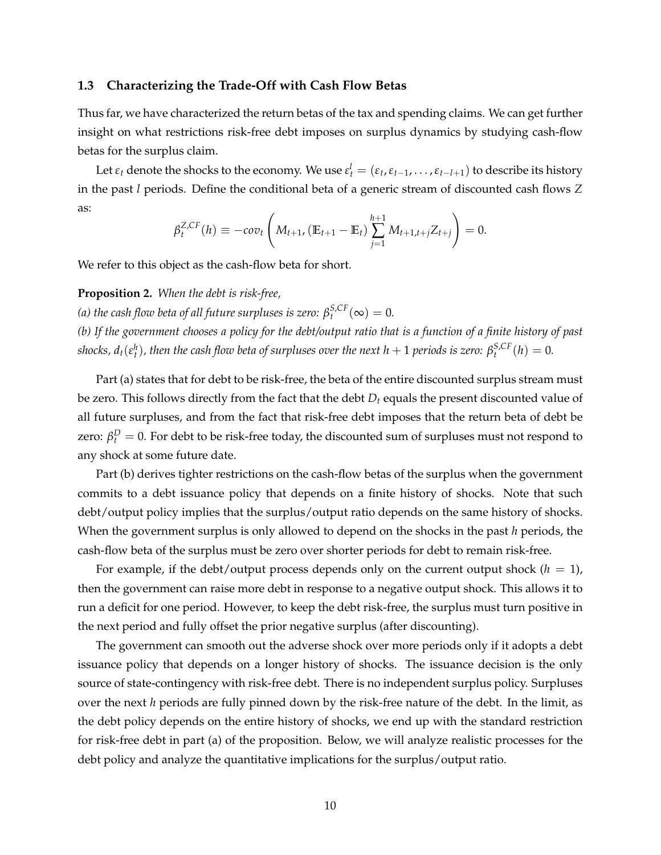### **1.3 Characterizing the Trade-Off with Cash Flow Betas**

Thus far, we have characterized the return betas of the tax and spending claims. We can get further insight on what restrictions risk-free debt imposes on surplus dynamics by studying cash-flow betas for the surplus claim.

Let  $\varepsilon_t$  denote the shocks to the economy. We use  $\varepsilon_t^l = (\varepsilon_t, \varepsilon_{t-1}, \ldots, \varepsilon_{t-l+1})$  to describe its history in the past *l* periods. Define the conditional beta of a generic stream of discounted cash flows *Z* as:

$$
\beta_t^{Z,CF}(h) \equiv -cov_t \left( M_{t+1}, \left( \mathbb{E}_{t+1} - \mathbb{E}_t \right) \sum_{j=1}^{h+1} M_{t+1,t+j} Z_{t+j} \right) = 0.
$$

We refer to this object as the cash-flow beta for short.

<span id="page-10-0"></span>**Proposition 2.** *When the debt is risk-free,*

*(a) the cash flow beta of all future surpluses is zero:*  $\beta_t^{S,CF}(\infty) = 0$ .

*(b) If the government chooses a policy for the debt/output ratio that is a function of a finite history of past shocks, d<sub>t</sub>*( $\varepsilon_t^h$ )*, then the cash flow beta of surpluses over the next h* + 1 *periods is zero:*  $\beta_t^{S,CF}(h) = 0$ .

Part (a) states that for debt to be risk-free, the beta of the entire discounted surplus stream must be zero. This follows directly from the fact that the debt *D<sup>t</sup>* equals the present discounted value of all future surpluses, and from the fact that risk-free debt imposes that the return beta of debt be zero:  $β_t^D = 0$ . For debt to be risk-free today, the discounted sum of surpluses must not respond to any shock at some future date.

Part (b) derives tighter restrictions on the cash-flow betas of the surplus when the government commits to a debt issuance policy that depends on a finite history of shocks. Note that such debt/output policy implies that the surplus/output ratio depends on the same history of shocks. When the government surplus is only allowed to depend on the shocks in the past *h* periods, the cash-flow beta of the surplus must be zero over shorter periods for debt to remain risk-free.

For example, if the debt/output process depends only on the current output shock  $(h = 1)$ , then the government can raise more debt in response to a negative output shock. This allows it to run a deficit for one period. However, to keep the debt risk-free, the surplus must turn positive in the next period and fully offset the prior negative surplus (after discounting).

The government can smooth out the adverse shock over more periods only if it adopts a debt issuance policy that depends on a longer history of shocks. The issuance decision is the only source of state-contingency with risk-free debt. There is no independent surplus policy. Surpluses over the next *h* periods are fully pinned down by the risk-free nature of the debt. In the limit, as the debt policy depends on the entire history of shocks, we end up with the standard restriction for risk-free debt in part (a) of the proposition. Below, we will analyze realistic processes for the debt policy and analyze the quantitative implications for the surplus/output ratio.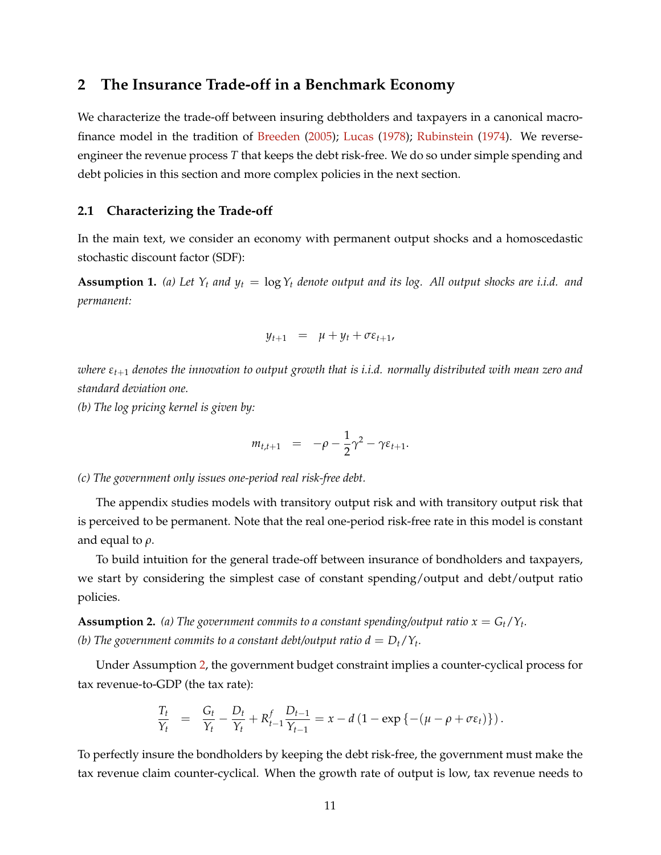# <span id="page-11-0"></span>**2 The Insurance Trade-off in a Benchmark Economy**

We characterize the trade-off between insuring debtholders and taxpayers in a canonical macrofinance model in the tradition of [Breeden](#page-37-14) [\(2005\)](#page-37-14); [Lucas](#page-39-14) [\(1978\)](#page-39-14); [Rubinstein](#page-39-15) [\(1974\)](#page-39-15). We reverseengineer the revenue process *T* that keeps the debt risk-free. We do so under simple spending and debt policies in this section and more complex policies in the next section.

# **2.1 Characterizing the Trade-off**

In the main text, we consider an economy with permanent output shocks and a homoscedastic stochastic discount factor (SDF):

<span id="page-11-2"></span>**Assumption 1.** (a) Let  $Y_t$  and  $y_t = \log Y_t$  denote output and its log. All output shocks are i.i.d. and *permanent:*

$$
y_{t+1} = \mu + y_t + \sigma \varepsilon_{t+1},
$$

*where εt*+<sup>1</sup> *denotes the innovation to output growth that is i.i.d. normally distributed with mean zero and standard deviation one.*

*(b) The log pricing kernel is given by:*

$$
m_{t,t+1} = -\rho - \frac{1}{2}\gamma^2 - \gamma \varepsilon_{t+1}.
$$

*(c) The government only issues one-period real risk-free debt.*

The appendix studies models with transitory output risk and with transitory output risk that is perceived to be permanent. Note that the real one-period risk-free rate in this model is constant and equal to *ρ*.

To build intuition for the general trade-off between insurance of bondholders and taxpayers, we start by considering the simplest case of constant spending/output and debt/output ratio policies.

<span id="page-11-1"></span>**Assumption 2.** (a) The government commits to a constant spending/output ratio  $x = G_t/Y_t$ . *(b)* The government commits to a constant debt/output ratio  $d = D_t/Y_t$ .

Under Assumption [2,](#page-11-1) the government budget constraint implies a counter-cyclical process for tax revenue-to-GDP (the tax rate):

$$
\frac{T_t}{Y_t} = \frac{G_t}{Y_t} - \frac{D_t}{Y_t} + R_{t-1}^f \frac{D_{t-1}}{Y_{t-1}} = x - d (1 - \exp \{-(\mu - \rho + \sigma \varepsilon_t)\}).
$$

To perfectly insure the bondholders by keeping the debt risk-free, the government must make the tax revenue claim counter-cyclical. When the growth rate of output is low, tax revenue needs to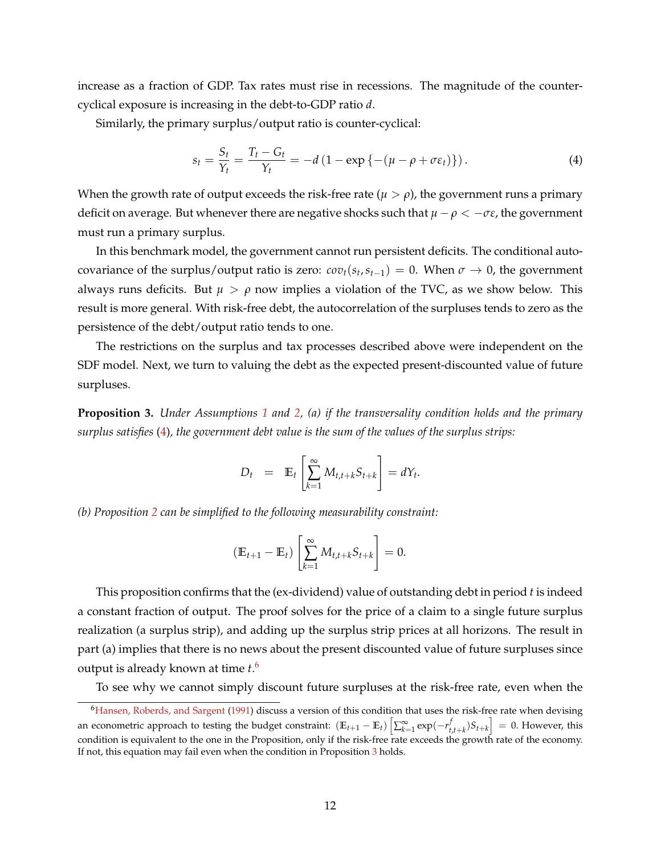increase as a fraction of GDP. Tax rates must rise in recessions. The magnitude of the countercyclical exposure is increasing in the debt-to-GDP ratio *d*.

Similarly, the primary surplus/output ratio is counter-cyclical:

<span id="page-12-0"></span>
$$
s_t = \frac{S_t}{Y_t} = \frac{T_t - G_t}{Y_t} = -d\left(1 - \exp\left\{-\left(\mu - \rho + \sigma \varepsilon_t\right)\right\}\right). \tag{4}
$$

When the growth rate of output exceeds the risk-free rate ( $\mu > \rho$ ), the government runs a primary deficit on average. But whenever there are negative shocks such that *µ* − *ρ* < −*σε*, the government must run a primary surplus.

In this benchmark model, the government cannot run persistent deficits. The conditional autocovariance of the surplus/output ratio is zero:  $cov_t(s_t, s_{t-1}) = 0$ . When  $\sigma \to 0$ , the government always runs deficits. But  $\mu > \rho$  now implies a violation of the TVC, as we show below. This result is more general. With risk-free debt, the autocorrelation of the surpluses tends to zero as the persistence of the debt/output ratio tends to one.

The restrictions on the surplus and tax processes described above were independent on the SDF model. Next, we turn to valuing the debt as the expected present-discounted value of future surpluses.

<span id="page-12-2"></span>**Proposition 3.** *Under Assumptions [1](#page-11-2) and [2,](#page-11-1) (a) if the transversality condition holds and the primary surplus satisfies* [\(4\)](#page-12-0)*, the government debt value is the sum of the values of the surplus strips:*

$$
D_t = \mathbb{E}_t \left[ \sum_{k=1}^{\infty} M_{t,t+k} S_{t+k} \right] = dY_t.
$$

*(b) Proposition [2](#page-10-0) can be simplified to the following measurability constraint:*

$$
(\mathbb{E}_{t+1} - \mathbb{E}_t) \left[ \sum_{k=1}^{\infty} M_{t,t+k} S_{t+k} \right] = 0.
$$

This proposition confirms that the (ex-dividend) value of outstanding debt in period *t* is indeed a constant fraction of output. The proof solves for the price of a claim to a single future surplus realization (a surplus strip), and adding up the surplus strip prices at all horizons. The result in part (a) implies that there is no news about the present discounted value of future surpluses since output is already known at time *t*. [6](#page-12-1)

To see why we cannot simply discount future surpluses at the risk-free rate, even when the

<span id="page-12-1"></span><sup>&</sup>lt;sup>6</sup>[Hansen, Roberds, and Sargent](#page-38-3) [\(1991\)](#page-38-3) discuss a version of this condition that uses the risk-free rate when devising an econometric approach to testing the budget constraint:  $(\mathbb{E}_{t+1} - \mathbb{E}_t) \left[ \sum_{k=1}^{\infty} \exp(-r_{t,t+k}^f) S_{t+k} \right] = 0$ . However, this condition is equivalent to the one in the Proposition, only if the risk-free rate exceeds the growth rate of the economy. If not, this equation may fail even when the condition in Proposition [3](#page-12-2) holds.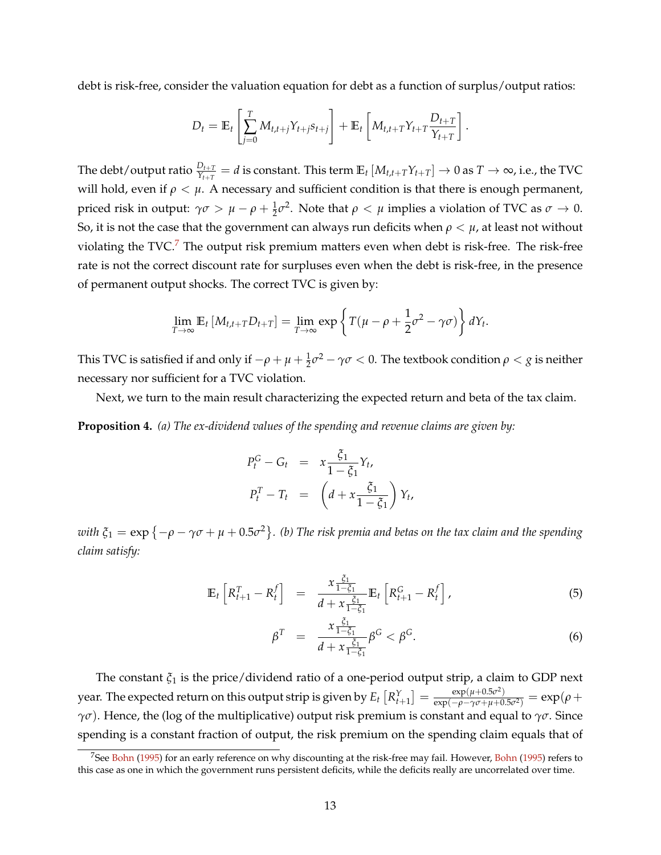debt is risk-free, consider the valuation equation for debt as a function of surplus/output ratios:

$$
D_t = \mathbb{E}_t \left[ \sum_{j=0}^T M_{t,t+j} Y_{t+j} s_{t+j} \right] + \mathbb{E}_t \left[ M_{t,t+T} Y_{t+T} \frac{D_{t+T}}{Y_{t+T}} \right].
$$

The debt/output ratio  $\frac{D_{t+T}}{Y_{t+T}}=d$  is constant. This term  $\mathbb{E}_t\left[M_{t,t+T}Y_{t+T}\right]\to 0$  as  $T\to\infty$ , i.e., the TVC will hold, even if  $\rho < \mu$ . A necessary and sufficient condition is that there is enough permanent, *priced risk in output:*  $γσ > μ − ρ + <sup>1</sup>/<sub>2</sub>σ<sup>2</sup>$ . Note that  $ρ < μ$  implies a violation of TVC as  $σ → 0$ . So, it is not the case that the government can always run deficits when  $\rho < \mu$ , at least not without violating the  $TVC$ .<sup>[7](#page-13-0)</sup> The output risk premium matters even when debt is risk-free. The risk-free rate is not the correct discount rate for surpluses even when the debt is risk-free, in the presence of permanent output shocks. The correct TVC is given by:

$$
\lim_{T\to\infty} \mathbb{E}_t \left[ M_{t,t+T} D_{t+T} \right] = \lim_{T\to\infty} \exp \left\{ T(\mu - \rho + \frac{1}{2} \sigma^2 - \gamma \sigma) \right\} dY_t.
$$

This TVC is satisfied if and only if  $-\rho+\mu+\frac{1}{2}\sigma^2-\gamma\sigma< 0.$  The textbook condition  $\rho< g$  is neither necessary nor sufficient for a TVC violation.

Next, we turn to the main result characterizing the expected return and beta of the tax claim.

<span id="page-13-1"></span>**Proposition 4.** *(a) The ex-dividend values of the spending and revenue claims are given by:*

$$
P_t^G - G_t = x \frac{\xi_1}{1 - \xi_1} Y_t,
$$
  

$$
P_t^T - T_t = \left( d + x \frac{\xi_1}{1 - \xi_1} \right) Y_t,
$$

 $with$   $\xi_1 = \exp\left\{-\rho - \gamma\sigma + \mu + 0.5\sigma^2\right\}$ . (b) The risk premia and betas on the tax claim and the spending *claim satisfy:*

<span id="page-13-2"></span>
$$
\mathbb{E}_{t}\left[R_{t+1}^{T}-R_{t}^{f}\right] = \frac{x \frac{\xi_{1}}{1-\xi_{1}}}{d+x \frac{\xi_{1}}{1-\xi_{1}}} \mathbb{E}_{t}\left[R_{t+1}^{G}-R_{t}^{f}\right],
$$
\n(5)

$$
\beta^T = \frac{x \frac{\xi_1}{1 - \xi_1}}{d + x \frac{\xi_1}{1 - \xi_1}} \beta^G < \beta^G. \tag{6}
$$

The constant *ξ*<sup>1</sup> is the price/dividend ratio of a one-period output strip, a claim to GDP next year. The expected return on this output strip is given by  $E_t\left[R^Y_{t+1}\right]=\frac{\exp(\mu+0.5\sigma^2)}{\exp(-\rho-\gamma\sigma+\mu+0.5\sigma^2)}$  $\frac{\exp(\mu + 0.5\sigma^2)}{\exp(-\rho - \gamma\sigma + \mu + 0.5\sigma^2)} = \exp(\rho +$ *γσ*). Hence, the (log of the multiplicative) output risk premium is constant and equal to *γσ*. Since spending is a constant fraction of output, the risk premium on the spending claim equals that of

<span id="page-13-0"></span><sup>&</sup>lt;sup>7</sup>See [Bohn](#page-37-15) [\(1995\)](#page-37-15) for an early reference on why discounting at the risk-free may fail. However, Bohn (1995) refers to this case as one in which the government runs persistent deficits, while the deficits really are uncorrelated over time.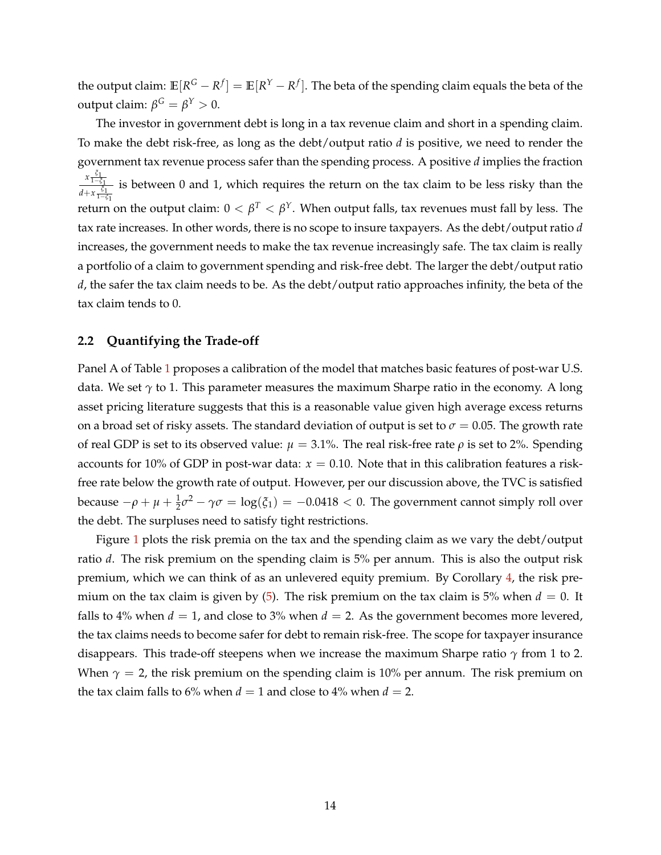the output claim:  $\mathbb{E}[R^G - R^f] = \mathbb{E}[R^Y - R^f].$  The beta of the spending claim equals the beta of the **output claim:**  $β<sup>G</sup> = β<sup>Y</sup> > 0$ .

The investor in government debt is long in a tax revenue claim and short in a spending claim. To make the debt risk-free, as long as the debt/output ratio *d* is positive, we need to render the government tax revenue process safer than the spending process. A positive *d* implies the fraction *x ξ*1 <sup>1</sup>−*ξ*<sup>1</sup> *d*+*x*<sup> $\frac{ξ_1}{1−ξ_1}$ </sup> is between 0 and 1, which requires the return on the tax claim to be less risky than the return on the output claim:  $0 < \beta^T < \beta^\text{Y}$ . When output falls, tax revenues must fall by less. The tax rate increases. In other words, there is no scope to insure taxpayers. As the debt/output ratio *d* increases, the government needs to make the tax revenue increasingly safe. The tax claim is really a portfolio of a claim to government spending and risk-free debt. The larger the debt/output ratio *d*, the safer the tax claim needs to be. As the debt/output ratio approaches infinity, the beta of the tax claim tends to 0.

# **2.2 Quantifying the Trade-off**

Panel A of Table [1](#page-15-1) proposes a calibration of the model that matches basic features of post-war U.S. data. We set *γ* to 1. This parameter measures the maximum Sharpe ratio in the economy. A long asset pricing literature suggests that this is a reasonable value given high average excess returns on a broad set of risky assets. The standard deviation of output is set to  $\sigma = 0.05$ . The growth rate of real GDP is set to its observed value:  $\mu = 3.1\%$ . The real risk-free rate  $\rho$  is set to 2%. Spending accounts for 10% of GDP in post-war data:  $x = 0.10$ . Note that in this calibration features a riskfree rate below the growth rate of output. However, per our discussion above, the TVC is satisfied because  $-\rho + \mu + \frac{1}{2}\sigma^2 - \gamma\sigma = \log(\xi_1) = -0.0418 < 0$ . The government cannot simply roll over the debt. The surpluses need to satisfy tight restrictions.

Figure [1](#page-15-2) plots the risk premia on the tax and the spending claim as we vary the debt/output ratio *d*. The risk premium on the spending claim is 5% per annum. This is also the output risk premium, which we can think of as an unlevered equity premium. By Corollary [4,](#page-13-1) the risk premium on the tax claim is given by  $(5)$ . The risk premium on the tax claim is 5% when  $d = 0$ . It falls to 4% when  $d = 1$ , and close to 3% when  $d = 2$ . As the government becomes more levered, the tax claims needs to become safer for debt to remain risk-free. The scope for taxpayer insurance disappears. This trade-off steepens when we increase the maximum Sharpe ratio *γ* from 1 to 2. When  $\gamma = 2$ , the risk premium on the spending claim is 10% per annum. The risk premium on the tax claim falls to 6% when  $d = 1$  and close to 4% when  $d = 2$ .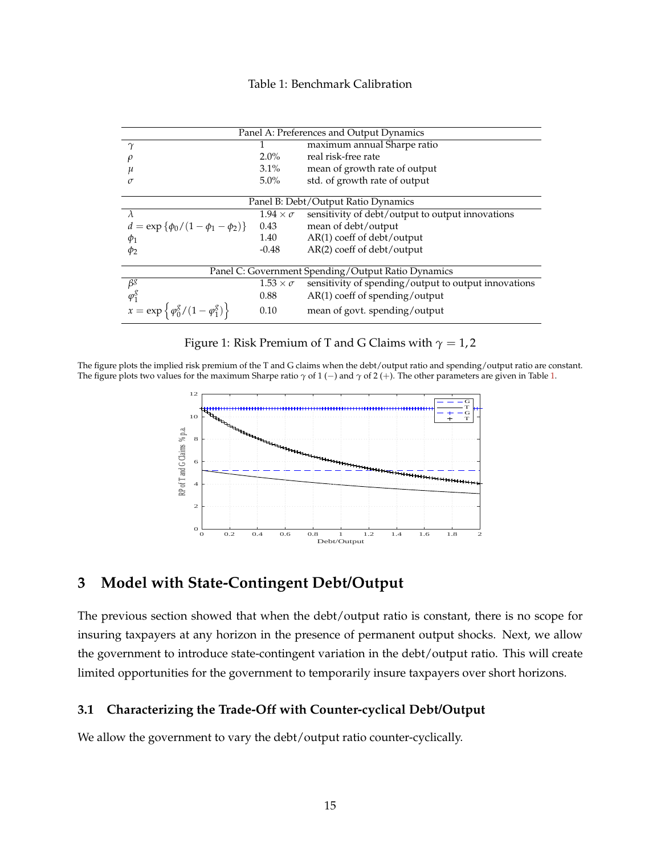## Table 1: Benchmark Calibration

<span id="page-15-1"></span>

| Panel A: Preferences and Output Dynamics                  |                                  |                                                      |  |  |  |  |  |
|-----------------------------------------------------------|----------------------------------|------------------------------------------------------|--|--|--|--|--|
| $\gamma$                                                  | maximum annual Sharpe ratio<br>1 |                                                      |  |  |  |  |  |
|                                                           | $2.0\%$                          | real risk-free rate                                  |  |  |  |  |  |
| и                                                         | $3.1\%$                          | mean of growth rate of output                        |  |  |  |  |  |
| σ                                                         | $5.0\%$                          | std. of growth rate of output                        |  |  |  |  |  |
|                                                           |                                  |                                                      |  |  |  |  |  |
| Panel B: Debt/Output Ratio Dynamics                       |                                  |                                                      |  |  |  |  |  |
| $\lambda$                                                 | $1.94 \times \sigma$             | sensitivity of debt/output to output innovations     |  |  |  |  |  |
| $d = \exp \{\phi_0/(1-\phi_1-\phi_2)\}\$                  | 0.43                             | mean of debt/output                                  |  |  |  |  |  |
| $\phi_1$                                                  | 1.40                             | AR(1) coeff of debt/output                           |  |  |  |  |  |
| $\phi_2$                                                  | $-0.48$                          | $AR(2)$ coeff of debt/output                         |  |  |  |  |  |
|                                                           |                                  |                                                      |  |  |  |  |  |
| Panel C: Government Spending/Output Ratio Dynamics        |                                  |                                                      |  |  |  |  |  |
| $\beta^g$                                                 | $1.53 \times \sigma$             | sensitivity of spending/output to output innovations |  |  |  |  |  |
| $\varphi_1^g$                                             | 0.88                             | $AR(1)$ coeff of spending/output                     |  |  |  |  |  |
| $x = \exp \left\{ \frac{\phi_0^g}{1 - \phi_1^g} \right\}$ | 0.10                             | mean of govt. spending/output                        |  |  |  |  |  |

Figure 1: Risk Premium of T and G Claims with  $\gamma = 1, 2$ 

<span id="page-15-2"></span>The figure plots the implied risk premium of the T and G claims when the debt/output ratio and spending/output ratio are constant. The figure plots two values for the maximum Sharpe ratio *γ* of 1 (−) and *γ* of 2 (+). The other parameters are given in Table [1.](#page-15-1)



# <span id="page-15-0"></span>**3 Model with State-Contingent Debt/Output**

The previous section showed that when the debt/output ratio is constant, there is no scope for insuring taxpayers at any horizon in the presence of permanent output shocks. Next, we allow the government to introduce state-contingent variation in the debt/output ratio. This will create limited opportunities for the government to temporarily insure taxpayers over short horizons.

## **3.1 Characterizing the Trade-Off with Counter-cyclical Debt/Output**

We allow the government to vary the debt/output ratio counter-cyclically.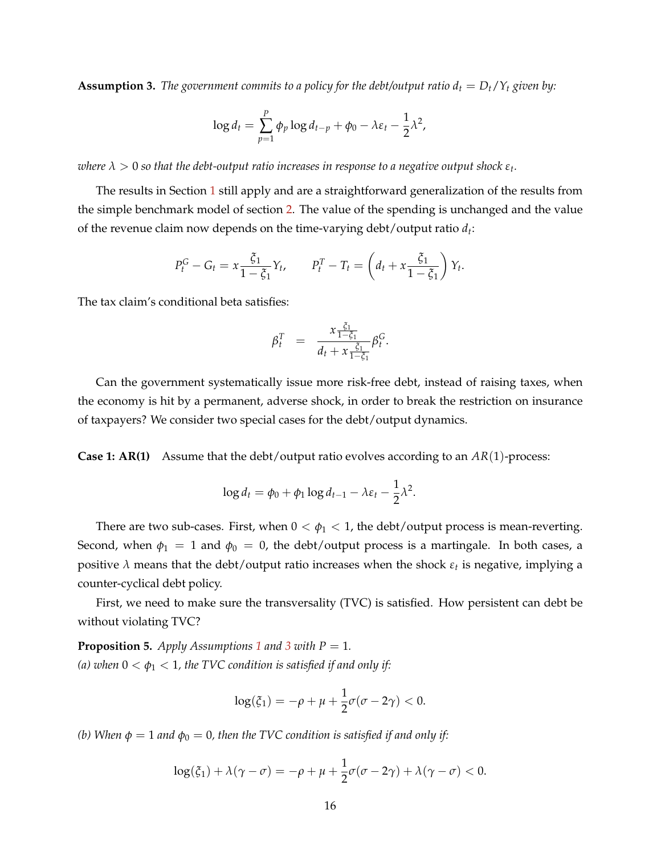<span id="page-16-0"></span>**Assumption 3.** The government commits to a policy for the debt/output ratio  $d_t = D_t/Y_t$  given by:

$$
\log d_t = \sum_{p=1}^P \phi_p \log d_{t-p} + \phi_0 - \lambda \varepsilon_t - \frac{1}{2} \lambda^2,
$$

 $\alpha$  *λ*  $>$  0 so that the debt-output ratio increases in response to a negative output shock  $\varepsilon_t.$ 

The results in Section [1](#page-6-0) still apply and are a straightforward generalization of the results from the simple benchmark model of section [2.](#page-11-0) The value of the spending is unchanged and the value of the revenue claim now depends on the time-varying debt/output ratio *d<sup>t</sup>* :

$$
P_t^G - G_t = x \frac{\xi_1}{1 - \xi_1} Y_t, \qquad P_t^T - T_t = \left( d_t + x \frac{\xi_1}{1 - \xi_1} \right) Y_t.
$$

The tax claim's conditional beta satisfies:

$$
\beta_t^T = \frac{x_{\frac{\xi_1}{1-\xi_1}}}{d_t + x_{\frac{\xi_1}{1-\xi_1}}} \beta_t^G.
$$

Can the government systematically issue more risk-free debt, instead of raising taxes, when the economy is hit by a permanent, adverse shock, in order to break the restriction on insurance of taxpayers? We consider two special cases for the debt/output dynamics.

**Case 1: AR(1)** Assume that the debt/output ratio evolves according to an *AR*(1)-process:

$$
\log d_t = \phi_0 + \phi_1 \log d_{t-1} - \lambda \varepsilon_t - \frac{1}{2} \lambda^2.
$$

There are two sub-cases. First, when  $0 < \phi_1 < 1$ , the debt/output process is mean-reverting. Second, when  $\phi_1 = 1$  and  $\phi_0 = 0$ , the debt/output process is a martingale. In both cases, a positive *λ* means that the debt/output ratio increases when the shock *ε<sup>t</sup>* is negative, implying a counter-cyclical debt policy.

First, we need to make sure the transversality (TVC) is satisfied. How persistent can debt be without violating TVC?

<span id="page-16-1"></span>**Proposition 5.** *Apply Assumptions* [1](#page-11-2) *and* [3](#page-16-0) *with*  $P = 1$ *. (a) when*  $0 < \phi_1 < 1$ *, the TVC condition is satisfied if and only if:* 

$$
\log(\xi_1) = -\rho + \mu + \frac{1}{2}\sigma(\sigma - 2\gamma) < 0.
$$

*(b)* When  $\phi = 1$  *and*  $\phi_0 = 0$ *, then the TVC condition is satisfied if and only if:* 

$$
\log(\xi_1) + \lambda(\gamma - \sigma) = -\rho + \mu + \frac{1}{2}\sigma(\sigma - 2\gamma) + \lambda(\gamma - \sigma) < 0.
$$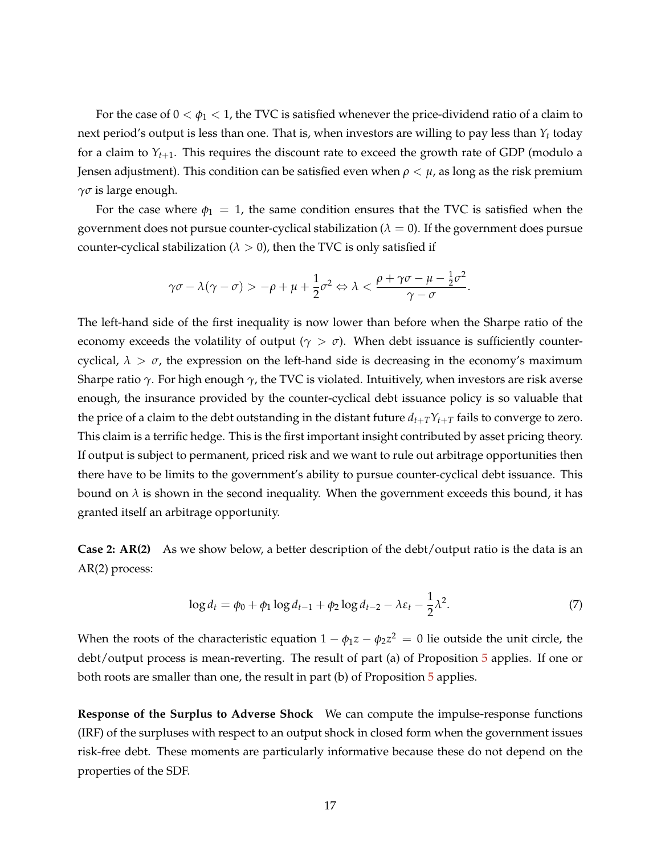For the case of  $0 < \phi_1 < 1$ , the TVC is satisfied whenever the price-dividend ratio of a claim to next period's output is less than one. That is, when investors are willing to pay less than *Y<sup>t</sup>* today for a claim to  $Y_{t+1}$ . This requires the discount rate to exceed the growth rate of GDP (modulo a Jensen adjustment). This condition can be satisfied even when  $\rho < \mu$ , as long as the risk premium *γσ* is large enough.

For the case where  $\phi_1 = 1$ , the same condition ensures that the TVC is satisfied when the government does not pursue counter-cyclical stabilization ( $\lambda = 0$ ). If the government does pursue counter-cyclical stabilization ( $\lambda > 0$ ), then the TVC is only satisfied if

$$
\gamma \sigma - \lambda (\gamma - \sigma) > -\rho + \mu + \frac{1}{2} \sigma^2 \Leftrightarrow \lambda < \frac{\rho + \gamma \sigma - \mu - \frac{1}{2} \sigma^2}{\gamma - \sigma}.
$$

The left-hand side of the first inequality is now lower than before when the Sharpe ratio of the economy exceeds the volatility of output ( $\gamma > \sigma$ ). When debt issuance is sufficiently countercyclical,  $\lambda > \sigma$ , the expression on the left-hand side is decreasing in the economy's maximum Sharpe ratio *γ*. For high enough *γ*, the TVC is violated. Intuitively, when investors are risk averse enough, the insurance provided by the counter-cyclical debt issuance policy is so valuable that the price of a claim to the debt outstanding in the distant future  $d_{t+T}Y_{t+T}$  fails to converge to zero. This claim is a terrific hedge. This is the first important insight contributed by asset pricing theory. If output is subject to permanent, priced risk and we want to rule out arbitrage opportunities then there have to be limits to the government's ability to pursue counter-cyclical debt issuance. This bound on  $\lambda$  is shown in the second inequality. When the government exceeds this bound, it has granted itself an arbitrage opportunity.

**Case 2: AR(2)** As we show below, a better description of the debt/output ratio is the data is an AR(2) process:

<span id="page-17-0"></span>
$$
\log d_t = \phi_0 + \phi_1 \log d_{t-1} + \phi_2 \log d_{t-2} - \lambda \varepsilon_t - \frac{1}{2} \lambda^2. \tag{7}
$$

When the roots of the characteristic equation  $1 - \phi_1 z - \phi_2 z^2 \,=\, 0$  lie outside the unit circle, the debt/output process is mean-reverting. The result of part (a) of Proposition [5](#page-16-1) applies. If one or both roots are smaller than one, the result in part (b) of Proposition [5](#page-16-1) applies.

**Response of the Surplus to Adverse Shock** We can compute the impulse-response functions (IRF) of the surpluses with respect to an output shock in closed form when the government issues risk-free debt. These moments are particularly informative because these do not depend on the properties of the SDF.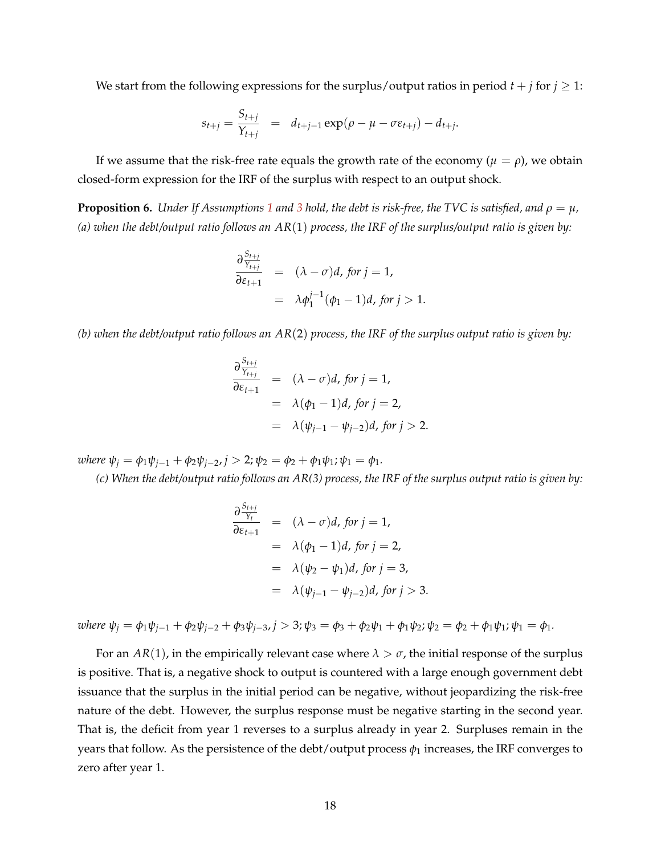We start from the following expressions for the surplus/output ratios in period  $t + j$  for  $j \ge 1$ :

$$
s_{t+j} = \frac{S_{t+j}}{Y_{t+j}} = d_{t+j-1} \exp(\rho - \mu - \sigma \varepsilon_{t+j}) - d_{t+j}.
$$

If we assume that the risk-free rate equals the growth rate of the economy ( $\mu = \rho$ ), we obtain closed-form expression for the IRF of the surplus with respect to an output shock.

<span id="page-18-0"></span>**Proposition 6.** *Under If Assumptions* [1](#page-11-2) *and* [3](#page-16-0) *hold, the debt is risk-free, the TVC is satisfied, and*  $\rho = \mu$ , *(a) when the debt/output ratio follows an AR*(1) *process, the IRF of the surplus/output ratio is given by:*

$$
\frac{\partial \frac{S_{t+j}}{S_{t+j}}}{\partial \varepsilon_{t+1}} = (\lambda - \sigma)d, \text{ for } j = 1,
$$
  
=  $\lambda \phi_1^{j-1}(\phi_1 - 1)d, \text{ for } j > 1.$ 

*(b) when the debt/output ratio follows an AR*(2) *process, the IRF of the surplus output ratio is given by:*

$$
\frac{\partial \frac{S_{t+j}}{Y_{t+j}}}{\partial \varepsilon_{t+1}} = (\lambda - \sigma)d, \text{ for } j = 1,
$$
  
=  $\lambda(\phi_1 - 1)d, \text{ for } j = 2,$   
=  $\lambda(\psi_{j-1} - \psi_{j-2})d, \text{ for } j > 2.$ 

 $\omega$ *kere*  $\psi_i = \phi_1 \psi_{i-1} + \phi_2 \psi_{i-2}, j > 2; \psi_2 = \phi_2 + \phi_1 \psi_1; \psi_1 = \phi_1.$ 

*(c) When the debt/output ratio follows an AR(3) process, the IRF of the surplus output ratio is given by:*

$$
\frac{\partial \frac{S_{t+j}}{Y_t}}{\partial \varepsilon_{t+1}} = (\lambda - \sigma)d, \text{ for } j = 1,
$$
  
\n
$$
= \lambda(\phi_1 - 1)d, \text{ for } j = 2,
$$
  
\n
$$
= \lambda(\psi_2 - \psi_1)d, \text{ for } j = 3,
$$
  
\n
$$
= \lambda(\psi_{j-1} - \psi_{j-2})d, \text{ for } j > 3.
$$

where  $\psi_i = \phi_1 \psi_{i-1} + \phi_2 \psi_{i-2} + \phi_3 \psi_{i-3}$ ,  $j > 3$ ;  $\psi_3 = \phi_3 + \phi_2 \psi_1 + \phi_1 \psi_2$ ;  $\psi_2 = \phi_2 + \phi_1 \psi_1$ ;  $\psi_1 = \phi_1$ .

For an  $AR(1)$ , in the empirically relevant case where  $\lambda > \sigma$ , the initial response of the surplus is positive. That is, a negative shock to output is countered with a large enough government debt issuance that the surplus in the initial period can be negative, without jeopardizing the risk-free nature of the debt. However, the surplus response must be negative starting in the second year. That is, the deficit from year 1 reverses to a surplus already in year 2. Surpluses remain in the years that follow. As the persistence of the debt/output process  $\phi_1$  increases, the IRF converges to zero after year 1.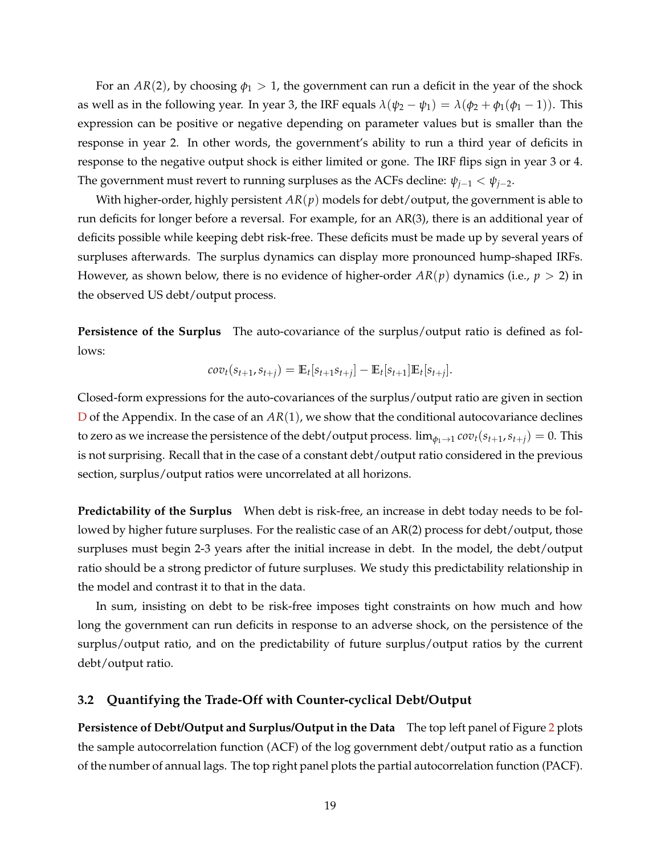For an  $AR(2)$ , by choosing  $\phi_1 > 1$ , the government can run a deficit in the year of the shock as well as in the following year. In year 3, the IRF equals  $\lambda(\psi_2 - \psi_1) = \lambda(\phi_2 + \phi_1(\phi_1 - 1))$ . This expression can be positive or negative depending on parameter values but is smaller than the response in year 2. In other words, the government's ability to run a third year of deficits in response to the negative output shock is either limited or gone. The IRF flips sign in year 3 or 4. The government must revert to running surpluses as the ACFs decline:  $\psi_{j-1} < \psi_{j-2}$ .

With higher-order, highly persistent *AR*(*p*) models for debt/output, the government is able to run deficits for longer before a reversal. For example, for an AR(3), there is an additional year of deficits possible while keeping debt risk-free. These deficits must be made up by several years of surpluses afterwards. The surplus dynamics can display more pronounced hump-shaped IRFs. However, as shown below, there is no evidence of higher-order  $AR(p)$  dynamics (i.e.,  $p > 2$ ) in the observed US debt/output process.

**Persistence of the Surplus** The auto-covariance of the surplus/output ratio is defined as follows:

$$
cov_t(s_{t+1}, s_{t+j}) = \mathbb{E}_t[s_{t+1} s_{t+j}] - \mathbb{E}_t[s_{t+1}] \mathbb{E}_t[s_{t+j}].
$$

Closed-form expressions for the auto-covariances of the surplus/output ratio are given in section [D](#page-48-0) of the Appendix. In the case of an  $AR(1)$ , we show that the conditional autocovariance declines to zero as we increase the persistence of the debt/output process.  $\lim_{\phi_1 \to 1} cov_t(s_{t+1}, s_{t+1}) = 0$ . This is not surprising. Recall that in the case of a constant debt/output ratio considered in the previous section, surplus/output ratios were uncorrelated at all horizons.

**Predictability of the Surplus** When debt is risk-free, an increase in debt today needs to be followed by higher future surpluses. For the realistic case of an AR(2) process for debt/output, those surpluses must begin 2-3 years after the initial increase in debt. In the model, the debt/output ratio should be a strong predictor of future surpluses. We study this predictability relationship in the model and contrast it to that in the data.

In sum, insisting on debt to be risk-free imposes tight constraints on how much and how long the government can run deficits in response to an adverse shock, on the persistence of the surplus/output ratio, and on the predictability of future surplus/output ratios by the current debt/output ratio.

## **3.2 Quantifying the Trade-Off with Counter-cyclical Debt/Output**

**Persistence of Debt/Output and Surplus/Output in the Data** The top left panel of Figure [2](#page-20-0) plots the sample autocorrelation function (ACF) of the log government debt/output ratio as a function of the number of annual lags. The top right panel plots the partial autocorrelation function (PACF).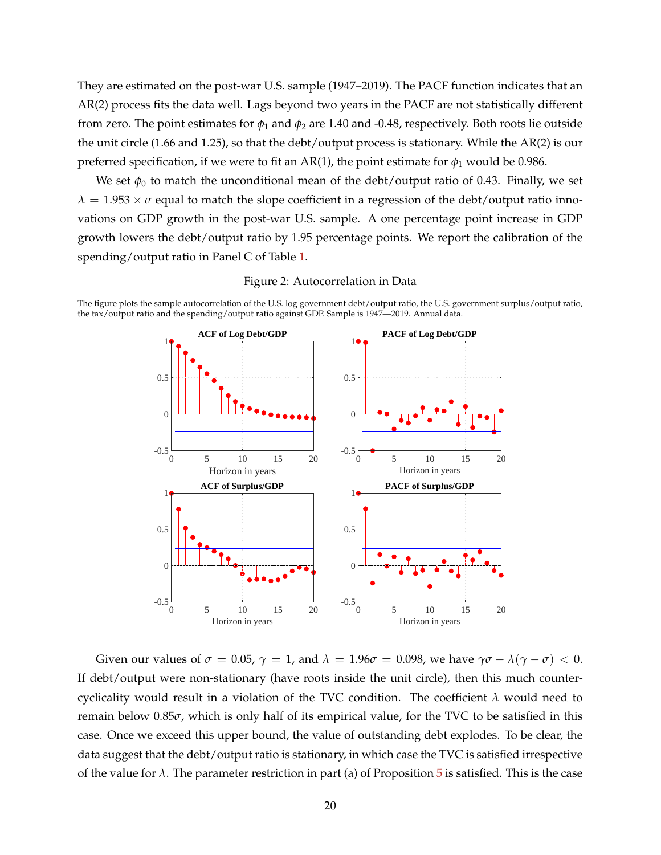They are estimated on the post-war U.S. sample (1947–2019). The PACF function indicates that an AR(2) process fits the data well. Lags beyond two years in the PACF are not statistically different from zero. The point estimates for  $\phi_1$  and  $\phi_2$  are 1.40 and -0.48, respectively. Both roots lie outside the unit circle (1.66 and 1.25), so that the debt/output process is stationary. While the AR(2) is our preferred specification, if we were to fit an AR(1), the point estimate for  $\phi_1$  would be 0.986.

We set  $\phi_0$  to match the unconditional mean of the debt/output ratio of 0.43. Finally, we set  $\lambda = 1.953 \times \sigma$  equal to match the slope coefficient in a regression of the debt/output ratio innovations on GDP growth in the post-war U.S. sample. A one percentage point increase in GDP growth lowers the debt/output ratio by 1.95 percentage points. We report the calibration of the spending/output ratio in Panel C of Table [1.](#page-15-1)



Figure 2: Autocorrelation in Data

<span id="page-20-0"></span>The figure plots the sample autocorrelation of the U.S. log government debt/output ratio, the U.S. government surplus/output ratio, the tax/output ratio and the spending/output ratio against GDP. Sample is 1947—2019. Annual data.

Given our values of  $\sigma = 0.05$ ,  $\gamma = 1$ , and  $\lambda = 1.96\sigma = 0.098$ , we have  $\gamma\sigma - \lambda(\gamma - \sigma) < 0$ . If debt/output were non-stationary (have roots inside the unit circle), then this much countercyclicality would result in a violation of the TVC condition. The coefficient *λ* would need to remain below 0.85*σ*, which is only half of its empirical value, for the TVC to be satisfied in this case. Once we exceed this upper bound, the value of outstanding debt explodes. To be clear, the data suggest that the debt/output ratio is stationary, in which case the TVC is satisfied irrespective of the value for  $\lambda$ . The parameter restriction in part (a) of Proposition [5](#page-16-1) is satisfied. This is the case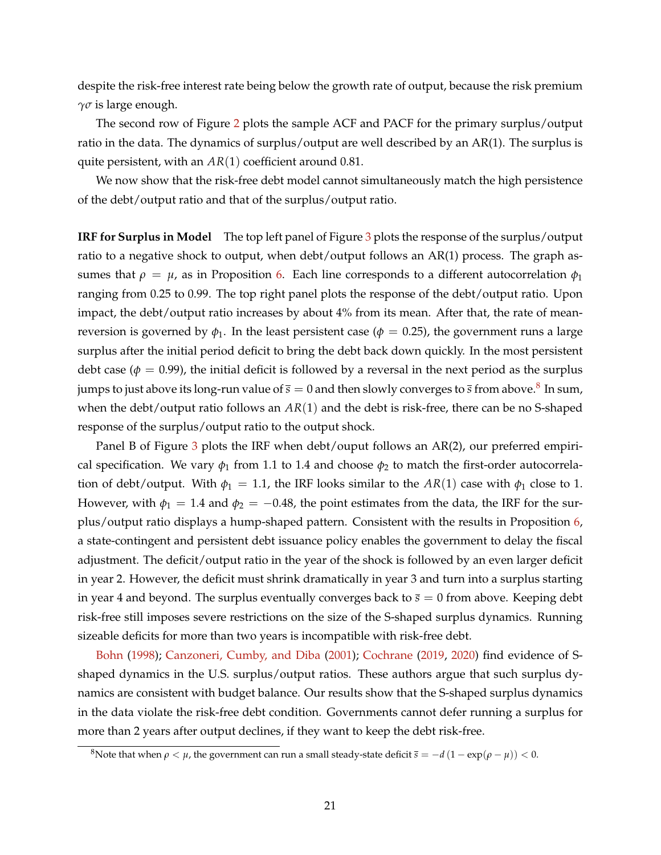despite the risk-free interest rate being below the growth rate of output, because the risk premium *γσ* is large enough.

The second row of Figure [2](#page-20-0) plots the sample ACF and PACF for the primary surplus/output ratio in the data. The dynamics of surplus/output are well described by an AR(1). The surplus is quite persistent, with an *AR*(1) coefficient around 0.81.

We now show that the risk-free debt model cannot simultaneously match the high persistence of the debt/output ratio and that of the surplus/output ratio.

**IRF for Surplus in Model** The top left panel of Figure [3](#page-22-0) plots the response of the surplus/output ratio to a negative shock to output, when debt/output follows an AR(1) process. The graph assumes that  $\rho = \mu$ , as in Proposition [6.](#page-18-0) Each line corresponds to a different autocorrelation  $\phi_1$ ranging from 0.25 to 0.99. The top right panel plots the response of the debt/output ratio. Upon impact, the debt/output ratio increases by about 4% from its mean. After that, the rate of meanreversion is governed by  $\phi_1$ . In the least persistent case ( $\phi = 0.25$ ), the government runs a large surplus after the initial period deficit to bring the debt back down quickly. In the most persistent debt case ( $\phi = 0.99$ ), the initial deficit is followed by a reversal in the next period as the surplus jumps to just above its long-run value of  $\bar s=0$  and then slowly converges to  $\bar s$  from above. $^8$  $^8$  In sum, when the debt/output ratio follows an *AR*(1) and the debt is risk-free, there can be no S-shaped response of the surplus/output ratio to the output shock.

Panel B of Figure [3](#page-22-0) plots the IRF when debt/ouput follows an AR(2), our preferred empirical specification. We vary  $\phi_1$  from 1.1 to 1.4 and choose  $\phi_2$  to match the first-order autocorrelation of debt/output. With  $\phi_1 = 1.1$ , the IRF looks similar to the  $AR(1)$  case with  $\phi_1$  close to 1. However, with  $\phi_1 = 1.4$  and  $\phi_2 = -0.48$ , the point estimates from the data, the IRF for the surplus/output ratio displays a hump-shaped pattern. Consistent with the results in Proposition [6,](#page-18-0) a state-contingent and persistent debt issuance policy enables the government to delay the fiscal adjustment. The deficit/output ratio in the year of the shock is followed by an even larger deficit in year 2. However, the deficit must shrink dramatically in year 3 and turn into a surplus starting in year 4 and beyond. The surplus eventually converges back to  $\bar{s} = 0$  from above. Keeping debt risk-free still imposes severe restrictions on the size of the S-shaped surplus dynamics. Running sizeable deficits for more than two years is incompatible with risk-free debt.

[Bohn](#page-37-2) [\(1998\)](#page-37-2); [Canzoneri, Cumby, and Diba](#page-37-4) [\(2001\)](#page-37-4); [Cochrane](#page-37-5) [\(2019,](#page-37-5) [2020\)](#page-38-5) find evidence of Sshaped dynamics in the U.S. surplus/output ratios. These authors argue that such surplus dynamics are consistent with budget balance. Our results show that the S-shaped surplus dynamics in the data violate the risk-free debt condition. Governments cannot defer running a surplus for more than 2 years after output declines, if they want to keep the debt risk-free.

<span id="page-21-0"></span><sup>&</sup>lt;sup>8</sup>Note that when *ρ* < *μ*, the government can run a small steady-state deficit  $\bar{s} = -d(1 - \exp(\rho - \mu))$  < 0.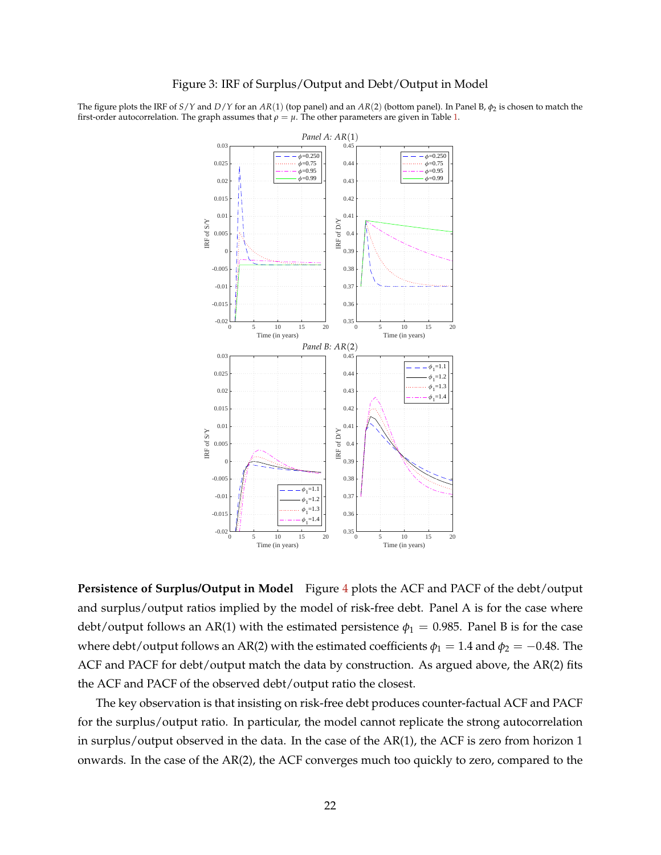#### Figure 3: IRF of Surplus/Output and Debt/Output in Model

<span id="page-22-0"></span>The figure plots the IRF of *S*/*Y* and *D*/*Y* for an *AR*(1) (top panel) and an *AR*(2) (bottom panel). In Panel B, *φ*<sup>2</sup> is chosen to match the first-order autocorrelation. The graph assumes that  $\rho = \mu$ . The other parameters are given in Table [1.](#page-15-1)



**Persistence of Surplus/Output in Model** Figure [4](#page-23-0) plots the ACF and PACF of the debt/output and surplus/output ratios implied by the model of risk-free debt. Panel A is for the case where debt/output follows an AR(1) with the estimated persistence  $\phi_1 = 0.985$ . Panel B is for the case where debt/output follows an AR(2) with the estimated coefficients  $\phi_1 = 1.4$  and  $\phi_2 = -0.48$ . The ACF and PACF for debt/output match the data by construction. As argued above, the AR(2) fits the ACF and PACF of the observed debt/output ratio the closest.

The key observation is that insisting on risk-free debt produces counter-factual ACF and PACF for the surplus/output ratio. In particular, the model cannot replicate the strong autocorrelation in surplus/output observed in the data. In the case of the AR(1), the ACF is zero from horizon 1 onwards. In the case of the AR(2), the ACF converges much too quickly to zero, compared to the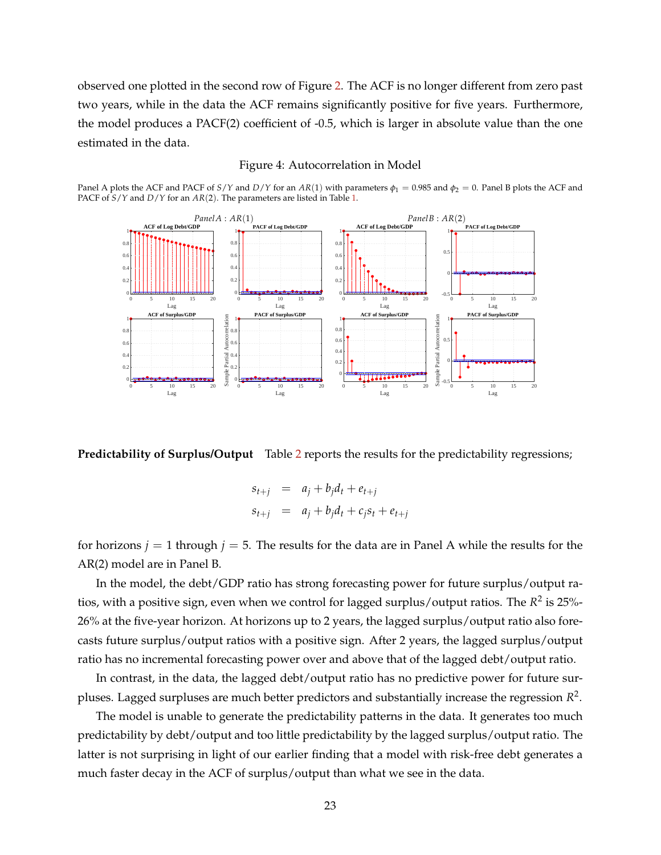observed one plotted in the second row of Figure [2.](#page-20-0) The ACF is no longer different from zero past two years, while in the data the ACF remains significantly positive for five years. Furthermore, the model produces a PACF(2) coefficient of -0.5, which is larger in absolute value than the one estimated in the data.

#### Figure 4: Autocorrelation in Model

<span id="page-23-0"></span>Panel A plots the ACF and PACF of *S*/*Y* and *D*/*Y* for an  $AR(1)$  with parameters  $\phi_1 = 0.985$  and  $\phi_2 = 0$ . Panel B plots the ACF and PACF of *S*/*Y* and *D*/*Y* for an *AR*(2). The parameters are listed in Table [1.](#page-15-1)



**Predictability of Surplus/Output** Table [2](#page-24-0) reports the results for the predictability regressions;

$$
s_{t+j} = a_j + b_j d_t + e_{t+j}
$$
  

$$
s_{t+j} = a_j + b_j d_t + c_j s_t + e_{t+j}
$$

for horizons  $j = 1$  through  $j = 5$ . The results for the data are in Panel A while the results for the AR(2) model are in Panel B.

In the model, the debt/GDP ratio has strong forecasting power for future surplus/output ratios, with a positive sign, even when we control for lagged surplus/output ratios. The  $R^2$  is 25%-26% at the five-year horizon. At horizons up to 2 years, the lagged surplus/output ratio also forecasts future surplus/output ratios with a positive sign. After 2 years, the lagged surplus/output ratio has no incremental forecasting power over and above that of the lagged debt/output ratio.

In contrast, in the data, the lagged debt/output ratio has no predictive power for future surpluses. Lagged surpluses are much better predictors and substantially increase the regression *R* 2 .

The model is unable to generate the predictability patterns in the data. It generates too much predictability by debt/output and too little predictability by the lagged surplus/output ratio. The latter is not surprising in light of our earlier finding that a model with risk-free debt generates a much faster decay in the ACF of surplus/output than what we see in the data.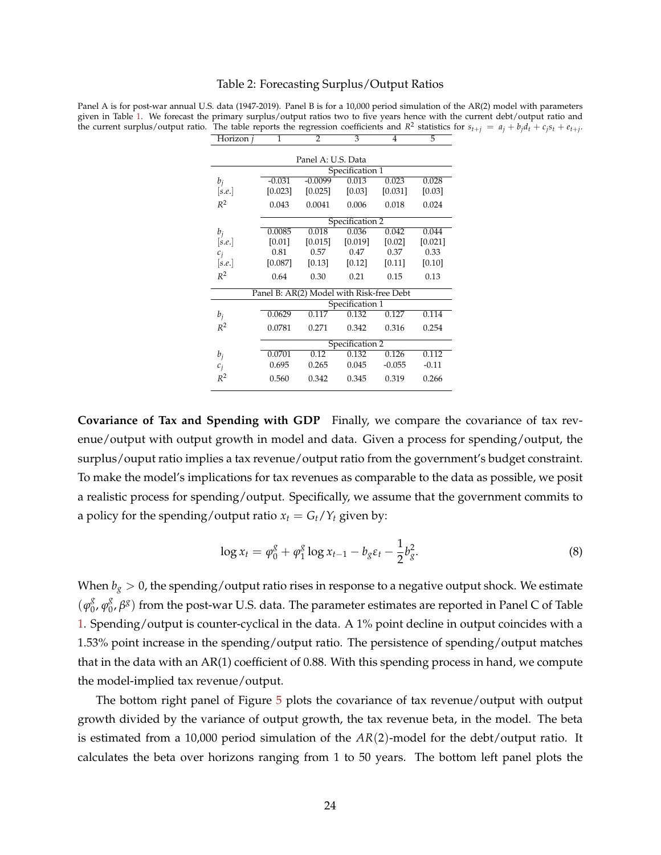#### Table 2: Forecasting Surplus/Output Ratios

<span id="page-24-0"></span>Panel A is for post-war annual U.S. data (1947-2019). Panel B is for a 10,000 period simulation of the AR(2) model with parameters given in Table [1.](#page-15-1) We forecast the primary surplus/output ratios two to five years hence with the current debt/output ratio and the current surplus/output ratio. The table reports the regression coefficients and  $R^2$  statistics for  $s_{t+j} = a_j + b_j d_t + c_j s_t + e_{t+j}$ . Horizon *j* 1 2 3 4 5

| Panel A: U.S. Data                       |                 |           |         |          |         |  |  |  |
|------------------------------------------|-----------------|-----------|---------|----------|---------|--|--|--|
|                                          | Specification 1 |           |         |          |         |  |  |  |
| $b_i$                                    | $-0.031$        | $-0.0099$ | 0.013   | 0.023    | 0.028   |  |  |  |
| [s.e.]                                   | [0.023]         | [0.025]   | [0.03]  | [0.031]  | [0.03]  |  |  |  |
| $R^2$                                    | 0.043           | 0.0041    | 0.006   | 0.018    | 0.024   |  |  |  |
|                                          | Specification 2 |           |         |          |         |  |  |  |
| $b_i$                                    | 0.0085          | 0.018     | 0.036   | 0.042    | 0.044   |  |  |  |
| [s.e.]                                   | [0.01]          | [0.015]   | [0.019] | [0.02]   | [0.021] |  |  |  |
| $c_i$                                    | 0.81            | 0.57      | 0.47    | 0.37     | 0.33    |  |  |  |
| [s.e.]                                   | [0.087]         | [0.13]    | [0.12]  | [0.11]   | [0.10]  |  |  |  |
| $R^2$                                    | 0.64            | 0.30      | 0.21    | 0.15     | 0.13    |  |  |  |
| Panel B: AR(2) Model with Risk-free Debt |                 |           |         |          |         |  |  |  |
|                                          | Specification 1 |           |         |          |         |  |  |  |
| $b_i$                                    | 0.0629          | 0.117     | 0.132   | 0.127    | 0.114   |  |  |  |
| $R^2$                                    | 0.0781          | 0.271     | 0.342   | 0.316    | 0.254   |  |  |  |
|                                          | Specification 2 |           |         |          |         |  |  |  |
| $b_i$                                    | 0.0701          | 0.12      | 0.132   | 0.126    | 0.112   |  |  |  |
| $c_i$                                    | 0.695           | 0.265     | 0.045   | $-0.055$ | $-0.11$ |  |  |  |
| $R^2$                                    | 0.560           | 0.342     | 0.345   | 0.319    | 0.266   |  |  |  |

**Covariance of Tax and Spending with GDP** Finally, we compare the covariance of tax revenue/output with output growth in model and data. Given a process for spending/output, the surplus/ouput ratio implies a tax revenue/output ratio from the government's budget constraint. To make the model's implications for tax revenues as comparable to the data as possible, we posit a realistic process for spending/output. Specifically, we assume that the government commits to a policy for the spending/output ratio  $x_t = G_t/Y_t$  given by:

<span id="page-24-1"></span>
$$
\log x_t = \varphi_0^g + \varphi_1^g \log x_{t-1} - b_g \varepsilon_t - \frac{1}{2} b_g^2. \tag{8}
$$

When  $b_g > 0$ , the spending/output ratio rises in response to a negative output shock. We estimate  $(\varphi_0^g)$  $\frac{g}{0}$ ,  $\varphi_0^g$ 0 , *β g* ) from the post-war U.S. data. The parameter estimates are reported in Panel C of Table [1.](#page-15-1) Spending/output is counter-cyclical in the data. A 1% point decline in output coincides with a 1.53% point increase in the spending/output ratio. The persistence of spending/output matches that in the data with an AR(1) coefficient of 0.88. With this spending process in hand, we compute the model-implied tax revenue/output.

The bottom right panel of Figure [5](#page-26-0) plots the covariance of tax revenue/output with output growth divided by the variance of output growth, the tax revenue beta, in the model. The beta is estimated from a 10,000 period simulation of the *AR*(2)-model for the debt/output ratio. It calculates the beta over horizons ranging from 1 to 50 years. The bottom left panel plots the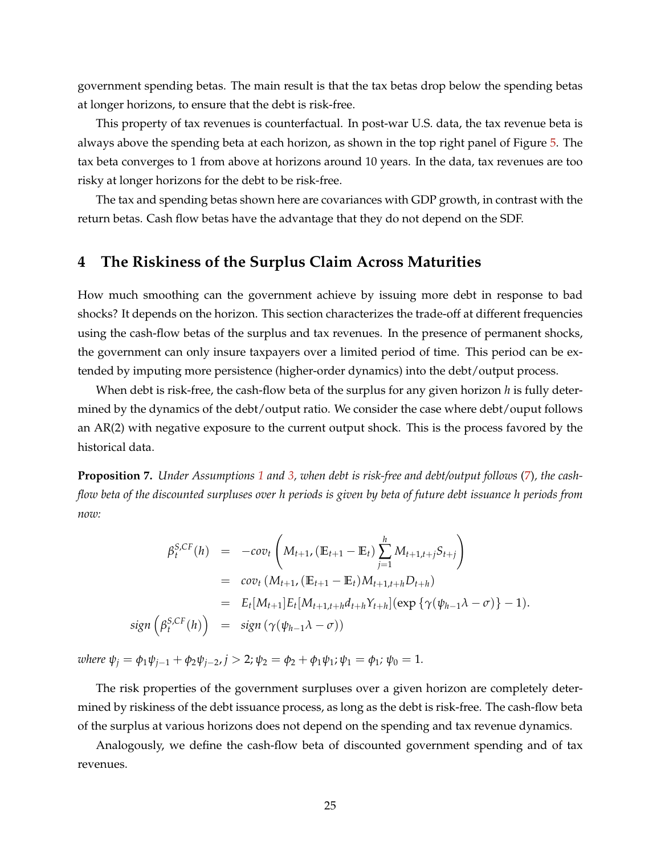government spending betas. The main result is that the tax betas drop below the spending betas at longer horizons, to ensure that the debt is risk-free.

This property of tax revenues is counterfactual. In post-war U.S. data, the tax revenue beta is always above the spending beta at each horizon, as shown in the top right panel of Figure [5.](#page-26-0) The tax beta converges to 1 from above at horizons around 10 years. In the data, tax revenues are too risky at longer horizons for the debt to be risk-free.

The tax and spending betas shown here are covariances with GDP growth, in contrast with the return betas. Cash flow betas have the advantage that they do not depend on the SDF.

# <span id="page-25-0"></span>**4 The Riskiness of the Surplus Claim Across Maturities**

How much smoothing can the government achieve by issuing more debt in response to bad shocks? It depends on the horizon. This section characterizes the trade-off at different frequencies using the cash-flow betas of the surplus and tax revenues. In the presence of permanent shocks, the government can only insure taxpayers over a limited period of time. This period can be extended by imputing more persistence (higher-order dynamics) into the debt/output process.

When debt is risk-free, the cash-flow beta of the surplus for any given horizon *h* is fully determined by the dynamics of the debt/output ratio. We consider the case where debt/ouput follows an AR(2) with negative exposure to the current output shock. This is the process favored by the historical data.

<span id="page-25-1"></span>**Proposition 7.** *Under Assumptions [1](#page-11-2) and [3,](#page-16-0) when debt is risk-free and debt/output follows* [\(7\)](#page-17-0)*, the cashflow beta of the discounted surpluses over h periods is given by beta of future debt issuance h periods from now:*

$$
\beta_t^{S,CF}(h) = -cov_t \left( M_{t+1}, (\mathbb{E}_{t+1} - \mathbb{E}_t) \sum_{j=1}^h M_{t+1,t+j} S_{t+j} \right)
$$
  
\n
$$
= cov_t (M_{t+1}, (\mathbb{E}_{t+1} - \mathbb{E}_t) M_{t+1,t+h} D_{t+h})
$$
  
\n
$$
= E_t [M_{t+1}] E_t [M_{t+1,t+h} d_{t+h} Y_{t+h}] (exp \{ \gamma (\psi_{h-1} \lambda - \sigma) \} - 1).
$$
  
\nsign  $\left( \beta_t^{S,CF}(h) \right) = sign (\gamma (\psi_{h-1} \lambda - \sigma))$ 

*where*  $\psi_j = \phi_1 \psi_{j-1} + \phi_2 \psi_{j-2}, j > 2; \psi_2 = \phi_2 + \phi_1 \psi_1; \psi_1 = \phi_1; \psi_0 = 1.$ 

The risk properties of the government surpluses over a given horizon are completely determined by riskiness of the debt issuance process, as long as the debt is risk-free. The cash-flow beta of the surplus at various horizons does not depend on the spending and tax revenue dynamics.

Analogously, we define the cash-flow beta of discounted government spending and of tax revenues.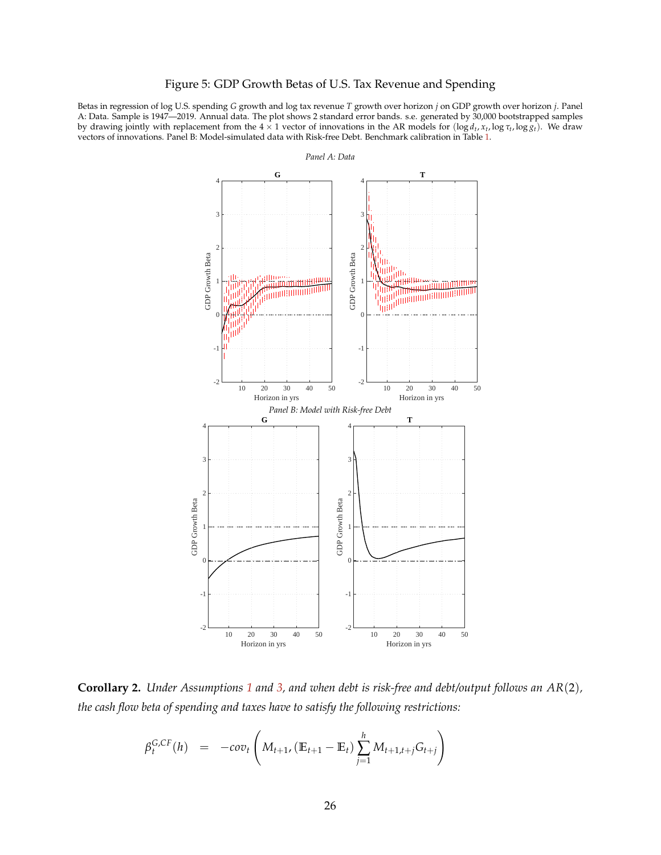## Figure 5: GDP Growth Betas of U.S. Tax Revenue and Spending

<span id="page-26-0"></span>Betas in regression of log U.S. spending *G* growth and log tax revenue *T* growth over horizon *j* on GDP growth over horizon *j*. Panel A: Data. Sample is 1947—2019. Annual data. The plot shows 2 standard error bands. s.e. generated by 30,000 bootstrapped samples by drawing jointly with replacement from the  $4 \times 1$  vector of innovations in the AR models for  $(\log d_t, x_t, \log \tau_t, \log g_t)$ . We draw vectors of innovations. Panel B: Model-simulated data with Risk-free Debt. Benchmark calibration in Table [1.](#page-15-1)



**Corollary 2.** *Under Assumptions [1](#page-11-2) and [3,](#page-16-0) and when debt is risk-free and debt/output follows an AR*(2)*, the cash flow beta of spending and taxes have to satisfy the following restrictions:*

$$
\beta_t^{G,CF}(h) = -\omega v_t \left( M_{t+1}, (\mathbb{E}_{t+1} - \mathbb{E}_t) \sum_{j=1}^h M_{t+1,t+j} G_{t+j} \right)
$$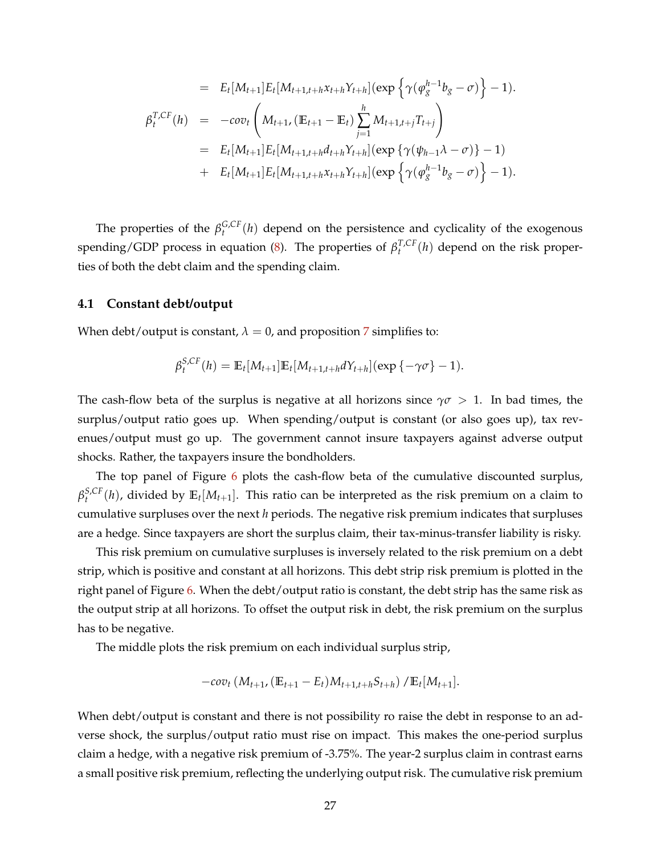$$
= E_t[M_{t+1}]E_t[M_{t+1,t+h}x_{t+h}\gamma_{t+h}](\exp\left\{\gamma(\varphi_g^{h-1}b_g - \sigma)\right\} - 1).
$$
  
\n
$$
\beta_t^{T,CF}(h) = -\omega v_t \left(M_{t+1}, (\mathbb{E}_{t+1} - \mathbb{E}_t) \sum_{j=1}^h M_{t+1,t+j} T_{t+j}\right)
$$
  
\n
$$
= E_t[M_{t+1}]E_t[M_{t+1,t+h}d_{t+h}\gamma_{t+h}](\exp\left\{\gamma(\psi_{h-1}\lambda - \sigma)\right\} - 1)
$$
  
\n
$$
+ E_t[M_{t+1}]E_t[M_{t+1,t+h}x_{t+h}\gamma_{t+h}](\exp\left\{\gamma(\varphi_g^{h-1}b_g - \sigma)\right\} - 1).
$$

The properties of the  $\beta_t^{G,CF}(h)$  depend on the persistence and cyclicality of the exogenous spending/GDP process in equation [\(8\)](#page-24-1). The properties of  $\beta_t^{T,CF}(h)$  depend on the risk properties of both the debt claim and the spending claim.

## **4.1 Constant debt/output**

When debt/output is constant,  $\lambda = 0$ , and proposition [7](#page-25-1) simplifies to:

$$
\beta_t^{S,CF}(h) = \mathbb{E}_t[M_{t+1}]\mathbb{E}_t[M_{t+1,t+h}dY_{t+h}](\exp\{-\gamma\sigma\}-1).
$$

The cash-flow beta of the surplus is negative at all horizons since  $\gamma\sigma > 1$ . In bad times, the surplus/output ratio goes up. When spending/output is constant (or also goes up), tax revenues/output must go up. The government cannot insure taxpayers against adverse output shocks. Rather, the taxpayers insure the bondholders.

The top panel of Figure [6](#page-28-0) plots the cash-flow beta of the cumulative discounted surplus,  $\beta_t^{S,CF}(h)$ , divided by  $\mathbb{E}_t[M_{t+1}]$ . This ratio can be interpreted as the risk premium on a claim to cumulative surpluses over the next *h* periods. The negative risk premium indicates that surpluses are a hedge. Since taxpayers are short the surplus claim, their tax-minus-transfer liability is risky.

This risk premium on cumulative surpluses is inversely related to the risk premium on a debt strip, which is positive and constant at all horizons. This debt strip risk premium is plotted in the right panel of Figure [6.](#page-28-0) When the debt/output ratio is constant, the debt strip has the same risk as the output strip at all horizons. To offset the output risk in debt, the risk premium on the surplus has to be negative.

The middle plots the risk premium on each individual surplus strip,

$$
-cov_t(M_{t+1}, (\mathbb{E}_{t+1}-E_t)M_{t+1,t+h}S_{t+h})/\mathbb{E}_t[M_{t+1}].
$$

When debt/output is constant and there is not possibility ro raise the debt in response to an adverse shock, the surplus/output ratio must rise on impact. This makes the one-period surplus claim a hedge, with a negative risk premium of -3.75%. The year-2 surplus claim in contrast earns a small positive risk premium, reflecting the underlying output risk. The cumulative risk premium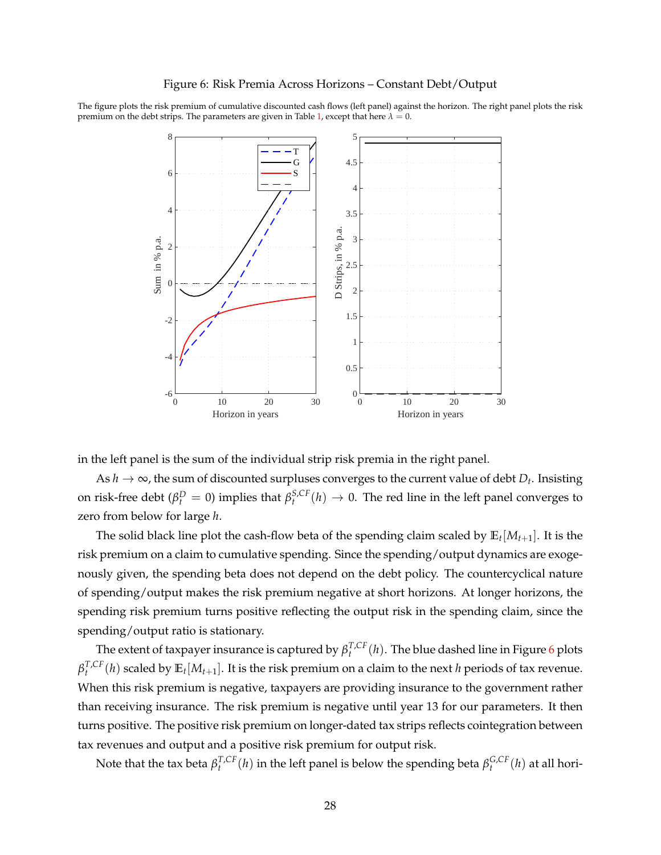<span id="page-28-0"></span>The figure plots the risk premium of cumulative discounted cash flows (left panel) against the horizon. The right panel plots the risk premium on the debt strips. The parameters are given in Table [1,](#page-15-1) except that here  $\lambda = 0$ .



in the left panel is the sum of the individual strip risk premia in the right panel.

As  $h \to \infty$ , the sum of discounted surpluses converges to the current value of debt  $D_t$ . Insisting on risk-free debt ( $\beta_t^D = 0$ ) implies that  $\beta_t^{S,CF}(h) \to 0$ . The red line in the left panel converges to zero from below for large *h*.

The solid black line plot the cash-flow beta of the spending claim scaled by **E***<sup>t</sup>* [*Mt*+1]. It is the risk premium on a claim to cumulative spending. Since the spending/output dynamics are exogenously given, the spending beta does not depend on the debt policy. The countercyclical nature of spending/output makes the risk premium negative at short horizons. At longer horizons, the spending risk premium turns positive reflecting the output risk in the spending claim, since the spending/output ratio is stationary.

The extent of taxpayer insurance is captured by  $\beta_t^{T,CF}(h)$ . The blue dashed line in Figure [6](#page-28-0) plots  $\beta_t^{T,CF}(h)$  scaled by  $\mathbb{E}_t[M_{t+1}]$ . It is the risk premium on a claim to the next *h* periods of tax revenue. When this risk premium is negative, taxpayers are providing insurance to the government rather than receiving insurance. The risk premium is negative until year 13 for our parameters. It then turns positive. The positive risk premium on longer-dated tax strips reflects cointegration between tax revenues and output and a positive risk premium for output risk.

Note that the tax beta  $\beta_t^{T,CF}(h)$  in the left panel is below the spending beta  $\beta_t^{G,CF}(h)$  at all hori-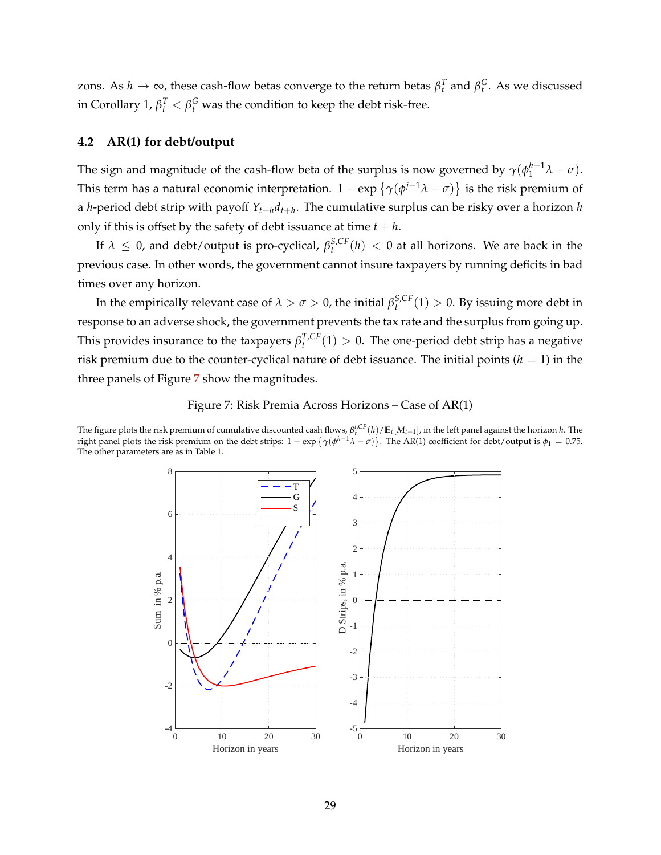zons. As  $h \to \infty$ , these cash-flow betas converge to the return betas  $β_t^T$  and  $β_t^G$ . As we discussed in Corollary 1,  $\beta_t^T < \beta_t^G$  was the condition to keep the debt risk-free.

# **4.2 AR(1) for debt/output**

The sign and magnitude of the cash-flow beta of the surplus is now governed by  $\gamma(\phi_1^{h-1}\lambda-\sigma)$ . This term has a natural economic interpretation. 1 – exp  $\{\gamma(\phi^{j-1}\lambda-\sigma)\}$  is the risk premium of a *h*-period debt strip with payoff *Yt*+*hdt*+*<sup>h</sup>* . The cumulative surplus can be risky over a horizon *h* only if this is offset by the safety of debt issuance at time  $t + h$ .

If  $\lambda \leq 0$ , and debt/output is pro-cyclical,  $\beta_t^{S,CF}(h) < 0$  at all horizons. We are back in the previous case. In other words, the government cannot insure taxpayers by running deficits in bad times over any horizon.

In the empirically relevant case of  $\lambda > \sigma > 0$ , the initial  $\beta_t^{S,CF}(1) > 0$ . By issuing more debt in response to an adverse shock, the government prevents the tax rate and the surplus from going up. This provides insurance to the taxpayers  $\beta_t^{T,CF}(1) > 0$ . The one-period debt strip has a negative risk premium due to the counter-cyclical nature of debt issuance. The initial points  $(h = 1)$  in the three panels of Figure [7](#page-29-0) show the magnitudes.



<span id="page-29-0"></span>The figure plots the risk premium of cumulative discounted cash flows,  $\beta_t^{i,CF}(h)/\mathbb{E}_t[M_{t+1}]$ , in the left panel against the horizon *h*. The right panel plots the risk premium on the debt strips:  $1 - \exp\{\gamma(\phi^{h-1}\lambda - \sigma)\}$ . The AR(1) coefficient for debt/output is  $\phi_1 = 0.75$ . The other parameters are as in Table [1.](#page-15-1)

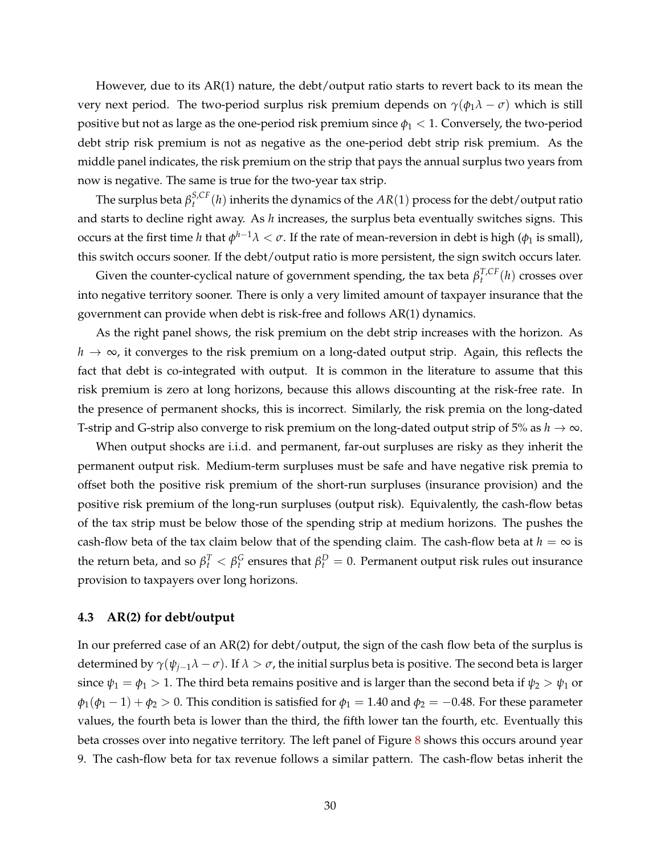However, due to its AR(1) nature, the debt/output ratio starts to revert back to its mean the very next period. The two-period surplus risk premium depends on  $\gamma(\phi_1 \lambda - \sigma)$  which is still positive but not as large as the one-period risk premium since  $\phi_1 < 1$ . Conversely, the two-period debt strip risk premium is not as negative as the one-period debt strip risk premium. As the middle panel indicates, the risk premium on the strip that pays the annual surplus two years from now is negative. The same is true for the two-year tax strip.

The surplus beta  $\beta_t^{S,CF}(h)$  inherits the dynamics of the  $AR(1)$  process for the debt/output ratio and starts to decline right away. As *h* increases, the surplus beta eventually switches signs. This occurs at the first time *h* that  $\phi^{h-1}λ < σ$ . If the rate of mean-reversion in debt is high ( $\phi_1$  is small), this switch occurs sooner. If the debt/output ratio is more persistent, the sign switch occurs later.

Given the counter-cyclical nature of government spending, the tax beta  $\beta_t^{T,CF}(h)$  crosses over into negative territory sooner. There is only a very limited amount of taxpayer insurance that the government can provide when debt is risk-free and follows AR(1) dynamics.

As the right panel shows, the risk premium on the debt strip increases with the horizon. As  $h \to \infty$ , it converges to the risk premium on a long-dated output strip. Again, this reflects the fact that debt is co-integrated with output. It is common in the literature to assume that this risk premium is zero at long horizons, because this allows discounting at the risk-free rate. In the presence of permanent shocks, this is incorrect. Similarly, the risk premia on the long-dated T-strip and G-strip also converge to risk premium on the long-dated output strip of 5% as  $h \to \infty$ .

When output shocks are i.i.d. and permanent, far-out surpluses are risky as they inherit the permanent output risk. Medium-term surpluses must be safe and have negative risk premia to offset both the positive risk premium of the short-run surpluses (insurance provision) and the positive risk premium of the long-run surpluses (output risk). Equivalently, the cash-flow betas of the tax strip must be below those of the spending strip at medium horizons. The pushes the cash-flow beta of the tax claim below that of the spending claim. The cash-flow beta at  $h = \infty$  is the return beta, and so  $β_t^T < β_t^G$  ensures that  $β_t^D = 0$ . Permanent output risk rules out insurance provision to taxpayers over long horizons.

#### **4.3 AR(2) for debt/output**

In our preferred case of an AR(2) for debt/output, the sign of the cash flow beta of the surplus is determined by  $\gamma(\psi_{i-1}\lambda - \sigma)$ . If  $\lambda > \sigma$ , the initial surplus beta is positive. The second beta is larger since  $\psi_1 = \phi_1 > 1$ . The third beta remains positive and is larger than the second beta if  $\psi_2 > \psi_1$  or  $\phi_1(\phi_1 - 1) + \phi_2 > 0$ . This condition is satisfied for  $\phi_1 = 1.40$  and  $\phi_2 = -0.48$ . For these parameter values, the fourth beta is lower than the third, the fifth lower tan the fourth, etc. Eventually this beta crosses over into negative territory. The left panel of Figure [8](#page-31-0) shows this occurs around year 9. The cash-flow beta for tax revenue follows a similar pattern. The cash-flow betas inherit the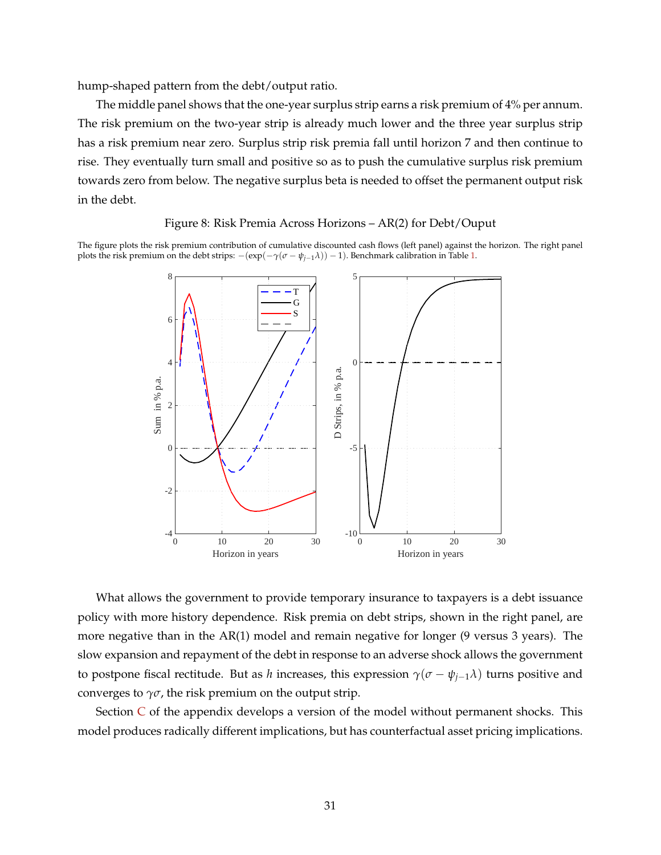hump-shaped pattern from the debt/output ratio.

The middle panel shows that the one-year surplus strip earns a risk premium of 4% per annum. The risk premium on the two-year strip is already much lower and the three year surplus strip has a risk premium near zero. Surplus strip risk premia fall until horizon 7 and then continue to rise. They eventually turn small and positive so as to push the cumulative surplus risk premium towards zero from below. The negative surplus beta is needed to offset the permanent output risk in the debt.

## Figure 8: Risk Premia Across Horizons – AR(2) for Debt/Ouput

<span id="page-31-0"></span>The figure plots the risk premium contribution of cumulative discounted cash flows (left panel) against the horizon. The right panel plots the risk premium on the debt strips:  $-(exp(-\gamma(\sigma - \psi_{i-1}\lambda)) - 1)$ . Benchmark calibration in Table [1.](#page-15-1)



What allows the government to provide temporary insurance to taxpayers is a debt issuance policy with more history dependence. Risk premia on debt strips, shown in the right panel, are more negative than in the AR(1) model and remain negative for longer (9 versus 3 years). The slow expansion and repayment of the debt in response to an adverse shock allows the government to postpone fiscal rectitude. But as *h* increases, this expression  $\gamma(\sigma - \psi_{i-1}\lambda)$  turns positive and converges to  $\gamma\sigma$ , the risk premium on the output strip.

Section  $C$  of the appendix develops a version of the model without permanent shocks. This model produces radically different implications, but has counterfactual asset pricing implications.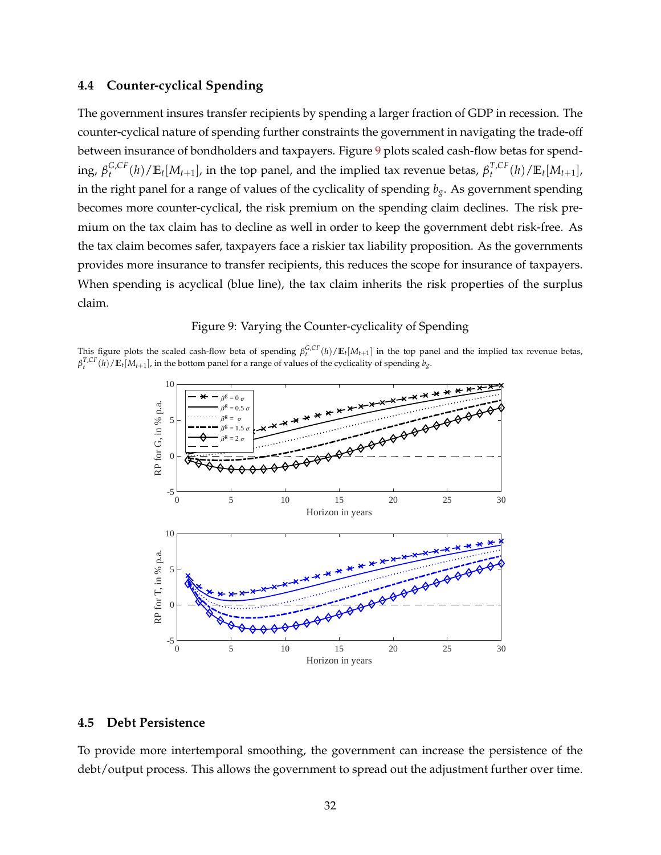# **4.4 Counter-cyclical Spending**

The government insures transfer recipients by spending a larger fraction of GDP in recession. The counter-cyclical nature of spending further constraints the government in navigating the trade-off between insurance of bondholders and taxpayers. Figure [9](#page-32-0) plots scaled cash-flow betas for spending,  $\beta_t^{G,CF}(h)/\mathbb{E}_t[M_{t+1}]$ , in the top panel, and the implied tax revenue betas,  $\beta_t^{T,CF}(h)/\mathbb{E}_t[M_{t+1}]$ , in the right panel for a range of values of the cyclicality of spending *bg*. As government spending becomes more counter-cyclical, the risk premium on the spending claim declines. The risk premium on the tax claim has to decline as well in order to keep the government debt risk-free. As the tax claim becomes safer, taxpayers face a riskier tax liability proposition. As the governments provides more insurance to transfer recipients, this reduces the scope for insurance of taxpayers. When spending is acyclical (blue line), the tax claim inherits the risk properties of the surplus claim.

## Figure 9: Varying the Counter-cyclicality of Spending

<span id="page-32-0"></span>This figure plots the scaled cash-flow beta of spending  $\beta_t^{G,CF}(h)/\mathbb{E}_t[M_{t+1}]$  in the top panel and the implied tax revenue betas,  $\beta_t^{T,CF}(h)/\mathbb{E}_t[M_{t+1}]$ , in the bottom panel for a range of values of the cyclicality of spending  $b_g$ .



## **4.5 Debt Persistence**

To provide more intertemporal smoothing, the government can increase the persistence of the debt/output process. This allows the government to spread out the adjustment further over time.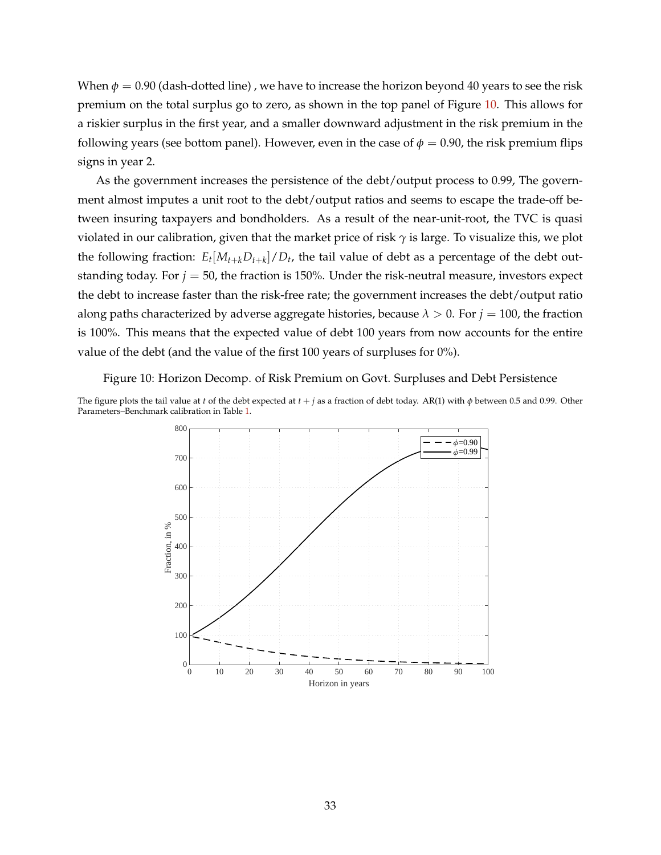When  $\phi = 0.90$  (dash-dotted line), we have to increase the horizon beyond 40 years to see the risk premium on the total surplus go to zero, as shown in the top panel of Figure [10.](#page-33-0) This allows for a riskier surplus in the first year, and a smaller downward adjustment in the risk premium in the following years (see bottom panel). However, even in the case of  $\phi = 0.90$ , the risk premium flips signs in year 2.

As the government increases the persistence of the debt/output process to 0.99, The government almost imputes a unit root to the debt/output ratios and seems to escape the trade-off between insuring taxpayers and bondholders. As a result of the near-unit-root, the TVC is quasi violated in our calibration, given that the market price of risk *γ* is large. To visualize this, we plot the following fraction:  $E_t[M_{t+k}D_{t+k}]/D_t$ , the tail value of debt as a percentage of the debt outstanding today. For  $j = 50$ , the fraction is 150%. Under the risk-neutral measure, investors expect the debt to increase faster than the risk-free rate; the government increases the debt/output ratio along paths characterized by adverse aggregate histories, because  $\lambda > 0$ . For  $j = 100$ , the fraction is 100%. This means that the expected value of debt 100 years from now accounts for the entire value of the debt (and the value of the first 100 years of surpluses for 0%).

<span id="page-33-0"></span>Figure 10: Horizon Decomp. of Risk Premium on Govt. Surpluses and Debt Persistence

The figure plots the tail value at *t* of the debt expected at *t* + *j* as a fraction of debt today. AR(1) with *φ* between 0.5 and 0.99. Other Parameters–Benchmark calibration in Table [1.](#page-15-1)

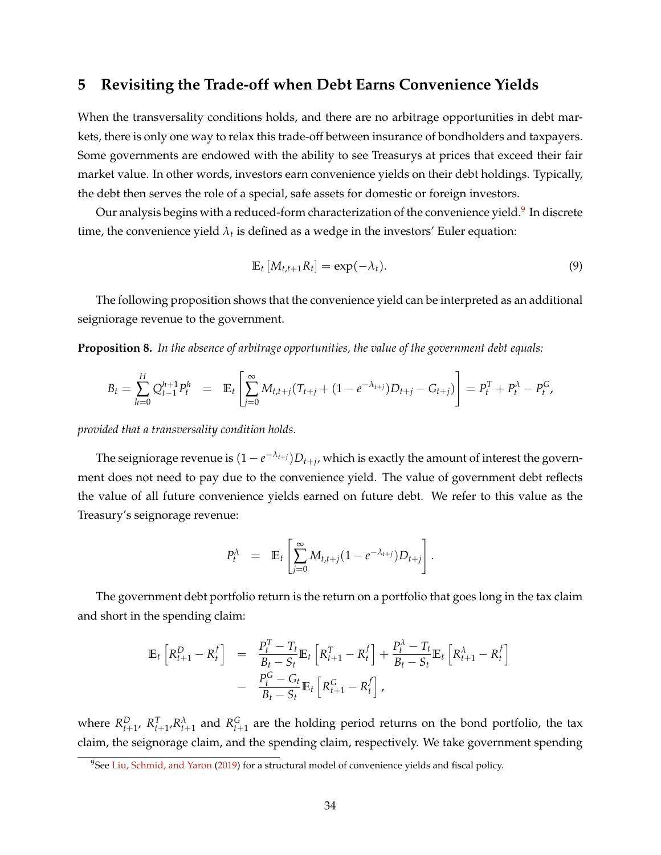# <span id="page-34-0"></span>**5 Revisiting the Trade-off when Debt Earns Convenience Yields**

When the transversality conditions holds, and there are no arbitrage opportunities in debt markets, there is only one way to relax this trade-off between insurance of bondholders and taxpayers. Some governments are endowed with the ability to see Treasurys at prices that exceed their fair market value. In other words, investors earn convenience yields on their debt holdings. Typically, the debt then serves the role of a special, safe assets for domestic or foreign investors.

Our analysis begins with a reduced-form characterization of the convenience yield.<sup>[9](#page-34-1)</sup> In discrete time, the convenience yield  $\lambda_t$  is defined as a wedge in the investors' Euler equation:

$$
\mathbb{E}_t\left[M_{t,t+1}R_t\right] = \exp(-\lambda_t). \tag{9}
$$

The following proposition shows that the convenience yield can be interpreted as an additional seigniorage revenue to the government.

**Proposition 8.** *In the absence of arbitrage opportunities, the value of the government debt equals:*

$$
B_t = \sum_{h=0}^H Q_{t-1}^{h+1} P_t^h = \mathbb{E}_t \left[ \sum_{j=0}^\infty M_{t,t+j} (T_{t+j} + (1 - e^{-\lambda_{t+j}}) D_{t+j} - G_{t+j}) \right] = P_t^T + P_t^{\lambda} - P_t^G,
$$

*provided that a transversality condition holds.*

The seigniorage revenue is  $(1-e^{-\lambda_{t+j}})D_{t+j}$ , which is exactly the amount of interest the government does not need to pay due to the convenience yield. The value of government debt reflects the value of all future convenience yields earned on future debt. We refer to this value as the Treasury's seignorage revenue:

$$
P_t^{\lambda} = \mathbb{E}_t \left[ \sum_{j=0}^{\infty} M_{t,t+j} (1 - e^{-\lambda_{t+j}}) D_{t+j} \right].
$$

The government debt portfolio return is the return on a portfolio that goes long in the tax claim and short in the spending claim:

$$
\mathbb{E}_{t}\left[R_{t+1}^{D} - R_{t}^{f}\right] = \frac{P_{t}^{T} - T_{t}}{B_{t} - S_{t}}\mathbb{E}_{t}\left[R_{t+1}^{T} - R_{t}^{f}\right] + \frac{P_{t}^{\lambda} - T_{t}}{B_{t} - S_{t}}\mathbb{E}_{t}\left[R_{t+1}^{\lambda} - R_{t}^{f}\right] - \frac{P_{t}^{G} - G_{t}}{B_{t} - S_{t}}\mathbb{E}_{t}\left[R_{t+1}^{G} - R_{t}^{f}\right],
$$

where  $R_{t+1}^D$ ,  $R_{t+1}^T$ ,  $R_{t+1}^{\lambda}$  and  $R_{t+1}^G$  are the holding period returns on the bond portfolio, the tax claim, the seignorage claim, and the spending claim, respectively. We take government spending

<span id="page-34-1"></span><sup>&</sup>lt;sup>9</sup>See [Liu, Schmid, and Yaron](#page-39-8) [\(2019\)](#page-39-8) for a structural model of convenience yields and fiscal policy.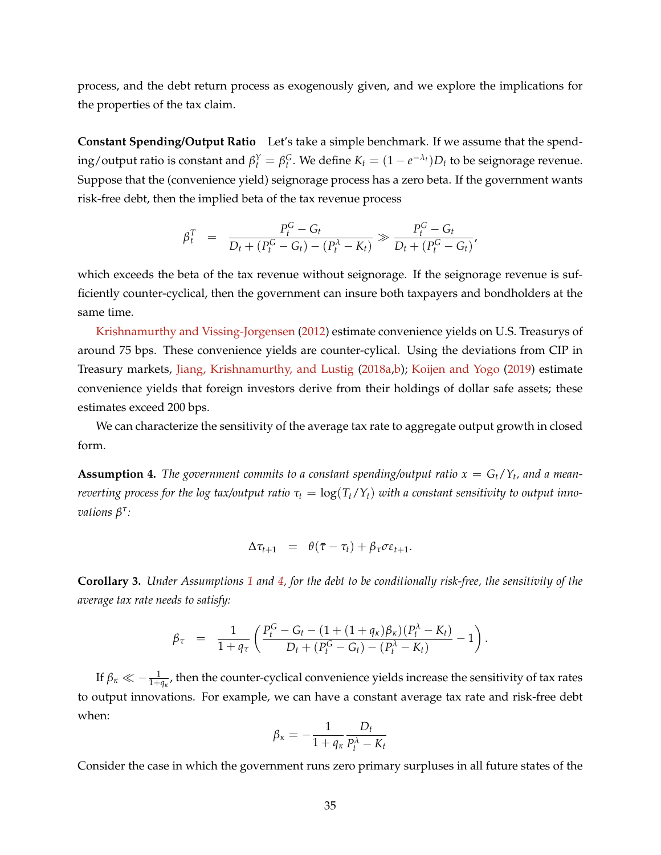process, and the debt return process as exogenously given, and we explore the implications for the properties of the tax claim.

**Constant Spending/Output Ratio** Let's take a simple benchmark. If we assume that the spend- $\log$  / output ratio is constant and  $\beta_t^Y = \beta_t^G$ . We define  $K_t = (1 - e^{-\lambda_t})D_t$  to be seignorage revenue. Suppose that the (convenience yield) seignorage process has a zero beta. If the government wants risk-free debt, then the implied beta of the tax revenue process

$$
\beta_t^T = \frac{P_t^G - G_t}{D_t + (P_t^G - G_t) - (P_t^{\lambda} - K_t)} \gg \frac{P_t^G - G_t}{D_t + (P_t^G - G_t)},
$$

which exceeds the beta of the tax revenue without seignorage. If the seignorage revenue is sufficiently counter-cyclical, then the government can insure both taxpayers and bondholders at the same time.

[Krishnamurthy and Vissing-Jorgensen](#page-39-16) [\(2012\)](#page-39-16) estimate convenience yields on U.S. Treasurys of around 75 bps. These convenience yields are counter-cylical. Using the deviations from CIP in Treasury markets, [Jiang, Krishnamurthy, and Lustig](#page-38-11) [\(2018a](#page-38-11)[,b\)](#page-38-15); [Koijen and Yogo](#page-39-9) [\(2019\)](#page-39-9) estimate convenience yields that foreign investors derive from their holdings of dollar safe assets; these estimates exceed 200 bps.

We can characterize the sensitivity of the average tax rate to aggregate output growth in closed form.

<span id="page-35-0"></span>**Assumption 4.** The government commits to a constant spending/output ratio  $x = G_t/Y_t$ , and a mean*reverting process for the log tax/output ratio*  $\tau_t = \log(T_t/Y_t)$  *with a constant sensitivity to output innovations β τ :*

$$
\Delta \tau_{t+1} = \theta(\bar{\tau} - \tau_t) + \beta_{\tau} \sigma \varepsilon_{t+1}.
$$

**Corollary 3.** *Under Assumptions [1](#page-11-2) and [4,](#page-35-0) for the debt to be conditionally risk-free, the sensitivity of the average tax rate needs to satisfy:*

$$
\beta_{\tau} = \frac{1}{1+q_{\tau}} \left( \frac{P_t^G - G_t - (1 + (1+q_{\kappa})\beta_{\kappa})(P_t^{\lambda} - K_t)}{D_t + (P_t^G - G_t) - (P_t^{\lambda} - K_t)} - 1 \right).
$$

If  $\beta_\kappa\ll-\frac{1}{1+q_\kappa}$ , then the counter-cyclical convenience yields increase the sensitivity of tax rates to output innovations. For example, we can have a constant average tax rate and risk-free debt when:

$$
\beta_{\kappa} = -\frac{1}{1 + q_{\kappa}} \frac{D_t}{P_t^{\lambda} - K_t}
$$

Consider the case in which the government runs zero primary surpluses in all future states of the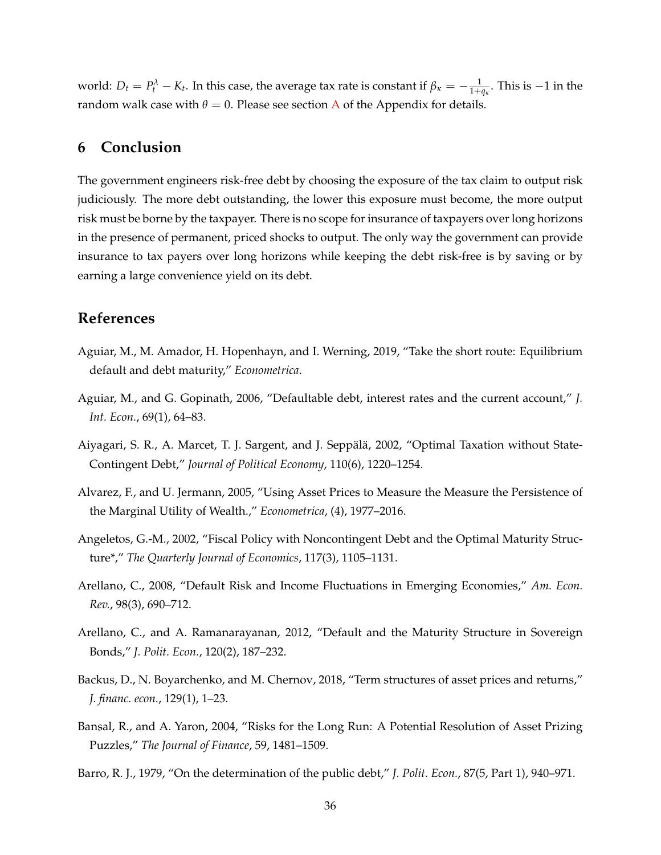world:  $D_t = P_t^{\lambda} - K_t$ . In this case, the average tax rate is constant if  $\beta_{\kappa} = -\frac{1}{1+q_{\kappa}}$ . This is  $-1$  in the random walk case with  $\theta = 0$ . Please see section [A](#page-40-0) of the Appendix for details.

### **6 Conclusion**

The government engineers risk-free debt by choosing the exposure of the tax claim to output risk judiciously. The more debt outstanding, the lower this exposure must become, the more output risk must be borne by the taxpayer. There is no scope for insurance of taxpayers over long horizons in the presence of permanent, priced shocks to output. The only way the government can provide insurance to tax payers over long horizons while keeping the debt risk-free is by saving or by earning a large convenience yield on its debt.

### **References**

- Aguiar, M., M. Amador, H. Hopenhayn, and I. Werning, 2019, "Take the short route: Equilibrium default and debt maturity," *Econometrica*.
- Aguiar, M., and G. Gopinath, 2006, "Defaultable debt, interest rates and the current account," *J. Int. Econ.*, 69(1), 64–83.
- Aiyagari, S. R., A. Marcet, T. J. Sargent, and J. Seppalä, 2002, "Optimal Taxation without State-Contingent Debt," *Journal of Political Economy*, 110(6), 1220–1254.
- <span id="page-36-1"></span>Alvarez, F., and U. Jermann, 2005, "Using Asset Prices to Measure the Measure the Persistence of the Marginal Utility of Wealth.," *Econometrica*, (4), 1977–2016.
- Angeletos, G.-M., 2002, "Fiscal Policy with Noncontingent Debt and the Optimal Maturity Structure\*," *The Quarterly Journal of Economics*, 117(3), 1105–1131.
- Arellano, C., 2008, "Default Risk and Income Fluctuations in Emerging Economies," *Am. Econ. Rev.*, 98(3), 690–712.
- Arellano, C., and A. Ramanarayanan, 2012, "Default and the Maturity Structure in Sovereign Bonds," *J. Polit. Econ.*, 120(2), 187–232.
- <span id="page-36-3"></span>Backus, D., N. Boyarchenko, and M. Chernov, 2018, "Term structures of asset prices and returns," *J. financ. econ.*, 129(1), 1–23.
- <span id="page-36-2"></span>Bansal, R., and A. Yaron, 2004, "Risks for the Long Run: A Potential Resolution of Asset Prizing Puzzles," *The Journal of Finance*, 59, 1481–1509.
- <span id="page-36-0"></span>Barro, R. J., 1979, "On the determination of the public debt," *J. Polit. Econ.*, 87(5, Part 1), 940–971.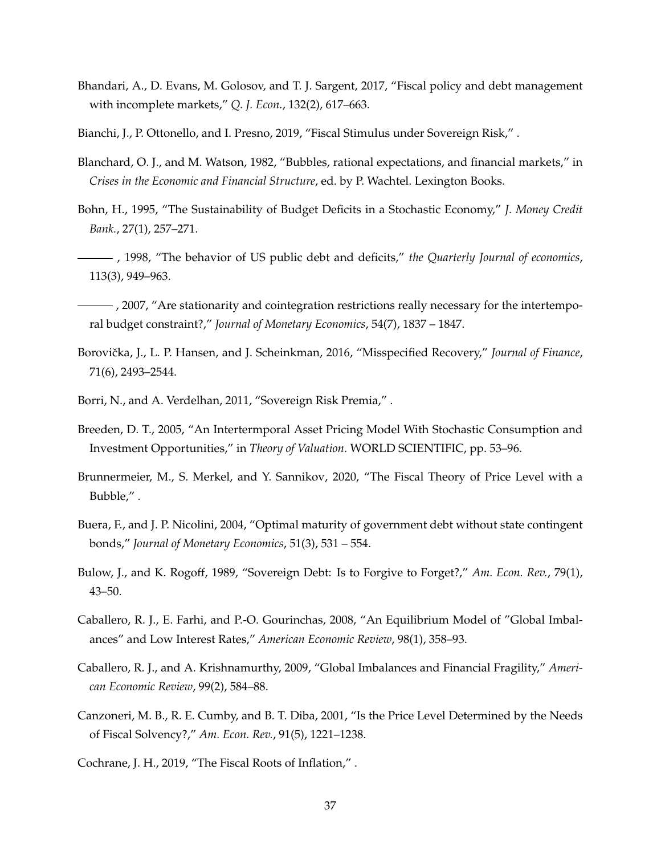- Bhandari, A., D. Evans, M. Golosov, and T. J. Sargent, 2017, "Fiscal policy and debt management with incomplete markets," *Q. J. Econ.*, 132(2), 617–663.
- Bianchi, J., P. Ottonello, and I. Presno, 2019, "Fiscal Stimulus under Sovereign Risk," .
- Blanchard, O. J., and M. Watson, 1982, "Bubbles, rational expectations, and financial markets," in *Crises in the Economic and Financial Structure*, ed. by P. Wachtel. Lexington Books.
- Bohn, H., 1995, "The Sustainability of Budget Deficits in a Stochastic Economy," *J. Money Credit Bank.*, 27(1), 257–271.
- , 1998, "The behavior of US public debt and deficits," *the Quarterly Journal of economics*, 113(3), 949–963.
- $\frac{1}{1}$ , 2007, "Are stationarity and cointegration restrictions really necessary for the intertemporal budget constraint?," *Journal of Monetary Economics*, 54(7), 1837 – 1847.
- <span id="page-37-0"></span>Borovička, J., L. P. Hansen, and J. Scheinkman, 2016, "Misspecified Recovery," Journal of Finance, 71(6), 2493–2544.
- Borri, N., and A. Verdelhan, 2011, "Sovereign Risk Premia," .
- Breeden, D. T., 2005, "An Intertermporal Asset Pricing Model With Stochastic Consumption and Investment Opportunities," in *Theory of Valuation*. WORLD SCIENTIFIC, pp. 53–96.
- Brunnermeier, M., S. Merkel, and Y. Sannikov, 2020, "The Fiscal Theory of Price Level with a Bubble," .
- Buera, F., and J. P. Nicolini, 2004, "Optimal maturity of government debt without state contingent bonds," *Journal of Monetary Economics*, 51(3), 531 – 554.
- Bulow, J., and K. Rogoff, 1989, "Sovereign Debt: Is to Forgive to Forget?," *Am. Econ. Rev.*, 79(1), 43–50.
- Caballero, R. J., E. Farhi, and P.-O. Gourinchas, 2008, "An Equilibrium Model of "Global Imbalances" and Low Interest Rates," *American Economic Review*, 98(1), 358–93.
- Caballero, R. J., and A. Krishnamurthy, 2009, "Global Imbalances and Financial Fragility," *American Economic Review*, 99(2), 584–88.
- Canzoneri, M. B., R. E. Cumby, and B. T. Diba, 2001, "Is the Price Level Determined by the Needs of Fiscal Solvency?," *Am. Econ. Rev.*, 91(5), 1221–1238.

Cochrane, J. H., 2019, "The Fiscal Roots of Inflation," .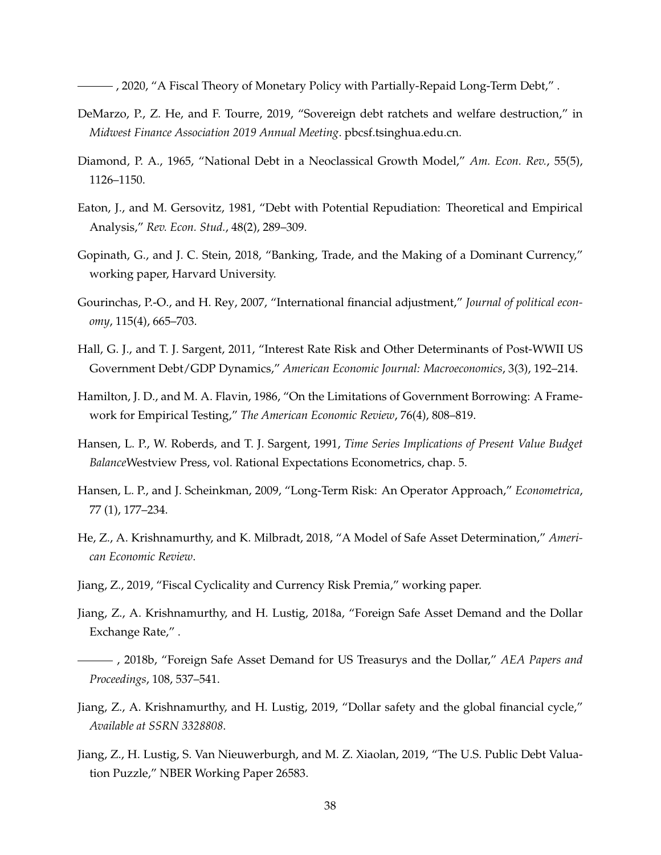, 2020, "A Fiscal Theory of Monetary Policy with Partially-Repaid Long-Term Debt," .

- DeMarzo, P., Z. He, and F. Tourre, 2019, "Sovereign debt ratchets and welfare destruction," in *Midwest Finance Association 2019 Annual Meeting*. pbcsf.tsinghua.edu.cn.
- Diamond, P. A., 1965, "National Debt in a Neoclassical Growth Model," *Am. Econ. Rev.*, 55(5), 1126–1150.
- Eaton, J., and M. Gersovitz, 1981, "Debt with Potential Repudiation: Theoretical and Empirical Analysis," *Rev. Econ. Stud.*, 48(2), 289–309.
- Gopinath, G., and J. C. Stein, 2018, "Banking, Trade, and the Making of a Dominant Currency," working paper, Harvard University.
- Gourinchas, P.-O., and H. Rey, 2007, "International financial adjustment," *Journal of political economy*, 115(4), 665–703.
- Hall, G. J., and T. J. Sargent, 2011, "Interest Rate Risk and Other Determinants of Post-WWII US Government Debt/GDP Dynamics," *American Economic Journal: Macroeconomics*, 3(3), 192–214.
- Hamilton, J. D., and M. A. Flavin, 1986, "On the Limitations of Government Borrowing: A Framework for Empirical Testing," *The American Economic Review*, 76(4), 808–819.
- Hansen, L. P., W. Roberds, and T. J. Sargent, 1991, *Time Series Implications of Present Value Budget Balance*Westview Press, vol. Rational Expectations Econometrics, chap. 5.
- <span id="page-38-0"></span>Hansen, L. P., and J. Scheinkman, 2009, "Long-Term Risk: An Operator Approach," *Econometrica*, 77 (1), 177–234.
- He, Z., A. Krishnamurthy, and K. Milbradt, 2018, "A Model of Safe Asset Determination," *American Economic Review*.
- Jiang, Z., 2019, "Fiscal Cyclicality and Currency Risk Premia," working paper.
- Jiang, Z., A. Krishnamurthy, and H. Lustig, 2018a, "Foreign Safe Asset Demand and the Dollar Exchange Rate," .
- , 2018b, "Foreign Safe Asset Demand for US Treasurys and the Dollar," *AEA Papers and Proceedings*, 108, 537–541.
- Jiang, Z., A. Krishnamurthy, and H. Lustig, 2019, "Dollar safety and the global financial cycle," *Available at SSRN 3328808*.
- <span id="page-38-1"></span>Jiang, Z., H. Lustig, S. Van Nieuwerburgh, and M. Z. Xiaolan, 2019, "The U.S. Public Debt Valuation Puzzle," NBER Working Paper 26583.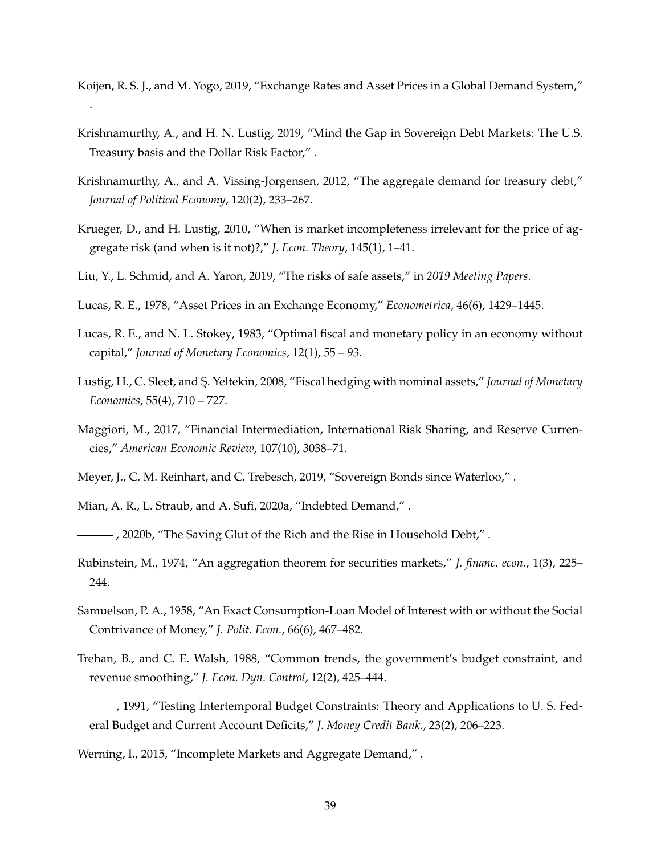Koijen, R. S. J., and M. Yogo, 2019, "Exchange Rates and Asset Prices in a Global Demand System," .

- Krishnamurthy, A., and H. N. Lustig, 2019, "Mind the Gap in Sovereign Debt Markets: The U.S. Treasury basis and the Dollar Risk Factor," .
- Krishnamurthy, A., and A. Vissing-Jorgensen, 2012, "The aggregate demand for treasury debt," *Journal of Political Economy*, 120(2), 233–267.
- Krueger, D., and H. Lustig, 2010, "When is market incompleteness irrelevant for the price of aggregate risk (and when is it not)?," *J. Econ. Theory*, 145(1), 1–41.
- Liu, Y., L. Schmid, and A. Yaron, 2019, "The risks of safe assets," in *2019 Meeting Papers*.
- Lucas, R. E., 1978, "Asset Prices in an Exchange Economy," *Econometrica*, 46(6), 1429–1445.
- Lucas, R. E., and N. L. Stokey, 1983, "Optimal fiscal and monetary policy in an economy without capital," *Journal of Monetary Economics*, 12(1), 55 – 93.
- Lustig, H., C. Sleet, and S¸. Yeltekin, 2008, "Fiscal hedging with nominal assets," *Journal of Monetary Economics*, 55(4), 710 – 727.
- Maggiori, M., 2017, "Financial Intermediation, International Risk Sharing, and Reserve Currencies," *American Economic Review*, 107(10), 3038–71.
- Meyer, J., C. M. Reinhart, and C. Trebesch, 2019, "Sovereign Bonds since Waterloo," .
- Mian, A. R., L. Straub, and A. Sufi, 2020a, "Indebted Demand," .
- , 2020b, "The Saving Glut of the Rich and the Rise in Household Debt," .
- Rubinstein, M., 1974, "An aggregation theorem for securities markets," *J. financ. econ.*, 1(3), 225– 244.
- Samuelson, P. A., 1958, "An Exact Consumption-Loan Model of Interest with or without the Social Contrivance of Money," *J. Polit. Econ.*, 66(6), 467–482.
- Trehan, B., and C. E. Walsh, 1988, "Common trends, the government's budget constraint, and revenue smoothing," *J. Econ. Dyn. Control*, 12(2), 425–444.
- , 1991, "Testing Intertemporal Budget Constraints: Theory and Applications to U. S. Federal Budget and Current Account Deficits," *J. Money Credit Bank.*, 23(2), 206–223.
- Werning, I., 2015, "Incomplete Markets and Aggregate Demand," .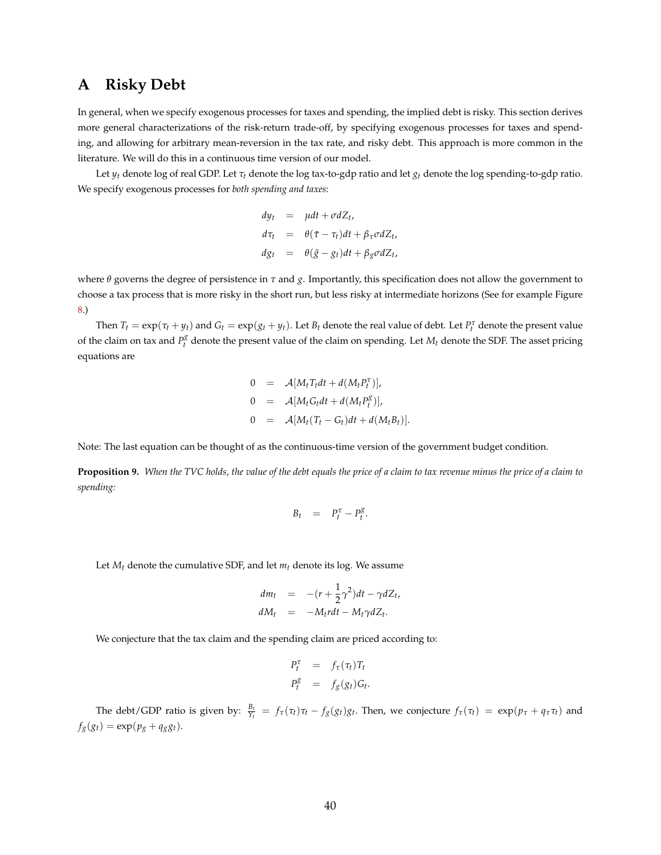# <span id="page-40-0"></span>**A Risky Debt**

In general, when we specify exogenous processes for taxes and spending, the implied debt is risky. This section derives more general characterizations of the risk-return trade-off, by specifying exogenous processes for taxes and spending, and allowing for arbitrary mean-reversion in the tax rate, and risky debt. This approach is more common in the literature. We will do this in a continuous time version of our model.

Let  $y_t$  denote log of real GDP. Let  $\tau_t$  denote the log tax-to-gdp ratio and let  $g_t$  denote the log spending-to-gdp ratio. We specify exogenous processes for *both spending and taxes*:

$$
dy_t = \mu dt + \sigma dZ_t,
$$
  
\n
$$
d\tau_t = \theta(\bar{\tau} - \tau_t)dt + \beta_{\tau}\sigma dZ_t,
$$
  
\n
$$
dg_t = \theta(\bar{g} - g_t)dt + \beta_g\sigma dZ_t,
$$

where *θ* governs the degree of persistence in *τ* and *g*. Importantly, this specification does not allow the government to choose a tax process that is more risky in the short run, but less risky at intermediate horizons (See for example Figure [8.](#page-31-0))

Then  $T_t = \exp(\tau_t + y_t)$  and  $G_t = \exp(g_t + y_t)$ . Let  $B_t$  denote the real value of debt. Let  $P_t^{\tau}$  denote the present value of the claim on tax and  $P_t^g$  denote the present value of the claim on spending. Let  $M_t$  denote the SDF. The asset pricing equations are

$$
0 = \mathcal{A}[M_t T_t dt + d(M_t P_t^{\tau})],
$$
  
\n
$$
0 = \mathcal{A}[M_t G_t dt + d(M_t P_t^{\mathcal{S}})],
$$
  
\n
$$
0 = \mathcal{A}[M_t (T_t - G_t) dt + d(M_t B_t)].
$$

Note: The last equation can be thought of as the continuous-time version of the government budget condition.

<span id="page-40-1"></span>**Proposition 9.** *When the TVC holds, the value of the debt equals the price of a claim to tax revenue minus the price of a claim to spending:*

$$
B_t = P_t^{\tau} - P_t^g.
$$

Let  $M_t$  denote the cumulative SDF, and let  $m_t$  denote its log. We assume

$$
dm_t = -(r + \frac{1}{2}\gamma^2)dt - \gamma dZ_t,
$$
  

$$
dM_t = -M_t r dt - M_t \gamma dZ_t.
$$

We conjecture that the tax claim and the spending claim are priced according to:

$$
P_t^{\tau} = f_{\tau}(\tau_t)T_t
$$
  

$$
P_t^g = f_g(g_t)G_t.
$$

The debt/GDP ratio is given by:  $\frac{B_t}{Y_t} = f_\tau(\tau_t)\tau_t - f_g(g_t)g_t$ . Then, we conjecture  $f_\tau(\tau_t) = \exp(p_\tau + q_\tau \tau_t)$  and  $f_g(g_t) = \exp(p_g + q_g g_t).$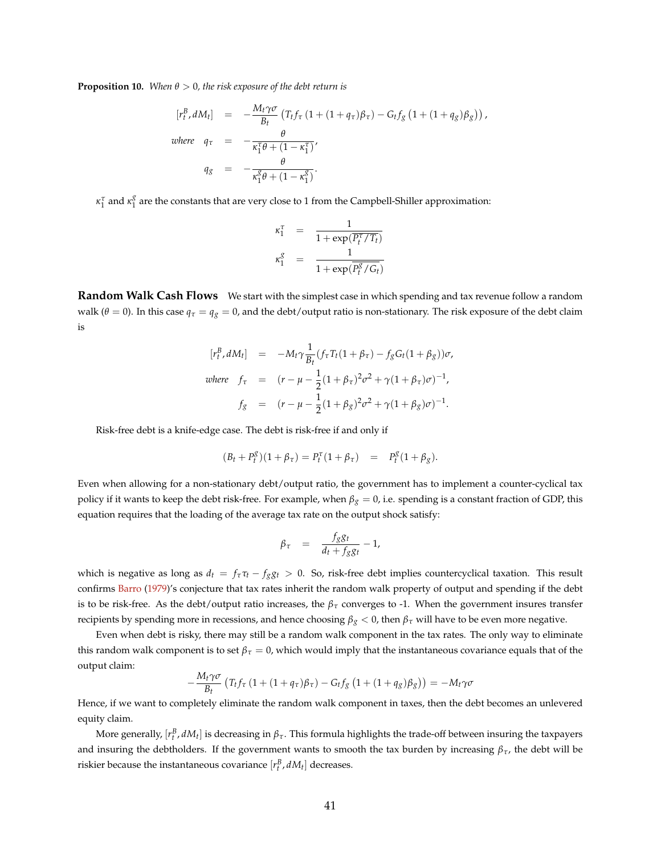<span id="page-41-0"></span>**Proposition 10.** *When*  $\theta > 0$ *, the risk exposure of the debt return is* 

$$
[r_t^B, dM_t] = -\frac{M_t \gamma \sigma}{B_t} (T_t f_\tau (1 + (1 + q_\tau) \beta_\tau) - G_t f_g (1 + (1 + q_g) \beta_g)),
$$
  
where  $q_\tau = -\frac{\theta}{\kappa_1^T \theta + (1 - \kappa_1^T)},$   
 $q_g = -\frac{\theta}{\kappa_1^g \theta + (1 - \kappa_1^g)}.$ 

*κ*<sup>*τ*</sup></sup><sub>1</sub> and *κ*<sup>*g*</sup><sub>1</sub>  $\frac{8}{1}$  are the constants that are very close to 1 from the Campbell-Shiller approximation:

$$
\begin{array}{ccc} \kappa_1^{\tau} & = & \displaystyle \frac{1}{1+\exp(\overline{P_t^{\tau}/T_t})} \\ \kappa_1^g & = & \displaystyle \frac{1}{1+\exp(\overline{P_t^g}/G_t)} \end{array}
$$

**Random Walk Cash Flows** We start with the simplest case in which spending and tax revenue follow a random walk ( $\theta = 0$ ). In this case  $q_\tau = q_g = 0$ , and the debt/output ratio is non-stationary. The risk exposure of the debt claim is

$$
[r_t^B, dM_t] = -M_t \gamma \frac{1}{B_t} (f_\tau T_t (1 + \beta_\tau) - f_g G_t (1 + \beta_g)) \sigma,
$$
  
where  $f_\tau$  =  $(r - \mu - \frac{1}{2} (1 + \beta_\tau)^2 \sigma^2 + \gamma (1 + \beta_\tau) \sigma)^{-1},$   
 $f_g$  =  $(r - \mu - \frac{1}{2} (1 + \beta_g)^2 \sigma^2 + \gamma (1 + \beta_g) \sigma)^{-1}.$ 

Risk-free debt is a knife-edge case. The debt is risk-free if and only if

$$
(B_t + P_t^g)(1 + \beta_\tau) = P_t^\tau(1 + \beta_\tau) = P_t^g(1 + \beta_g).
$$

Even when allowing for a non-stationary debt/output ratio, the government has to implement a counter-cyclical tax policy if it wants to keep the debt risk-free. For example, when *β<sup>g</sup>* = 0, i.e. spending is a constant fraction of GDP, this equation requires that the loading of the average tax rate on the output shock satisfy:

$$
\beta_{\tau} = \frac{f_{g}g_{t}}{d_{t} + f_{g}g_{t}} - 1,
$$

which is negative as long as  $d_t = f_\tau \tau_t - f_g g_t > 0$ . So, risk-free debt implies countercyclical taxation. This result confirms [Barro](#page-36-0) [\(1979\)](#page-36-0)'s conjecture that tax rates inherit the random walk property of output and spending if the debt is to be risk-free. As the debt/output ratio increases, the  $\beta_{\tau}$  converges to -1. When the government insures transfer recipients by spending more in recessions, and hence choosing *β<sup>g</sup>* < 0, then *β<sup>τ</sup>* will have to be even more negative.

Even when debt is risky, there may still be a random walk component in the tax rates. The only way to eliminate this random walk component is to set  $\beta_\tau = 0$ , which would imply that the instantaneous covariance equals that of the output claim:

$$
-\frac{M_t\gamma\sigma}{B_t}\left(T_tf_\tau\left(1+(1+q_\tau)\beta_\tau\right)-G_tf_g\left(1+(1+q_g)\beta_g\right)\right)=-M_t\gamma\sigma
$$

Hence, if we want to completely eliminate the random walk component in taxes, then the debt becomes an unlevered equity claim.

More generally,  $[r_t^B,dM_t]$  is decreasing in  $\beta_\tau$ . This formula highlights the trade-off between insuring the taxpayers and insuring the debtholders. If the government wants to smooth the tax burden by increasing  $\beta_{\tau}$ , the debt will be riskier because the instantaneous covariance  $[r_t^B, dM_t]$  decreases.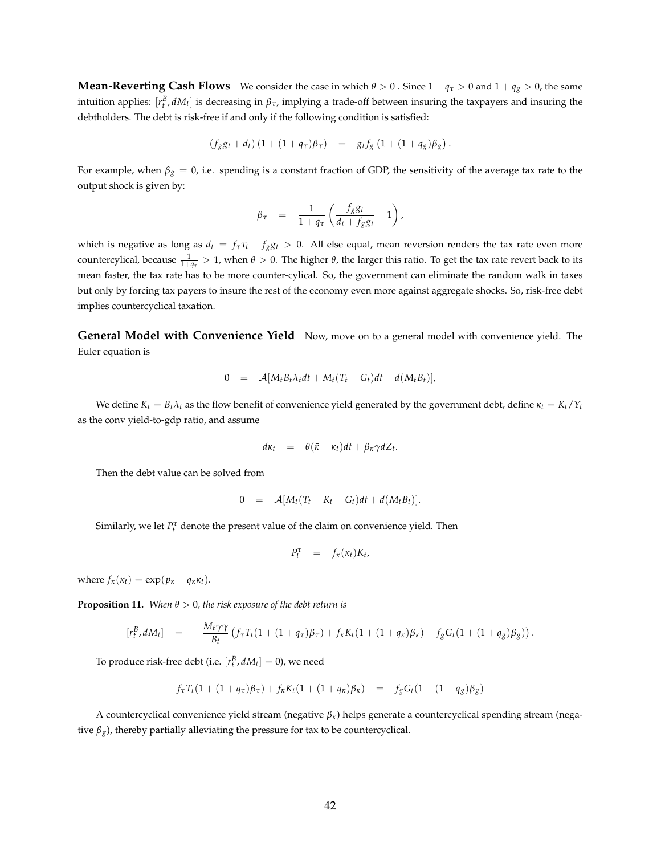**Mean-Reverting Cash Flows** We consider the case in which  $\theta > 0$ . Since  $1 + q_\tau > 0$  and  $1 + q_g > 0$ , the same intuition applies:  $[r_t^B, dM_t]$  is decreasing in  $\beta_{\tau}$ , implying a trade-off between insuring the taxpayers and insuring the debtholders. The debt is risk-free if and only if the following condition is satisfied:

$$
(f_{g}g_{t} + d_{t}) (1 + (1 + q_{\tau})\beta_{\tau}) = g_{t}f_{g} (1 + (1 + q_{g})\beta_{g}).
$$

For example, when  $\beta_g = 0$ , i.e. spending is a constant fraction of GDP, the sensitivity of the average tax rate to the output shock is given by:

$$
\beta_{\tau} = \frac{1}{1 + q_{\tau}} \left( \frac{f_{g} g_{t}}{d_{t} + f_{g} g_{t}} - 1 \right),
$$

which is negative as long as  $d_t = f_\tau \tau_t - f_g g_t > 0$ . All else equal, mean reversion renders the tax rate even more countercylical, because  $\frac{1}{1+q_\tau}>1$ , when  $\theta>0$ . The higher  $\theta$ , the larger this ratio. To get the tax rate revert back to its mean faster, the tax rate has to be more counter-cylical. So, the government can eliminate the random walk in taxes but only by forcing tax payers to insure the rest of the economy even more against aggregate shocks. So, risk-free debt implies countercyclical taxation.

**General Model with Convenience Yield** Now, move on to a general model with convenience yield. The Euler equation is

$$
0 = \mathcal{A}[M_t B_t \lambda_t dt + M_t (T_t - G_t) dt + d(M_t B_t)],
$$

We define  $K_t = B_t \lambda_t$  as the flow benefit of convenience yield generated by the government debt, define  $\kappa_t = K_t / Y_t$ as the conv yield-to-gdp ratio, and assume

$$
d\kappa_t = \theta(\bar{\kappa} - \kappa_t)dt + \beta_{\kappa}\gamma dZ_t.
$$

Then the debt value can be solved from

$$
0 = \mathcal{A}[M_t(T_t + K_t - G_t)dt + d(M_t B_t)].
$$

Similarly, we let  $P_t^{\tau}$  denote the present value of the claim on convenience yield. Then

$$
P_t^{\tau} = f_{\kappa}(\kappa_t) K_t,
$$

where  $f_k(\kappa_t) = \exp(p_k + q_k \kappa_t)$ .

<span id="page-42-0"></span>**Proposition 11.** *When*  $\theta > 0$ *, the risk exposure of the debt return is* 

$$
[r_t^B, dM_t] = -\frac{M_t \gamma \gamma}{B_t} (f_\tau T_t (1 + (1 + q_\tau) \beta_\tau) + f_\kappa K_t (1 + (1 + q_\kappa) \beta_\kappa) - f_g G_t (1 + (1 + q_g) \beta_g)).
$$

To produce risk-free debt (i.e.  $[r_t^B, dM_t] = 0$ ), we need

$$
f_{\tau}T_t(1 + (1 + q_{\tau})\beta_{\tau}) + f_{\kappa}K_t(1 + (1 + q_{\kappa})\beta_{\kappa}) = f_gG_t(1 + (1 + q_g)\beta_g)
$$

A countercyclical convenience yield stream (negative *βκ*) helps generate a countercyclical spending stream (negative  $\beta_g$ ), thereby partially alleviating the pressure for tax to be countercyclical.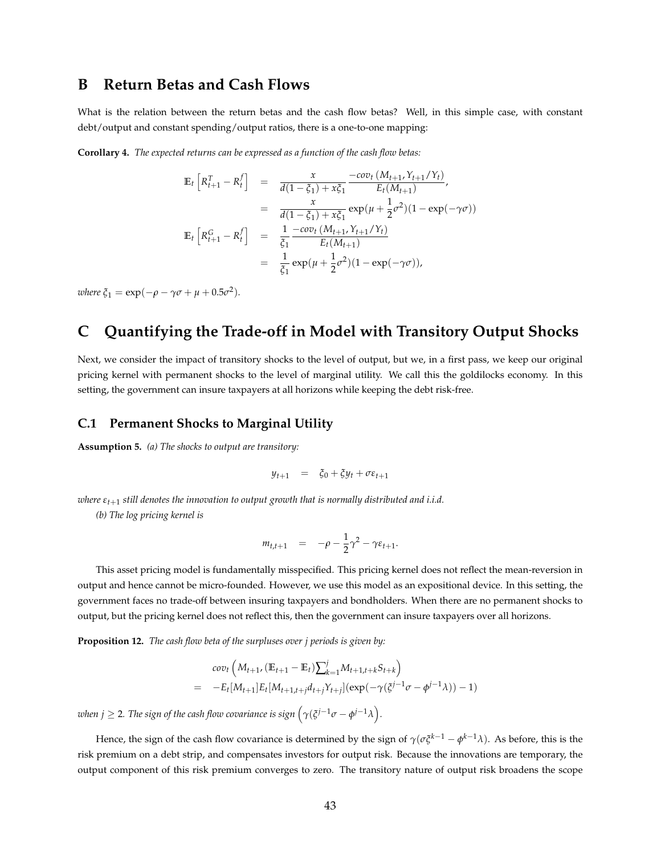### **B Return Betas and Cash Flows**

What is the relation between the return betas and the cash flow betas? Well, in this simple case, with constant debt/output and constant spending/output ratios, there is a one-to-one mapping:

<span id="page-43-0"></span>**Corollary 4.** *The expected returns can be expressed as a function of the cash flow betas:*

$$
\mathbb{E}_{t}\left[R_{t+1}^{T} - R_{t}^{f}\right] = \frac{x}{d(1-\xi_{1}) + x\xi_{1}} \frac{-cov_{t}(M_{t+1}, Y_{t+1}/Y_{t})}{E_{t}(M_{t+1})},
$$
\n
$$
= \frac{x}{d(1-\xi_{1}) + x\xi_{1}} exp(\mu + \frac{1}{2}\sigma^{2})(1 - exp(-\gamma\sigma))
$$
\n
$$
\mathbb{E}_{t}\left[R_{t+1}^{G} - R_{t}^{f}\right] = \frac{1}{\xi_{1}} \frac{-cov_{t}(M_{t+1}, Y_{t+1}/Y_{t})}{E_{t}(M_{t+1})}
$$
\n
$$
= \frac{1}{\xi_{1}} exp(\mu + \frac{1}{2}\sigma^{2})(1 - exp(-\gamma\sigma)),
$$

 $where \xi_1 = \exp(-\rho - \gamma \sigma + \mu + 0.5\sigma^2).$ 

# **C Quantifying the Trade-off in Model with Transitory Output Shocks**

Next, we consider the impact of transitory shocks to the level of output, but we, in a first pass, we keep our original pricing kernel with permanent shocks to the level of marginal utility. We call this the goldilocks economy. In this setting, the government can insure taxpayers at all horizons while keeping the debt risk-free.

#### **C.1 Permanent Shocks to Marginal Utility**

**Assumption 5.** *(a) The shocks to output are transitory:*

$$
y_{t+1} = \xi_0 + \xi y_t + \sigma \varepsilon_{t+1}
$$

*where εt*+<sup>1</sup> *still denotes the innovation to output growth that is normally distributed and i.i.d.*

*(b) The log pricing kernel is*

$$
m_{t,t+1} = -\rho - \frac{1}{2}\gamma^2 - \gamma \varepsilon_{t+1}.
$$

This asset pricing model is fundamentally misspecified. This pricing kernel does not reflect the mean-reversion in output and hence cannot be micro-founded. However, we use this model as an expositional device. In this setting, the government faces no trade-off between insuring taxpayers and bondholders. When there are no permanent shocks to output, but the pricing kernel does not reflect this, then the government can insure taxpayers over all horizons.

**Proposition 12.** *The cash flow beta of the surpluses over j periods is given by:*

$$
cov_t\left(M_{t+1}, (\mathbb{E}_{t+1} - \mathbb{E}_t)\sum_{k=1}^j M_{t+1,t+k} S_{t+k}\right)
$$
  
= 
$$
-E_t[M_{t+1}]E_t[M_{t+1,t+j}d_{t+j}Y_{t+j}](exp(-\gamma(\xi^{j-1}\sigma - \phi^{j-1}\lambda)) - 1)
$$

 $\omega$ hen  $j \geq 2$ . The sign of the cash flow covariance is sign  $\left(\gamma(\xi^{j-1}\sigma - \phi^{j-1}\lambda\right)$ .

Hence, the sign of the cash flow covariance is determined by the sign of *γ*(*σξk*−<sup>1</sup> − *φ <sup>k</sup>*−1*λ*). As before, this is the risk premium on a debt strip, and compensates investors for output risk. Because the innovations are temporary, the output component of this risk premium converges to zero. The transitory nature of output risk broadens the scope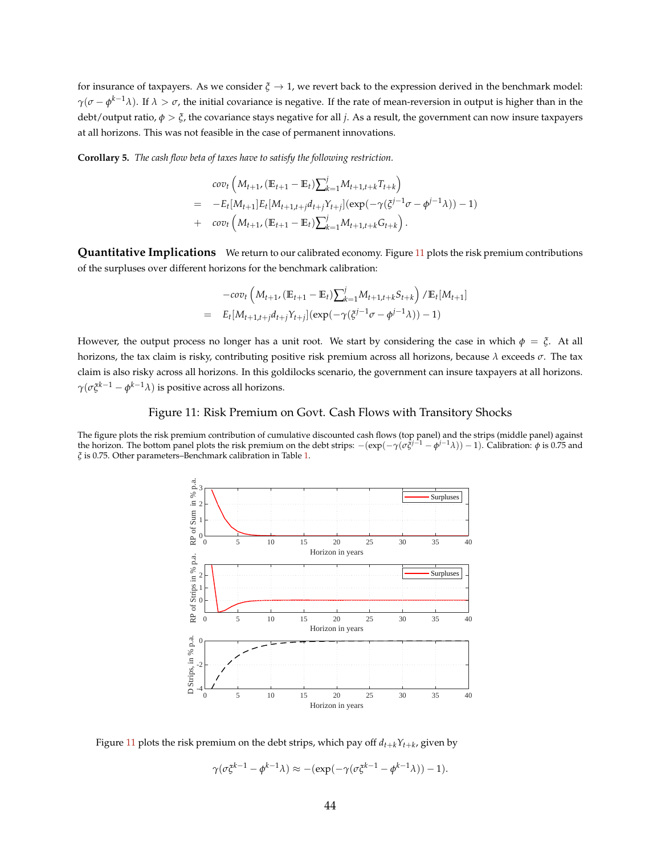for insurance of taxpayers. As we consider  $\zeta \to 1$ , we revert back to the expression derived in the benchmark model: *γ*(*σ* − *φ*<sup>*k*−1</sup>*λ*). If *λ* > *σ*, the initial covariance is negative. If the rate of mean-reversion in output is higher than in the debt/output ratio, *φ* > *ξ*, the covariance stays negative for all *j*. As a result, the government can now insure taxpayers at all horizons. This was not feasible in the case of permanent innovations.

**Corollary 5.** *The cash flow beta of taxes have to satisfy the following restriction.*

$$
cov_t\left(M_{t+1}, (\mathbb{E}_{t+1} - \mathbb{E}_t)\sum_{k=1}^j M_{t+1,t+k}T_{t+k}\right)
$$
  
= 
$$
-E_t[M_{t+1}]E_t[M_{t+1,t+j}d_{t+j}\gamma_{t+j}](exp(-\gamma(\zeta^{j-1}\sigma - \phi^{j-1}\lambda)) - 1)
$$
  
+ 
$$
cov_t\left(M_{t+1}, (\mathbb{E}_{t+1} - \mathbb{E}_t)\sum_{k=1}^j M_{t+1,t+k}G_{t+k}\right).
$$

**Quantitative Implications** We return to our calibrated economy. Figure [11](#page-44-0) plots the risk premium contributions of the surpluses over different horizons for the benchmark calibration:

$$
-cov_t \left( M_{t+1}, (\mathbb{E}_{t+1} - \mathbb{E}_t) \sum_{k=1}^j M_{t+1,t+k} S_{t+k} \right) / \mathbb{E}_t[M_{t+1}]
$$
  
=  $E_t[M_{t+1,t+j}d_{t+j}Y_{t+j}] (exp(-\gamma(\xi^{j-1}\sigma - \phi^{j-1}\lambda)) - 1)$ 

However, the output process no longer has a unit root. We start by considering the case in which  $\phi = \xi$ . At all horizons, the tax claim is risky, contributing positive risk premium across all horizons, because *λ* exceeds *σ*. The tax claim is also risky across all horizons. In this goldilocks scenario, the government can insure taxpayers at all horizons. *γ*(*σξk*−<sup>1</sup> − *φ <sup>k</sup>*−1*λ*) is positive across all horizons.

#### Figure 11: Risk Premium on Govt. Cash Flows with Transitory Shocks

<span id="page-44-0"></span>The figure plots the risk premium contribution of cumulative discounted cash flows (top panel) and the strips (middle panel) against<br>the horizon. The bottom panel plots the risk premium on the debt strips:  $-(\exp(-\gamma(\sigma \xi^{j-1$ *ξ* is 0.75. Other parameters–Benchmark calibration in Table [1.](#page-15-0)



Figure  $11$  plots the risk premium on the debt strips, which pay off  $d_{t+k}Y_{t+k}$ , given by

$$
\gamma(\sigma \xi^{k-1} - \phi^{k-1} \lambda) \approx -(\exp(-\gamma(\sigma \xi^{k-1} - \phi^{k-1} \lambda)) - 1).
$$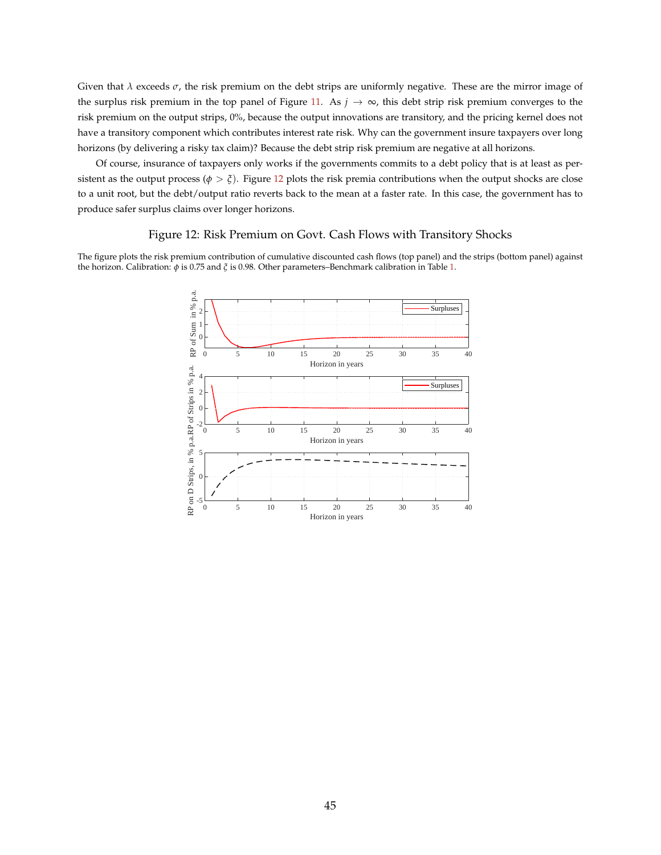Given that *λ* exceeds *σ*, the risk premium on the debt strips are uniformly negative. These are the mirror image of the surplus risk premium in the top panel of Figure [11.](#page-44-0) As  $j \to \infty$ , this debt strip risk premium converges to the risk premium on the output strips, 0%, because the output innovations are transitory, and the pricing kernel does not have a transitory component which contributes interest rate risk. Why can the government insure taxpayers over long horizons (by delivering a risky tax claim)? Because the debt strip risk premium are negative at all horizons.

Of course, insurance of taxpayers only works if the governments commits to a debt policy that is at least as persistent as the output process ( $\phi > \xi$ ). Figure [12](#page-45-0) plots the risk premia contributions when the output shocks are close to a unit root, but the debt/output ratio reverts back to the mean at a faster rate. In this case, the government has to produce safer surplus claims over longer horizons.

#### Figure 12: Risk Premium on Govt. Cash Flows with Transitory Shocks

<span id="page-45-0"></span>The figure plots the risk premium contribution of cumulative discounted cash flows (top panel) and the strips (bottom panel) against the horizon. Calibration: *φ* is 0.75 and *ξ* is 0.98. Other parameters–Benchmark calibration in Table [1.](#page-15-0)

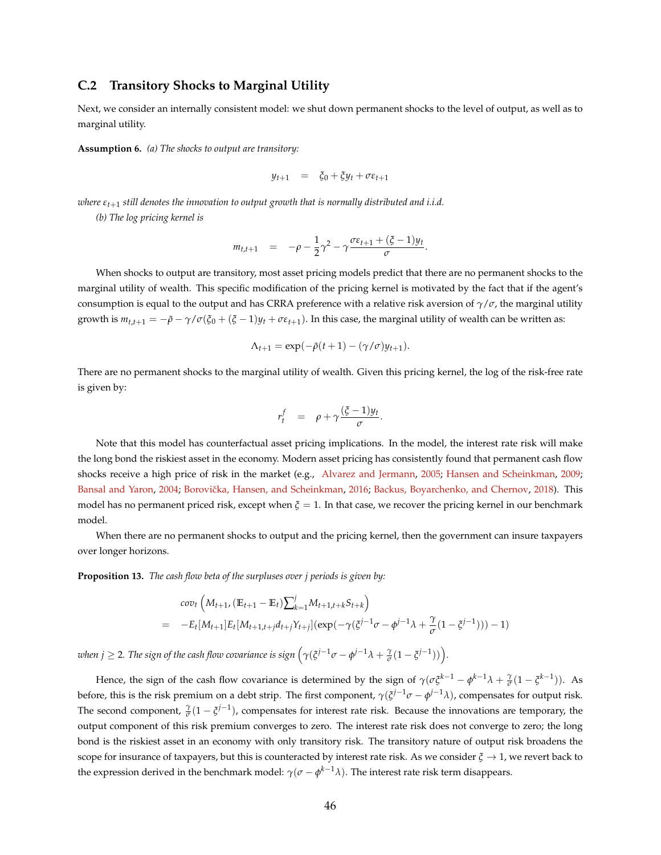#### **C.2 Transitory Shocks to Marginal Utility**

Next, we consider an internally consistent model: we shut down permanent shocks to the level of output, as well as to marginal utility.

**Assumption 6.** *(a) The shocks to output are transitory:*

$$
y_{t+1} = \xi_0 + \xi y_t + \sigma \varepsilon_{t+1}
$$

*where εt*+<sup>1</sup> *still denotes the innovation to output growth that is normally distributed and i.i.d.*

*(b) The log pricing kernel is*

$$
m_{t,t+1} = -\rho - \frac{1}{2}\gamma^2 - \gamma \frac{\sigma \varepsilon_{t+1} + (\xi - 1)y_t}{\sigma}
$$

.

When shocks to output are transitory, most asset pricing models predict that there are no permanent shocks to the marginal utility of wealth. This specific modification of the pricing kernel is motivated by the fact that if the agent's consumption is equal to the output and has CRRA preference with a relative risk aversion of *γ*/*σ*, the marginal utility growth is  $m_{t,t+1} = -\tilde{\rho} - \gamma/\sigma(\xi_0 + (\xi - 1)y_t + \sigma \varepsilon_{t+1})$ . In this case, the marginal utility of wealth can be written as:

$$
\Lambda_{t+1} = \exp(-\tilde{\rho}(t+1) - (\gamma/\sigma)y_{t+1}).
$$

There are no permanent shocks to the marginal utility of wealth. Given this pricing kernel, the log of the risk-free rate is given by:

$$
r_t^f = \rho + \gamma \frac{(\xi - 1)y_t}{\sigma}.
$$

Note that this model has counterfactual asset pricing implications. In the model, the interest rate risk will make the long bond the riskiest asset in the economy. Modern asset pricing has consistently found that permanent cash flow shocks receive a high price of risk in the market (e.g., [Alvarez and Jermann,](#page-36-1) [2005;](#page-36-1) [Hansen and Scheinkman,](#page-38-0) [2009;](#page-38-0) [Bansal and Yaron,](#page-36-2) [2004;](#page-36-2) Borovička, Hansen, and Scheinkman, [2016;](#page-37-0) [Backus, Boyarchenko, and Chernov,](#page-36-3) [2018\)](#page-36-3). This model has no permanent priced risk, except when *ξ* = 1. In that case, we recover the pricing kernel in our benchmark model.

When there are no permanent shocks to output and the pricing kernel, then the government can insure taxpayers over longer horizons.

<span id="page-46-0"></span>**Proposition 13.** *The cash flow beta of the surpluses over j periods is given by:*

$$
cov_t\left(M_{t+1}, (\mathbb{E}_{t+1} - \mathbb{E}_t)\sum_{k=1}^j M_{t+1,t+k} S_{t+k}\right)
$$
  
= 
$$
-E_t[M_{t+1}]E_t[M_{t+1,t+j}d_{t+j}Y_{t+j}](exp(-\gamma(\xi^{j-1}\sigma - \phi^{j-1}\lambda + \frac{\gamma}{\sigma}(1 - \xi^{j-1}))) - 1)
$$

*when j*  $\geq$  2. *The sign of the cash flow covariance is sign*  $(\gamma(\xi^{j-1}\sigma - \phi^{j-1}\lambda + \frac{\gamma}{\sigma}(1 - \xi^{j-1}))$ *.* 

Hence, the sign of the cash flow covariance is determined by the sign of  $\gamma(\sigma\xi^{k-1} - \phi^{k-1}\lambda + \frac{\gamma}{\sigma}(1 - \zeta^{k-1}))$ . As before, this is the risk premium on a debt strip. The first component, *γ*(*ξ <sup>j</sup>*−1*σ* − *φ <sup>j</sup>*−1*λ*), compensates for output risk. The second component,  $\frac{\gamma}{\sigma}(1-\xi^{j-1})$ , compensates for interest rate risk. Because the innovations are temporary, the output component of this risk premium converges to zero. The interest rate risk does not converge to zero; the long bond is the riskiest asset in an economy with only transitory risk. The transitory nature of output risk broadens the scope for insurance of taxpayers, but this is counteracted by interest rate risk. As we consider  $\xi \to 1$ , we revert back to the expression derived in the benchmark model:  $\gamma(\sigma-\phi^{k-1}\lambda)$ . The interest rate risk term disappears.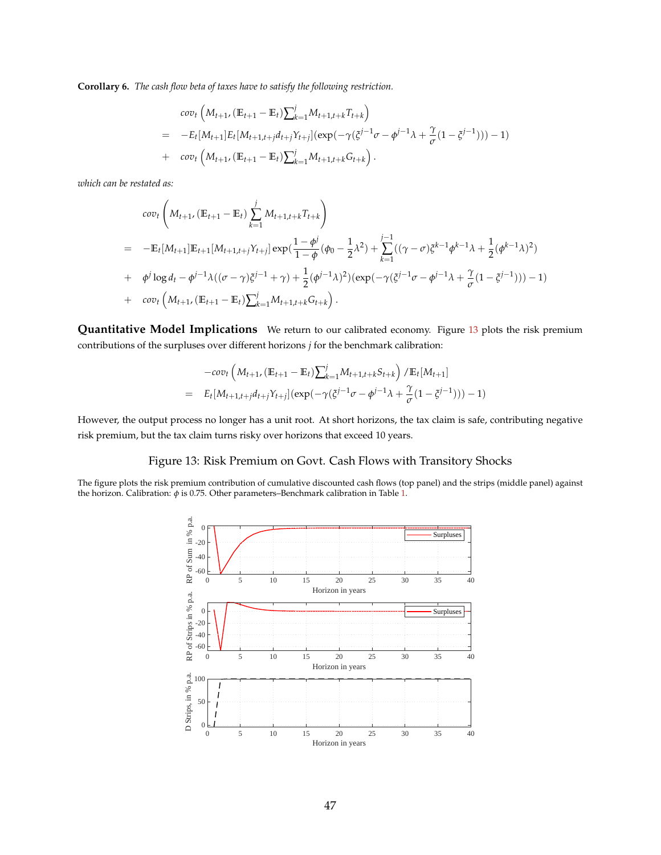<span id="page-47-1"></span>**Corollary 6.** *The cash flow beta of taxes have to satisfy the following restriction.*

$$
cov_t\left(M_{t+1}, (\mathbb{E}_{t+1} - \mathbb{E}_t)\sum_{k=1}^j M_{t+1,t+k} T_{t+k}\right)
$$
  
= 
$$
-E_t[M_{t+1}]E_t[M_{t+1,t+j}d_{t+j}Y_{t+j}](exp(-\gamma(\xi^{j-1}\sigma - \phi^{j-1}\lambda + \frac{\gamma}{\sigma}(1 - \xi^{j-1}))) - 1)
$$
  
+ 
$$
cov_t\left(M_{t+1}, (\mathbb{E}_{t+1} - \mathbb{E}_t)\sum_{k=1}^j M_{t+1,t+k} G_{t+k}\right).
$$

*which can be restated as:*

$$
cov_t\left(M_{t+1}, (\mathbb{E}_{t+1} - \mathbb{E}_t) \sum_{k=1}^j M_{t+1,t+k} T_{t+k}\right)
$$
  
= 
$$
-\mathbb{E}_t[M_{t+1}]\mathbb{E}_{t+1}[M_{t+1,t+j}Y_{t+j}]exp(\frac{1-\phi^j}{1-\phi}(\phi_0 - \frac{1}{2}\lambda^2) + \sum_{k=1}^{j-1}((\gamma - \sigma)\xi^{k-1}\phi^{k-1}\lambda + \frac{1}{2}(\phi^{k-1}\lambda)^2)
$$
  
+ 
$$
\phi^j \log d_t - \phi^{j-1}\lambda((\sigma - \gamma)\xi^{j-1} + \gamma) + \frac{1}{2}(\phi^{j-1}\lambda)^2)(exp(-\gamma(\xi^{j-1}\sigma - \phi^{j-1}\lambda + \frac{\gamma}{\sigma}(1 - \xi^{j-1}))) - 1)
$$
  
+ 
$$
cov_t\left(M_{t+1}, (\mathbb{E}_{t+1} - \mathbb{E}_t)\sum_{k=1}^j M_{t+1,t+k} G_{t+k}\right).
$$

**Quantitative Model Implications** We return to our calibrated economy. Figure [13](#page-47-0) plots the risk premium contributions of the surpluses over different horizons *j* for the benchmark calibration:

$$
-cov_t \left( M_{t+1}, (\mathbb{E}_{t+1} - \mathbb{E}_t) \sum_{k=1}^j M_{t+1,t+k} S_{t+k} \right) / \mathbb{E}_t [M_{t+1}]
$$
  
=  $E_t [M_{t+1,t+j} d_{t+j} Y_{t+j}] (exp(-\gamma (\xi^{j-1} \sigma - \phi^{j-1} \lambda + \frac{\gamma}{\sigma} (1 - \xi^{j-1}))) - 1)$ 

However, the output process no longer has a unit root. At short horizons, the tax claim is safe, contributing negative risk premium, but the tax claim turns risky over horizons that exceed 10 years.

### Figure 13: Risk Premium on Govt. Cash Flows with Transitory Shocks

<span id="page-47-0"></span>The figure plots the risk premium contribution of cumulative discounted cash flows (top panel) and the strips (middle panel) against the horizon. Calibration: *φ* is 0.75. Other parameters–Benchmark calibration in Table [1.](#page-15-0)

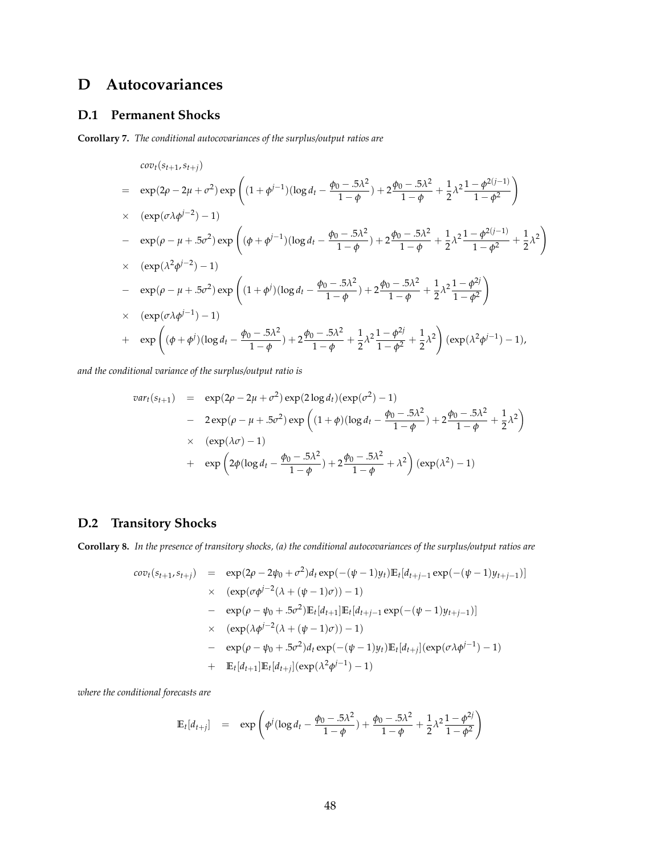# **D Autocovariances**

#### **D.1 Permanent Shocks**

**Corollary 7.** *The conditional autocovariances of the surplus/output ratios are*

$$
cov_t(s_{t+1}, s_{t+j})
$$
\n
$$
= \exp(2\rho - 2\mu + \sigma^2) \exp\left((1 + \phi^{j-1})(\log d_t - \frac{\phi_0 - .5\lambda^2}{1 - \phi}) + 2\frac{\phi_0 - .5\lambda^2}{1 - \phi} + \frac{1}{2}\lambda^2 \frac{1 - \phi^{2(j-1)}}{1 - \phi^2}\right)
$$
\n
$$
\times (\exp(\sigma\lambda\phi^{j-2}) - 1)
$$
\n
$$
- \exp(\rho - \mu + .5\sigma^2) \exp\left((\phi + \phi^{j-1})(\log d_t - \frac{\phi_0 - .5\lambda^2}{1 - \phi}) + 2\frac{\phi_0 - .5\lambda^2}{1 - \phi} + \frac{1}{2}\lambda^2 \frac{1 - \phi^{2(j-1)}}{1 - \phi^2} + \frac{1}{2}\lambda^2\right)
$$
\n
$$
\times (\exp(\lambda^2\phi^{j-2}) - 1)
$$
\n
$$
- \exp(\rho - \mu + .5\sigma^2) \exp\left((1 + \phi^j)(\log d_t - \frac{\phi_0 - .5\lambda^2}{1 - \phi}) + 2\frac{\phi_0 - .5\lambda^2}{1 - \phi} + \frac{1}{2}\lambda^2 \frac{1 - \phi^{2j}}{1 - \phi^2}\right)
$$
\n
$$
\times (\exp(\sigma\lambda\phi^{j-1}) - 1)
$$
\n
$$
+ \exp\left((\phi + \phi^j)(\log d_t - \frac{\phi_0 - .5\lambda^2}{1 - \phi}) + 2\frac{\phi_0 - .5\lambda^2}{1 - \phi} + \frac{1}{2}\lambda^2 \frac{1 - \phi^{2j}}{1 - \phi^2} + \frac{1}{2}\lambda^2\right) (\exp(\lambda^2\phi^{j-1}) - 1),
$$

*and the conditional variance of the surplus/output ratio is*

$$
var_t(s_{t+1}) = \exp(2\rho - 2\mu + \sigma^2) \exp(2\log d_t)(\exp(\sigma^2) - 1)
$$
  
- 2 exp(\rho - \mu + .5\sigma^2) exp ((1 + \phi)(\log d\_t - \frac{\phi\_0 - .5\lambda^2}{1 - \phi}) + 2\frac{\phi\_0 - .5\lambda^2}{1 - \phi} + \frac{1}{2}\lambda^2)  
× (exp(\lambda\sigma) - 1)  
+ exp(2\phi(\log d\_t - \frac{\phi\_0 - .5\lambda^2}{1 - \phi}) + 2\frac{\phi\_0 - .5\lambda^2}{1 - \phi} + \lambda^2) (exp(\lambda^2) - 1)

### **D.2 Transitory Shocks**

**Corollary 8.** *In the presence of transitory shocks, (a) the conditional autocovariances of the surplus/output ratios are*

$$
cov_t(s_{t+1}, s_{t+j}) = \exp(2\rho - 2\psi_0 + \sigma^2) d_t \exp(-( \psi - 1) y_t) \mathbb{E}_t[d_{t+j-1} \exp(-( \psi - 1) y_{t+j-1})]
$$
  
\n
$$
\times (\exp(\sigma \phi^{j-2} (\lambda + (\psi - 1)\sigma)) - 1)
$$
  
\n
$$
- \exp(\rho - \psi_0 + .5\sigma^2) \mathbb{E}_t[d_{t+1}] \mathbb{E}_t[d_{t+j-1} \exp(-( \psi - 1) y_{t+j-1})]
$$
  
\n
$$
\times (\exp(\lambda \phi^{j-2} (\lambda + (\psi - 1)\sigma)) - 1)
$$
  
\n
$$
- \exp(\rho - \psi_0 + .5\sigma^2) d_t \exp(-( \psi - 1) y_t) \mathbb{E}_t[d_{t+j}] (\exp(\sigma \lambda \phi^{j-1}) - 1)
$$
  
\n
$$
+ \mathbb{E}_t[d_{t+1}] \mathbb{E}_t[d_{t+j}] (\exp(\lambda^2 \phi^{j-1}) - 1)
$$

*where the conditional forecasts are*

$$
\mathbb{E}_{t}[d_{t+j}] = \exp\left(\phi^{j}(\log d_{t} - \frac{\phi_{0} - .5\lambda^{2}}{1 - \phi}) + \frac{\phi_{0} - .5\lambda^{2}}{1 - \phi} + \frac{1}{2}\lambda^{2}\frac{1 - \phi^{2j}}{1 - \phi^{2}}\right)
$$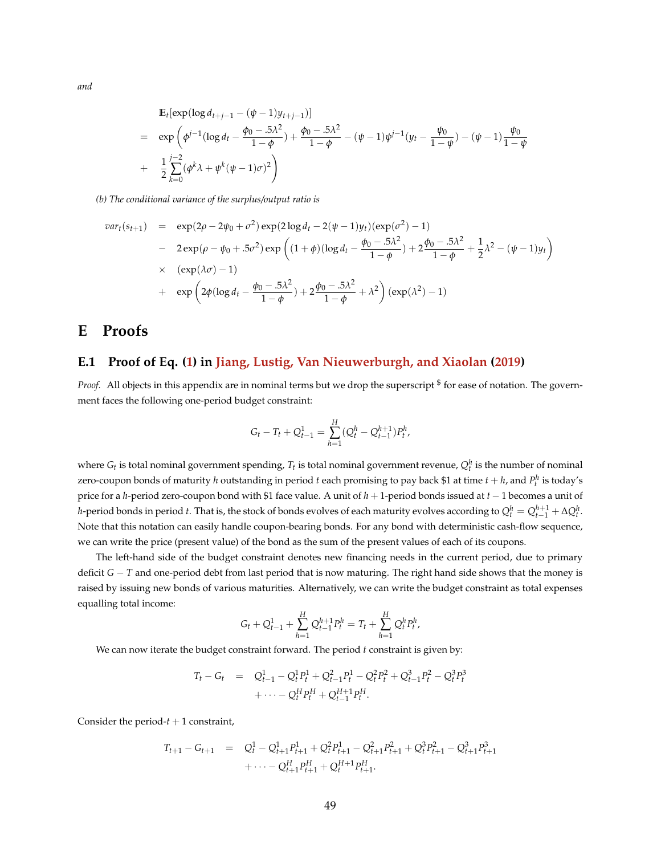$$
\begin{split} &\mathbb{E}_{t}[\exp(\log d_{t+j-1} - (\psi - 1)y_{t+j-1})] \\ &= \exp\left(\phi^{j-1}(\log d_{t} - \frac{\phi_{0} - .5\lambda^{2}}{1 - \phi}) + \frac{\phi_{0} - .5\lambda^{2}}{1 - \phi} - (\psi - 1)\psi^{j-1}(y_{t} - \frac{\psi_{0}}{1 - \psi}) - (\psi - 1)\frac{\psi_{0}}{1 - \psi}\right. \\ &\left. + \frac{1}{2}\sum_{k=0}^{j-2}(\phi^{k}\lambda + \psi^{k}(\psi - 1)\sigma)^{2}\right) \end{split}
$$

*(b) The conditional variance of the surplus/output ratio is*

$$
var_t(s_{t+1}) = \exp(2\rho - 2\psi_0 + \sigma^2) \exp(2\log d_t - 2(\psi - 1)y_t)(\exp(\sigma^2) - 1)
$$
  
-  $2 \exp(\rho - \psi_0 + .5\sigma^2) \exp\left((1 + \phi)(\log d_t - \frac{\phi_0 - .5\lambda^2}{1 - \phi}) + 2\frac{\phi_0 - .5\lambda^2}{1 - \phi} + \frac{1}{2}\lambda^2 - (\psi - 1)y_t\right)$   
 $\times (\exp(\lambda\sigma) - 1)$   
+  $\exp\left(2\phi(\log d_t - \frac{\phi_0 - .5\lambda^2}{1 - \phi}) + 2\frac{\phi_0 - .5\lambda^2}{1 - \phi} + \lambda^2\right)(\exp(\lambda^2) - 1)$ 

# **E Proofs**

# **E.1 Proof of Eq. [\(1\)](#page-6-0) in [Jiang, Lustig, Van Nieuwerburgh, and Xiaolan](#page-38-1) [\(2019\)](#page-38-1)**

Proof. All objects in this appendix are in nominal terms but we drop the superscript <sup>\$</sup> for ease of notation. The government faces the following one-period budget constraint:

$$
G_t - T_t + Q_{t-1}^1 = \sum_{h=1}^H (Q_t^h - Q_{t-1}^{h+1}) P_t^h,
$$

where  $G_t$  is total nominal government spending,  $T_t$  is total nominal government revenue,  $Q_t^h$  is the number of nominal zero-coupon bonds of maturity *h* outstanding in period *t* each promising to pay back \$1 at time  $t + h$ , and  $P_t^h$  is today's price for a *h*-period zero-coupon bond with \$1 face value. A unit of *h* + 1-period bonds issued at *t* − 1 becomes a unit of *h*-period bonds in period *t*. That is, the stock of bonds evolves of each maturity evolves according to  $Q_t^h=Q_{t-1}^{h+1}+\Delta Q_t^h$ . Note that this notation can easily handle coupon-bearing bonds. For any bond with deterministic cash-flow sequence, we can write the price (present value) of the bond as the sum of the present values of each of its coupons.

The left-hand side of the budget constraint denotes new financing needs in the current period, due to primary deficit *G* − *T* and one-period debt from last period that is now maturing. The right hand side shows that the money is raised by issuing new bonds of various maturities. Alternatively, we can write the budget constraint as total expenses equalling total income:

$$
G_t + Q_{t-1}^1 + \sum_{h=1}^H Q_{t-1}^{h+1} P_t^h = T_t + \sum_{h=1}^H Q_t^h P_t^h,
$$

We can now iterate the budget constraint forward. The period *t* constraint is given by:

$$
T_t - G_t = Q_{t-1}^1 - Q_t^1 P_t^1 + Q_{t-1}^2 P_t^1 - Q_t^2 P_t^2 + Q_{t-1}^3 P_t^2 - Q_t^3 P_t^3
$$
  
+ 
$$
\cdots - Q_t^H P_t^H + Q_{t-1}^{H+1} P_t^H.
$$

Consider the period- $t + 1$  constraint,

$$
T_{t+1} - G_{t+1} = Q_t^1 - Q_{t+1}^1 P_{t+1}^1 + Q_t^2 P_{t+1}^1 - Q_{t+1}^2 P_{t+1}^2 + Q_t^3 P_{t+1}^2 - Q_{t+1}^3 P_{t+1}^3
$$
  

$$
+ \cdots - Q_{t+1}^H P_{t+1}^H + Q_t^{H+1} P_{t+1}^H.
$$

*and*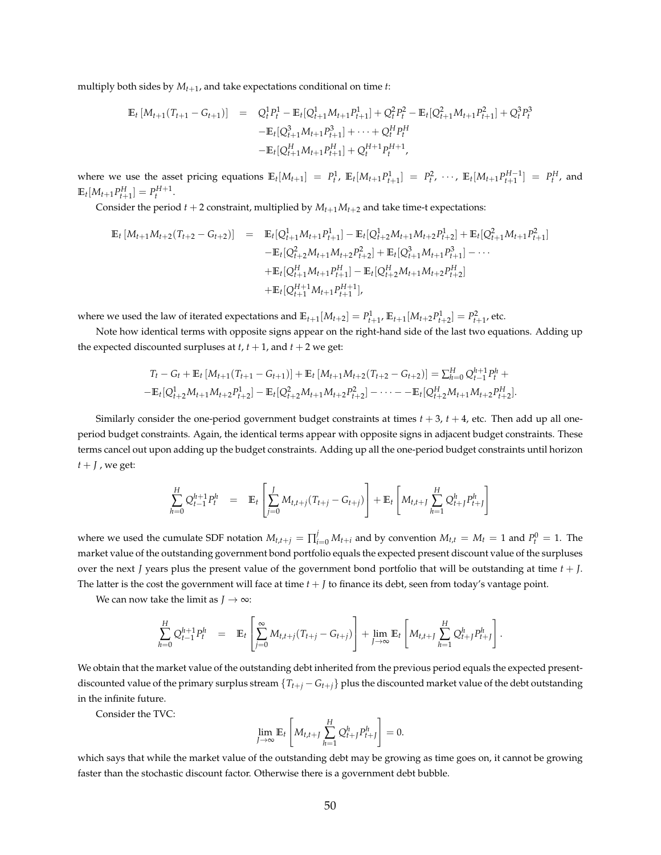multiply both sides by *Mt*+<sup>1</sup> , and take expectations conditional on time *t*:

$$
\mathbb{E}_{t} \left[ M_{t+1}(T_{t+1} - G_{t+1}) \right] = Q_{t}^{1} P_{t}^{1} - \mathbb{E}_{t} [Q_{t+1}^{1} M_{t+1} P_{t+1}^{1}] + Q_{t}^{2} P_{t}^{2} - \mathbb{E}_{t} [Q_{t+1}^{2} M_{t+1} P_{t+1}^{2}] + Q_{t}^{3} P_{t}^{3}
$$

$$
- \mathbb{E}_{t} [Q_{t+1}^{3} M_{t+1} P_{t+1}^{3}] + \cdots + Q_{t}^{H} P_{t}^{H}
$$

$$
- \mathbb{E}_{t} [Q_{t+1}^{H} M_{t+1} P_{t+1}^{H}] + Q_{t}^{H+1} P_{t}^{H+1},
$$

where we use the asset pricing equations  $\mathbb{E}_t[M_{t+1}] = P_t^1$ ,  $\mathbb{E}_t[M_{t+1}P_{t+1}^1] = P_t^2$ ,  $\cdots$ ,  $\mathbb{E}_t[M_{t+1}P_{t+1}^{H-1}] = P_t^H$ , and  $\mathbb{E}_t[M_{t+1}P_{t+1}^H] = P_t^{H+1}.$ 

Consider the period  $t + 2$  constraint, multiplied by  $M_{t+1}M_{t+2}$  and take time-t expectations:

$$
\mathbb{E}_{t}[M_{t+1}M_{t+2}(T_{t+2}-G_{t+2})] = \mathbb{E}_{t}[Q_{t+1}^{1}M_{t+1}P_{t+1}^{1}] - \mathbb{E}_{t}[Q_{t+2}^{1}M_{t+1}M_{t+2}P_{t+2}^{1}] + \mathbb{E}_{t}[Q_{t+1}^{2}M_{t+1}P_{t+1}^{2}]
$$
  
\n
$$
- \mathbb{E}_{t}[Q_{t+2}^{2}M_{t+1}M_{t+2}P_{t+2}^{2}] + \mathbb{E}_{t}[Q_{t+1}^{3}M_{t+1}P_{t+1}^{3}] - \cdots
$$
  
\n
$$
+ \mathbb{E}_{t}[Q_{t+1}^{H}M_{t+1}P_{t+1}^{H}] - \mathbb{E}_{t}[Q_{t+2}^{H}M_{t+1}M_{t+2}P_{t+2}^{H}]
$$
  
\n
$$
+ \mathbb{E}_{t}[Q_{t+1}^{H+1}M_{t+1}P_{t+1}^{H+1}],
$$

where we used the law of iterated expectations and  $\mathbb{E}_{t+1}[M_{t+2}] = P_{t+1}^1$ ,  $\mathbb{E}_{t+1}[M_{t+2}P_{t+2}^1] = P_{t+1}^2$ , etc.

Note how identical terms with opposite signs appear on the right-hand side of the last two equations. Adding up the expected discounted surpluses at  $t$ ,  $t + 1$ , and  $t + 2$  we get:

$$
T_t - G_t + \mathbb{E}_t [M_{t+1}(T_{t+1} - G_{t+1})] + \mathbb{E}_t [M_{t+1}M_{t+2}(T_{t+2} - G_{t+2})] = \sum_{h=0}^H Q_{t-1}^{h+1} P_t^h +
$$
  
-
$$
\mathbb{E}_t [Q_{t+2}^1M_{t+1}M_{t+2}P_{t+2}^1] - \mathbb{E}_t [Q_{t+2}^2M_{t+1}M_{t+2}P_{t+2}^2] - \cdots - \mathbb{E}_t [Q_{t+2}^HM_{t+1}M_{t+2}P_{t+2}^H].
$$

Similarly consider the one-period government budget constraints at times  $t + 3$ ,  $t + 4$ , etc. Then add up all oneperiod budget constraints. Again, the identical terms appear with opposite signs in adjacent budget constraints. These terms cancel out upon adding up the budget constraints. Adding up all the one-period budget constraints until horizon  $t + J$ , we get:

$$
\sum_{h=0}^{H} Q_{t-1}^{h+1} P_t^h = \mathbb{E}_t \left[ \sum_{j=0}^{J} M_{t,t+j} (T_{t+j} - G_{t+j}) \right] + \mathbb{E}_t \left[ M_{t,t+J} \sum_{h=1}^{H} Q_{t+j}^h P_{t+j}^h \right]
$$

where we used the cumulate SDF notation  $M_{t,t+j} = \prod_{i=0}^{j} M_{t+i}$  and by convention  $M_{t,t} = M_t = 1$  and  $P_t^0 = 1$ . The market value of the outstanding government bond portfolio equals the expected present discount value of the surpluses over the next *J* years plus the present value of the government bond portfolio that will be outstanding at time *t* + *J*. The latter is the cost the government will face at time  $t + J$  to finance its debt, seen from today's vantage point.

We can now take the limit as  $J \rightarrow \infty$ :

$$
\sum_{h=0}^{H} Q_{t-1}^{h+1} P_t^h = \mathbb{E}_t \left[ \sum_{j=0}^{\infty} M_{t,t+j} (T_{t+j} - G_{t+j}) \right] + \lim_{J \to \infty} \mathbb{E}_t \left[ M_{t,t+J} \sum_{h=1}^{H} Q_{t+J}^h P_{t+J}^h \right].
$$

We obtain that the market value of the outstanding debt inherited from the previous period equals the expected presentdiscounted value of the primary surplus stream  $\{T_{t+j} - G_{t+j}\}$  plus the discounted market value of the debt outstanding in the infinite future.

Consider the TVC:

$$
\lim_{J\to\infty}\mathbb{E}_t\left[M_{t,t+J}\sum_{h=1}^H Q_{t+J}^h P_{t+J}^h\right]=0.
$$

which says that while the market value of the outstanding debt may be growing as time goes on, it cannot be growing faster than the stochastic discount factor. Otherwise there is a government debt bubble.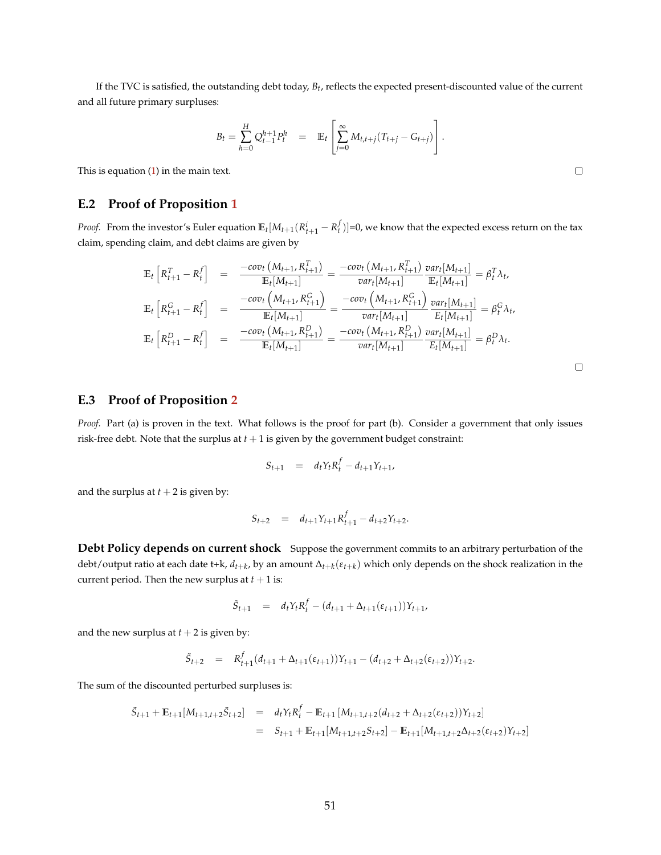If the TVC is satisfied, the outstanding debt today, *Bt* , reflects the expected present-discounted value of the current and all future primary surpluses:

$$
B_t = \sum_{h=0}^H Q_{t-1}^{h+1} P_t^h = \mathbb{E}_t \left[ \sum_{j=0}^\infty M_{t,t+j} (T_{t+j} - G_{t+j}) \right].
$$

This is equation [\(1\)](#page-6-0) in the main text.

#### **E.2 Proof of Proposition [1](#page-8-0)**

*Proof.* From the investor's Euler equation  $\mathbb{E}_t[M_{t+1}(R_{t+1}^i-R_t^f)]=0$ , we know that the expected excess return on the tax claim, spending claim, and debt claims are given by

$$
\mathbb{E}_{t}\left[R_{t+1}^{T} - R_{t}^{f}\right] = \frac{-cov_{t}\left(M_{t+1}, R_{t+1}^{T}\right)}{\mathbb{E}_{t}[M_{t+1}]} = \frac{-cov_{t}\left(M_{t+1}, R_{t+1}^{T}\right)}{var_{t}[M_{t+1}]} \frac{var_{t}[M_{t+1}]}{\mathbb{E}_{t}[M_{t+1}]} = \beta_{t}^{T} \lambda_{t},
$$
\n
$$
\mathbb{E}_{t}\left[R_{t+1}^{G} - R_{t}^{f}\right] = \frac{-cov_{t}\left(M_{t+1}, R_{t+1}^{G}\right)}{\mathbb{E}_{t}[M_{t+1}]} = \frac{-cov_{t}\left(M_{t+1}, R_{t+1}^{G}\right)}{var_{t}[M_{t+1}]} \frac{var_{t}[M_{t+1}]}{\mathbb{E}_{t}[M_{t+1}]} = \beta_{t}^{G} \lambda_{t},
$$
\n
$$
\mathbb{E}_{t}\left[R_{t+1}^{D} - R_{t}^{f}\right] = \frac{-cov_{t}\left(M_{t+1}, R_{t+1}^{D}\right)}{\mathbb{E}_{t}[M_{t+1}]} = \frac{-cov_{t}\left(M_{t+1}, R_{t+1}^{D}\right)}{var_{t}[M_{t+1}]} \frac{var_{t}[M_{t+1}]}{\mathbb{E}_{t}[M_{t+1}]} = \beta_{t}^{D} \lambda_{t}.
$$

| _ |  |
|---|--|
|   |  |
|   |  |
|   |  |
|   |  |
|   |  |

#### **E.3 Proof of Proposition [2](#page-10-0)**

*Proof.* Part (a) is proven in the text. What follows is the proof for part (b). Consider a government that only issues risk-free debt. Note that the surplus at  $t + 1$  is given by the government budget constraint:

$$
S_{t+1} = d_t Y_t R_t^f - d_{t+1} Y_{t+1},
$$

and the surplus at  $t + 2$  is given by:

$$
S_{t+2} = d_{t+1}Y_{t+1}R_{t+1}^f - d_{t+2}Y_{t+2}.
$$

**Debt Policy depends on current shock** Suppose the government commits to an arbitrary perturbation of the debt/output ratio at each date t+k, *dt*+*<sup>k</sup>* , by an amount ∆*t*+*<sup>k</sup>* (*εt*+*<sup>k</sup>* ) which only depends on the shock realization in the current period. Then the new surplus at  $t + 1$  is:

$$
\tilde{S}_{t+1} = d_t Y_t R_t^f - (d_{t+1} + \Delta_{t+1}(\varepsilon_{t+1})) Y_{t+1},
$$

and the new surplus at  $t + 2$  is given by:

$$
\tilde{S}_{t+2} = R_{t+1}^f (d_{t+1} + \Delta_{t+1}(\varepsilon_{t+1})) Y_{t+1} - (d_{t+2} + \Delta_{t+2}(\varepsilon_{t+2})) Y_{t+2}.
$$

The sum of the discounted perturbed surpluses is:

$$
\begin{array}{rcl}\n\tilde{S}_{t+1} + \mathbb{E}_{t+1}[M_{t+1,t+2}\tilde{S}_{t+2}] & = & d_t Y_t R_t^f - \mathbb{E}_{t+1}[M_{t+1,t+2}(d_{t+2} + \Delta_{t+2}(\varepsilon_{t+2}))Y_{t+2}] \\
& = & S_{t+1} + \mathbb{E}_{t+1}[M_{t+1,t+2}S_{t+2}] - \mathbb{E}_{t+1}[M_{t+1,t+2}\Delta_{t+2}(\varepsilon_{t+2})Y_{t+2}]\n\end{array}
$$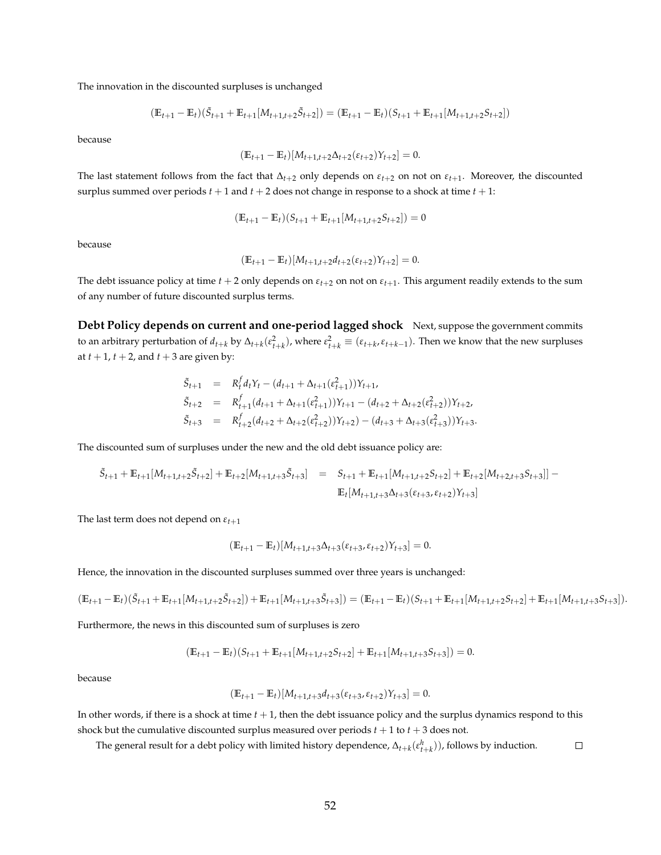The innovation in the discounted surpluses is unchanged

$$
(\mathbb{E}_{t+1} - \mathbb{E}_t)(\tilde{S}_{t+1} + \mathbb{E}_{t+1}[M_{t+1,t+2}\tilde{S}_{t+2}]) = (\mathbb{E}_{t+1} - \mathbb{E}_t)(S_{t+1} + \mathbb{E}_{t+1}[M_{t+1,t+2}\tilde{S}_{t+2}])
$$

because

$$
(\mathbb{E}_{t+1} - \mathbb{E}_t)[M_{t+1,t+2}\Delta_{t+2}(\varepsilon_{t+2})Y_{t+2}] = 0.
$$

The last statement follows from the fact that  $\Delta_{t+2}$  only depends on  $\varepsilon_{t+2}$  on not on  $\varepsilon_{t+1}$ . Moreover, the discounted surplus summed over periods  $t + 1$  and  $t + 2$  does not change in response to a shock at time  $t + 1$ :

$$
(\mathbb{E}_{t+1} - \mathbb{E}_t)(S_{t+1} + \mathbb{E}_{t+1}[M_{t+1,t+2}S_{t+2}]) = 0
$$

because

$$
(\mathbb{E}_{t+1} - \mathbb{E}_t)[M_{t+1,t+2}d_{t+2}(\varepsilon_{t+2})Y_{t+2}] = 0.
$$

The debt issuance policy at time  $t + 2$  only depends on  $\varepsilon_{t+2}$  on not on  $\varepsilon_{t+1}$ . This argument readily extends to the sum of any number of future discounted surplus terms.

**Debt Policy depends on current and one-period lagged shock** Next, suppose the government commits to an arbitrary perturbation of  $d_{t+k}$  by  $\Delta_{t+k}(\epsilon_{t+k}^2)$ , where  $\epsilon_{t+k}^2 \equiv (\epsilon_{t+k}, \epsilon_{t+k-1})$ . Then we know that the new surpluses at  $t + 1$ ,  $t + 2$ , and  $t + 3$  are given by:

$$
\begin{array}{rcl}\n\tilde{S}_{t+1} & = & R_t^f d_t Y_t - (d_{t+1} + \Delta_{t+1}(\varepsilon_{t+1}^2)) Y_{t+1}, \\
\tilde{S}_{t+2} & = & R_{t+1}^f (d_{t+1} + \Delta_{t+1}(\varepsilon_{t+1}^2)) Y_{t+1} - (d_{t+2} + \Delta_{t+2}(\varepsilon_{t+2}^2)) Y_{t+2}, \\
\tilde{S}_{t+3} & = & R_{t+2}^f (d_{t+2} + \Delta_{t+2}(\varepsilon_{t+2}^2)) Y_{t+2}) - (d_{t+3} + \Delta_{t+3}(\varepsilon_{t+3}^2)) Y_{t+3}.\n\end{array}
$$

The discounted sum of surpluses under the new and the old debt issuance policy are:

$$
\tilde{S}_{t+1} + \mathbb{E}_{t+1}[M_{t+1,t+2}\tilde{S}_{t+2}] + \mathbb{E}_{t+2}[M_{t+1,t+3}\tilde{S}_{t+3}] = S_{t+1} + \mathbb{E}_{t+1}[M_{t+1,t+2}\tilde{S}_{t+2}] + \mathbb{E}_{t+2}[M_{t+2,t+3}\tilde{S}_{t+3}]] - \mathbb{E}_{t}[M_{t+1,t+3}\Delta_{t+3}(\varepsilon_{t+3},\varepsilon_{t+2})Y_{t+3}]
$$

The last term does not depend on  $\varepsilon_{t+1}$ 

$$
(\mathbb{E}_{t+1} - \mathbb{E}_t)[M_{t+1,t+3}\Delta_{t+3}(\varepsilon_{t+3}, \varepsilon_{t+2})Y_{t+3}] = 0.
$$

Hence, the innovation in the discounted surpluses summed over three years is unchanged:

$$
(\mathbb{E}_{t+1}-\mathbb{E}_t)(\tilde{S}_{t+1}+\mathbb{E}_{t+1}[M_{t+1,t+2}\tilde{S}_{t+2}])+\mathbb{E}_{t+1}[M_{t+1,t+3}\tilde{S}_{t+3}])=(\mathbb{E}_{t+1}-\mathbb{E}_t)(S_{t+1}+\mathbb{E}_{t+1}[M_{t+1,t+2}S_{t+2}]+\mathbb{E}_{t+1}[M_{t+1,t+3}S_{t+3}]).
$$

Furthermore, the news in this discounted sum of surpluses is zero

$$
(\mathbb{E}_{t+1} - \mathbb{E}_t)(S_{t+1} + \mathbb{E}_{t+1}[M_{t+1,t+2}S_{t+2}] + \mathbb{E}_{t+1}[M_{t+1,t+3}S_{t+3}]) = 0.
$$

because

$$
(\mathbb{E}_{t+1} - \mathbb{E}_t)[M_{t+1,t+3}d_{t+3}(\varepsilon_{t+3}, \varepsilon_{t+2})Y_{t+3}] = 0.
$$

In other words, if there is a shock at time *t* + 1, then the debt issuance policy and the surplus dynamics respond to this shock but the cumulative discounted surplus measured over periods  $t + 1$  to  $t + 3$  does not.

The general result for a debt policy with limited history dependence,  $\Delta_{t+k}(\varepsilon_{t+k}^h)$ ), follows by induction.  $\Box$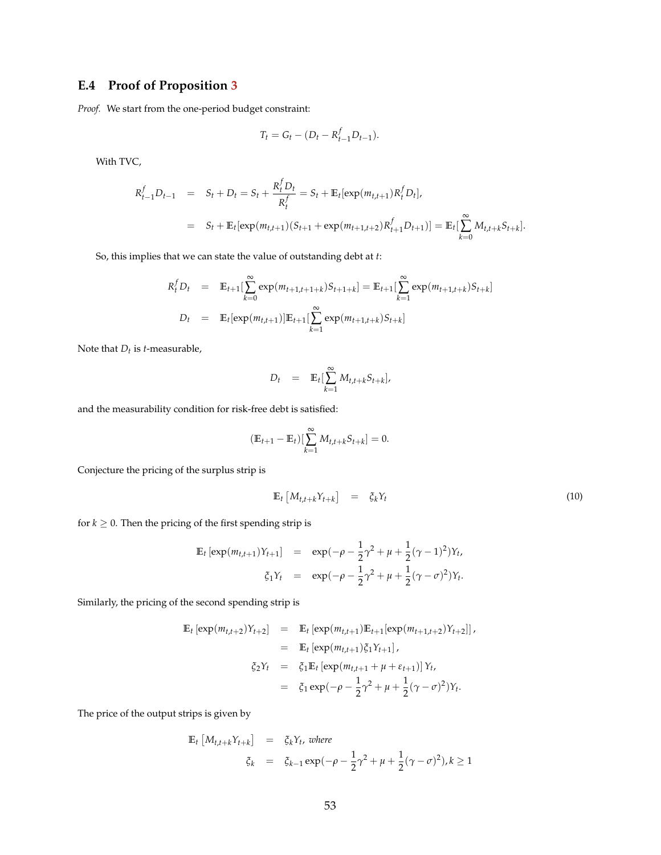### **E.4 Proof of Proposition [3](#page-12-0)**

*Proof.* We start from the one-period budget constraint:

$$
T_t = G_t - (D_t - R_{t-1}^f D_{t-1}).
$$

With TVC,

$$
R_{t-1}^f D_{t-1} = S_t + D_t = S_t + \frac{R_t^f D_t}{R_t^f} = S_t + \mathbb{E}_t[\exp(m_{t,t+1})R_t^f D_t],
$$
  
=  $S_t + \mathbb{E}_t[\exp(m_{t,t+1})(S_{t+1} + \exp(m_{t+1,t+2})R_{t+1}^f D_{t+1})] = \mathbb{E}_t[\sum_{k=0}^{\infty} M_{t,t+k}S_{t+k}].$ 

So, this implies that we can state the value of outstanding debt at *t*:

$$
R_t^f D_t = \mathbb{E}_{t+1} \left[ \sum_{k=0}^{\infty} \exp(m_{t+1,t+1+k}) S_{t+1+k} \right] = \mathbb{E}_{t+1} \left[ \sum_{k=1}^{\infty} \exp(m_{t+1,t+k}) S_{t+k} \right]
$$
  

$$
D_t = \mathbb{E}_t \left[ \exp(m_{t,t+1}) \right] \mathbb{E}_{t+1} \left[ \sum_{k=1}^{\infty} \exp(m_{t+1,t+k}) S_{t+k} \right]
$$

Note that *Dt* is *t*-measurable,

$$
D_t = \mathbb{E}_t[\sum_{k=1}^{\infty} M_{t,t+k} S_{t+k}],
$$

and the measurability condition for risk-free debt is satisfied:

$$
(\mathbb{E}_{t+1} - \mathbb{E}_t) [\sum_{k=1}^{\infty} M_{t,t+k} S_{t+k}] = 0.
$$

Conjecture the pricing of the surplus strip is

$$
\mathbb{E}_t \left[ M_{t,t+k} Y_{t+k} \right] = \xi_k Y_t \tag{10}
$$

for  $k \geq 0$ . Then the pricing of the first spending strip is

$$
\mathbb{E}_{t} \left[ \exp(m_{t,t+1}) Y_{t+1} \right] = \exp(-\rho - \frac{1}{2}\gamma^{2} + \mu + \frac{1}{2}(\gamma - 1)^{2}) Y_{t},
$$
  

$$
\xi_{1} Y_{t} = \exp(-\rho - \frac{1}{2}\gamma^{2} + \mu + \frac{1}{2}(\gamma - \sigma)^{2}) Y_{t}.
$$

Similarly, the pricing of the second spending strip is

$$
\mathbb{E}_{t} \left[ \exp(m_{t,t+2}) Y_{t+2} \right] = \mathbb{E}_{t} \left[ \exp(m_{t,t+1}) \mathbb{E}_{t+1} \left[ \exp(m_{t+1,t+2}) Y_{t+2} \right] \right],
$$
\n
$$
= \mathbb{E}_{t} \left[ \exp(m_{t,t+1}) \xi_{1} Y_{t+1} \right],
$$
\n
$$
\xi_{2} Y_{t} = \xi_{1} \mathbb{E}_{t} \left[ \exp(m_{t,t+1} + \mu + \varepsilon_{t+1}) \right] Y_{t},
$$
\n
$$
= \xi_{1} \exp(-\rho - \frac{1}{2} \gamma^{2} + \mu + \frac{1}{2} (\gamma - \sigma)^{2}) Y_{t}.
$$

The price of the output strips is given by

$$
\begin{array}{rcl}\n\mathbb{E}_t \left[ M_{t,t+k} Y_{t+k} \right] & = & \xi_k Y_t, \text{ where} \\
\zeta_k & = & \xi_{k-1} \exp(-\rho - \frac{1}{2}\gamma^2 + \mu + \frac{1}{2}(\gamma - \sigma)^2), k \ge 1\n\end{array}
$$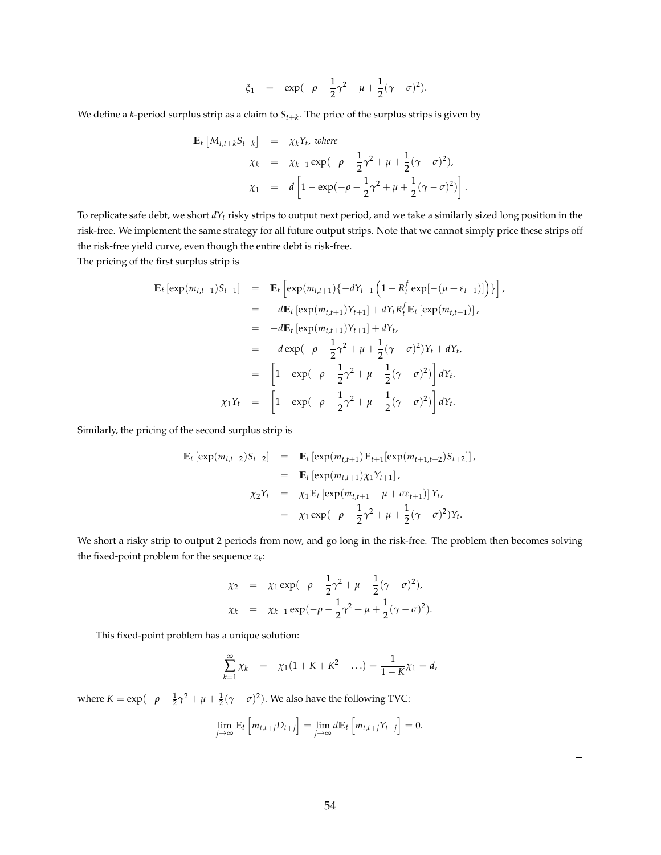$$
\xi_1
$$
 =  $\exp(-\rho - \frac{1}{2}\gamma^2 + \mu + \frac{1}{2}(\gamma - \sigma)^2).$ 

We define a *k*-period surplus strip as a claim to *St*+*<sup>k</sup>* . The price of the surplus strips is given by

$$
\begin{array}{rcl}\n\mathbb{E}_{t}\left[M_{t,t+k}S_{t+k}\right] & = & \chi_{k}Y_{t}, \text{ where} \\
\chi_{k} & = & \chi_{k-1}\exp(-\rho - \frac{1}{2}\gamma^{2} + \mu + \frac{1}{2}(\gamma - \sigma)^{2}), \\
\chi_{1} & = & d\left[1 - \exp(-\rho - \frac{1}{2}\gamma^{2} + \mu + \frac{1}{2}(\gamma - \sigma)^{2})\right].\n\end{array}
$$

To replicate safe debt, we short *dYt* risky strips to output next period, and we take a similarly sized long position in the risk-free. We implement the same strategy for all future output strips. Note that we cannot simply price these strips off the risk-free yield curve, even though the entire debt is risk-free.

The pricing of the first surplus strip is

$$
\mathbb{E}_{t} \left[ \exp(m_{t,t+1})S_{t+1} \right] = \mathbb{E}_{t} \left[ \exp(m_{t,t+1})\{-dY_{t+1} \left(1 - R_{t}^{f} \exp[-(\mu + \varepsilon_{t+1})]\right) \} \right],
$$
  
\n
$$
= -d\mathbb{E}_{t} \left[ \exp(m_{t,t+1})Y_{t+1} \right] + dY_{t}R_{t}^{f} \mathbb{E}_{t} \left[ \exp(m_{t,t+1}) \right],
$$
  
\n
$$
= -d\mathbb{E}_{t} \left[ \exp(m_{t,t+1})Y_{t+1} \right] + dY_{t},
$$
  
\n
$$
= -d\exp(-\rho - \frac{1}{2}\gamma^{2} + \mu + \frac{1}{2}(\gamma - \sigma)^{2})Y_{t} + dY_{t},
$$
  
\n
$$
= \left[ 1 - \exp(-\rho - \frac{1}{2}\gamma^{2} + \mu + \frac{1}{2}(\gamma - \sigma)^{2}) \right] dY_{t}.
$$
  
\n
$$
\chi_{1}Y_{t} = \left[ 1 - \exp(-\rho - \frac{1}{2}\gamma^{2} + \mu + \frac{1}{2}(\gamma - \sigma)^{2}) \right] dY_{t}.
$$

Similarly, the pricing of the second surplus strip is

$$
\begin{array}{rcl}\n\mathbb{E}_t \left[ \exp(m_{t,t+2}) S_{t+2} \right] & = & \mathbb{E}_t \left[ \exp(m_{t,t+1}) \mathbb{E}_{t+1} \left[ \exp(m_{t+1,t+2}) S_{t+2} \right] \right], \\
& = & \mathbb{E}_t \left[ \exp(m_{t,t+1}) \chi_1 Y_{t+1} \right], \\
& \chi_2 Y_t & = & \chi_1 \mathbb{E}_t \left[ \exp(m_{t,t+1} + \mu + \sigma \epsilon_{t+1}) \right] Y_t, \\
& = & \chi_1 \exp(-\rho - \frac{1}{2} \gamma^2 + \mu + \frac{1}{2} (\gamma - \sigma)^2) Y_t.\n\end{array}
$$

We short a risky strip to output 2 periods from now, and go long in the risk-free. The problem then becomes solving the fixed-point problem for the sequence *z<sup>k</sup>* :

$$
\chi_2 = \chi_1 \exp(-\rho - \frac{1}{2}\gamma^2 + \mu + \frac{1}{2}(\gamma - \sigma)^2),
$$
  
\n
$$
\chi_k = \chi_{k-1} \exp(-\rho - \frac{1}{2}\gamma^2 + \mu + \frac{1}{2}(\gamma - \sigma)^2).
$$

This fixed-point problem has a unique solution:

$$
\sum_{k=1}^{\infty} \chi_k = \chi_1(1 + K + K^2 + \ldots) = \frac{1}{1 - K}\chi_1 = d,
$$

where  $K = \exp(-\rho - \frac{1}{2}\gamma^2 + \mu + \frac{1}{2}(\gamma - \sigma)^2)$ . We also have the following TVC:

$$
\lim_{j\to\infty} \mathbb{E}_t \left[ m_{t,t+j} D_{t+j} \right] = \lim_{j\to\infty} d \mathbb{E}_t \left[ m_{t,t+j} Y_{t+j} \right] = 0.
$$

 $\Box$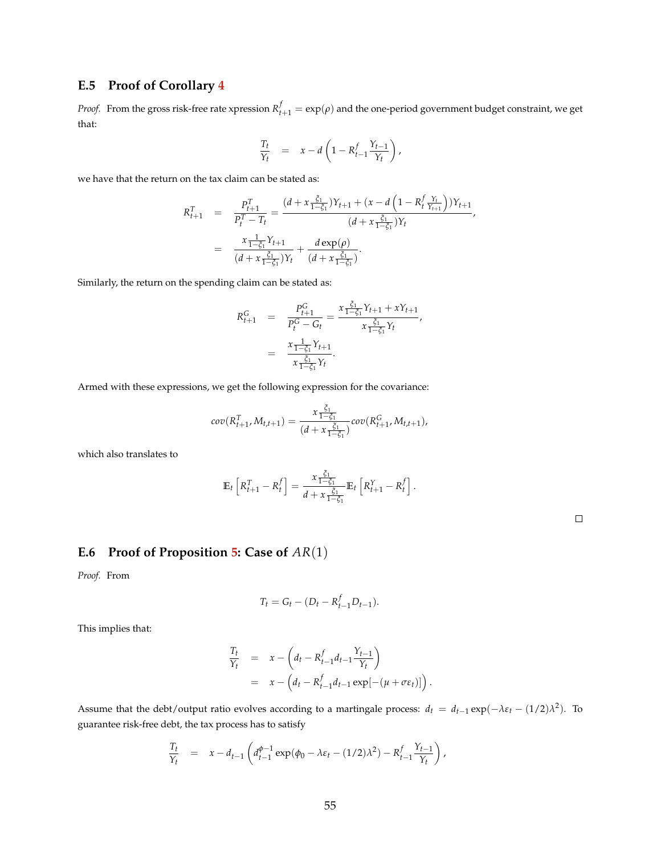### **E.5 Proof of Corollary [4](#page-13-0)**

*Proof.* From the gross risk-free rate xpression  $R_{t+1}^f = \exp(\rho)$  and the one-period government budget constraint, we get that:

$$
\frac{T_t}{Y_t} = x - d \left( 1 - R_{t-1}^f \frac{Y_{t-1}}{Y_t} \right),
$$

we have that the return on the tax claim can be stated as:

$$
R_{t+1}^T = \frac{P_{t+1}^T}{P_t^T - T_t} = \frac{(d + x \frac{\xi_1}{1 - \xi_1})Y_{t+1} + (x - d \left(1 - R_t^f \frac{Y_t}{Y_{t+1}}\right))Y_{t+1}}{(d + x \frac{\xi_1}{1 - \xi_1})Y_t}
$$
\n
$$
= \frac{x \frac{1}{1 - \xi_1}Y_{t+1}}{(d + x \frac{\xi_1}{1 - \xi_1})Y_t} + \frac{d \exp(\rho)}{(d + x \frac{\xi_1}{1 - \xi_1})}.
$$

Similarly, the return on the spending claim can be stated as:

$$
R_{t+1}^{G} = \frac{P_{t+1}^{G}}{P_{t}^{G} - G_{t}} = \frac{x \frac{\xi_{1}}{1 - \xi_{1}} Y_{t+1} + x Y_{t+1}}{x \frac{\xi_{1}}{1 - \xi_{1}} Y_{t}},
$$
  

$$
= \frac{x \frac{1}{1 - \xi_{1}} Y_{t+1}}{x \frac{\xi_{1}}{1 - \xi_{1}} Y_{t}}.
$$

Armed with these expressions, we get the following expression for the covariance:

$$
cov(R_{t+1}^T, M_{t,t+1}) = \frac{x \frac{\xi_1}{1-\xi_1}}{(d+x \frac{\xi_1}{1-\xi_1})} cov(R_{t+1}^G, M_{t,t+1}),
$$

which also translates to

$$
\mathbb{E}_t\left[R_{t+1}^T - R_t^f\right] = \frac{x \frac{\xi_1}{1-\xi_1}}{d+x \frac{\xi_1}{1-\xi_1}} \mathbb{E}_t\left[R_{t+1}^Y - R_t^f\right].
$$

#### **E.6 Proof of Proposition [5:](#page-16-0) Case of** *AR*(1)

*Proof.* From

$$
T_t = G_t - (D_t - R_{t-1}^f D_{t-1}).
$$

This implies that:

$$
\frac{T_t}{Y_t} = x - \left(d_t - R_{t-1}^f d_{t-1} \frac{Y_{t-1}}{Y_t}\right)
$$
  
= 
$$
x - \left(d_t - R_{t-1}^f d_{t-1} \exp[-(\mu + \sigma \epsilon_t)]\right).
$$

Assume that the debt/output ratio evolves according to a martingale process:  $d_t = d_{t-1} \exp(-\lambda \varepsilon_t - (1/2)\lambda^2)$ . To guarantee risk-free debt, the tax process has to satisfy

$$
\frac{T_t}{Y_t} = x - d_{t-1} \left( d_{t-1}^{\phi-1} \exp(\phi_0 - \lambda \varepsilon_t - (1/2)\lambda^2) - R_{t-1}^f \frac{Y_{t-1}}{Y_t} \right),
$$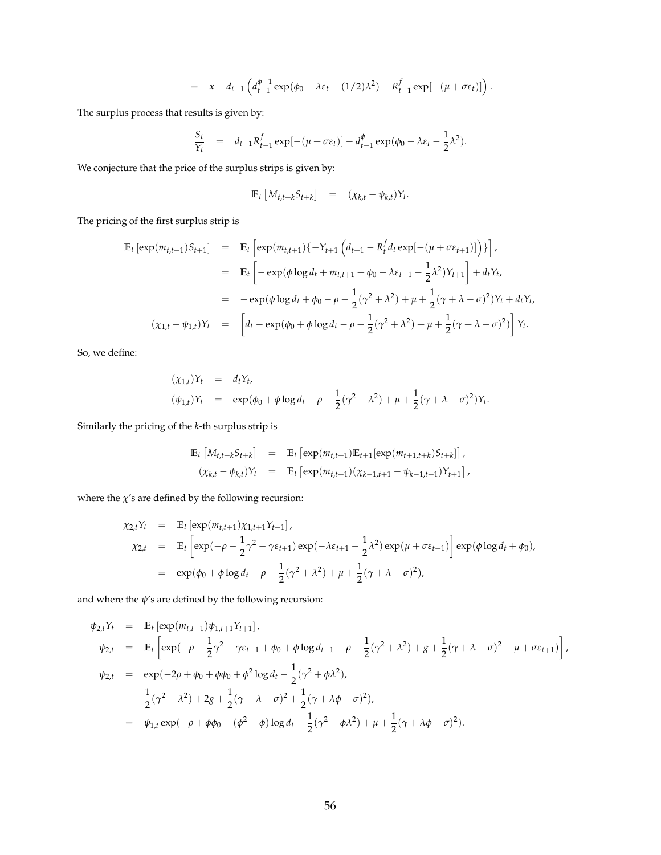$$
= x - d_{t-1} \left( d_{t-1}^{\phi-1} \exp(\phi_0 - \lambda \varepsilon_t - (1/2)\lambda^2) - R_{t-1}^f \exp[-(\mu + \sigma \varepsilon_t)] \right).
$$

The surplus process that results is given by:

$$
\frac{S_t}{Y_t} = d_{t-1} R_{t-1}^f \exp[-(\mu + \sigma \varepsilon_t)] - d_{t-1}^\phi \exp(\phi_0 - \lambda \varepsilon_t - \frac{1}{2} \lambda^2).
$$

We conjecture that the price of the surplus strips is given by:

$$
\mathbb{E}_t \left[ M_{t,t+k} S_{t+k} \right] = (\chi_{k,t} - \psi_{k,t}) Y_t.
$$

The pricing of the first surplus strip is

$$
\begin{split} \mathbb{E}_{t} \left[ \exp(m_{t,t+1}) S_{t+1} \right] &= \mathbb{E}_{t} \left[ \exp(m_{t,t+1}) \{ -Y_{t+1} \left( d_{t+1} - R_{t}^{f} d_{t} \exp[-(\mu + \sigma \varepsilon_{t+1})] \right) \} \right], \\ &= \mathbb{E}_{t} \left[ -\exp(\phi \log d_{t} + m_{t,t+1} + \phi_{0} - \lambda \varepsilon_{t+1} - \frac{1}{2} \lambda^{2}) Y_{t+1} \right] + d_{t} Y_{t}, \\ &= -\exp(\phi \log d_{t} + \phi_{0} - \rho - \frac{1}{2} (\gamma^{2} + \lambda^{2}) + \mu + \frac{1}{2} (\gamma + \lambda - \sigma)^{2}) Y_{t} + d_{t} Y_{t}, \\ &(\chi_{1,t} - \psi_{1,t}) Y_{t} &= \left[ d_{t} - \exp(\phi_{0} + \phi \log d_{t} - \rho - \frac{1}{2} (\gamma^{2} + \lambda^{2}) + \mu + \frac{1}{2} (\gamma + \lambda - \sigma)^{2}) \right] Y_{t}. \end{split}
$$

So, we define:

$$
(\chi_{1,t})Y_t = d_tY_t, (\psi_{1,t})Y_t = \exp(\phi_0 + \phi \log d_t - \rho - \frac{1}{2}(\gamma^2 + \lambda^2) + \mu + \frac{1}{2}(\gamma + \lambda - \sigma)^2)Y_t.
$$

Similarly the pricing of the *k*-th surplus strip is

$$
\mathbb{E}_{t} \left[ M_{t,t+k} S_{t+k} \right] = \mathbb{E}_{t} \left[ \exp(m_{t,t+1}) \mathbb{E}_{t+1} [\exp(m_{t+1,t+k}) S_{t+k}] \right],
$$
  

$$
(\chi_{k,t} - \psi_{k,t}) Y_{t} = \mathbb{E}_{t} \left[ \exp(m_{t,t+1}) (\chi_{k-1,t+1} - \psi_{k-1,t+1}) Y_{t+1} \right],
$$

where the  $\chi'$ s are defined by the following recursion:

$$
\chi_{2,t}Y_t = \mathbb{E}_t \left[ \exp(m_{t,t+1}) \chi_{1,t+1} Y_{t+1} \right],
$$
  
\n
$$
\chi_{2,t} = \mathbb{E}_t \left[ \exp(-\rho - \frac{1}{2} \gamma^2 - \gamma \varepsilon_{t+1}) \exp(-\lambda \varepsilon_{t+1} - \frac{1}{2} \lambda^2) \exp(\mu + \sigma \varepsilon_{t+1}) \right] \exp(\phi \log d_t + \phi_0),
$$
  
\n
$$
= \exp(\phi_0 + \phi \log d_t - \rho - \frac{1}{2} (\gamma^2 + \lambda^2) + \mu + \frac{1}{2} (\gamma + \lambda - \sigma)^2),
$$

and where the *ψ*'s are defined by the following recursion:

$$
\psi_{2,t}Y_t = \mathbb{E}_t \left[ \exp(m_{t,t+1})\psi_{1,t+1}Y_{t+1} \right],
$$
  
\n
$$
\psi_{2,t} = \mathbb{E}_t \left[ \exp(-\rho - \frac{1}{2}\gamma^2 - \gamma \varepsilon_{t+1} + \phi_0 + \phi \log d_{t+1} - \rho - \frac{1}{2}(\gamma^2 + \lambda^2) + g + \frac{1}{2}(\gamma + \lambda - \sigma)^2 + \mu + \sigma \varepsilon_{t+1}) \right],
$$
  
\n
$$
\psi_{2,t} = \exp(-2\rho + \phi_0 + \phi\phi_0 + \phi^2 \log d_t - \frac{1}{2}(\gamma^2 + \phi\lambda^2),
$$
  
\n
$$
- \frac{1}{2}(\gamma^2 + \lambda^2) + 2g + \frac{1}{2}(\gamma + \lambda - \sigma)^2 + \frac{1}{2}(\gamma + \lambda\phi - \sigma)^2),
$$
  
\n
$$
= \psi_{1,t} \exp(-\rho + \phi\phi_0 + (\phi^2 - \phi) \log d_t - \frac{1}{2}(\gamma^2 + \phi\lambda^2) + \mu + \frac{1}{2}(\gamma + \lambda\phi - \sigma)^2).
$$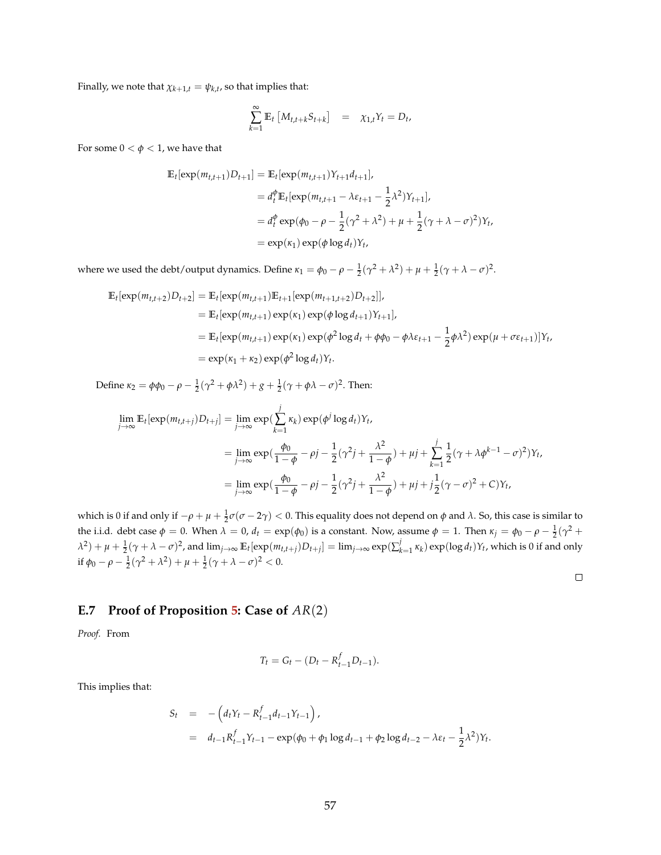Finally, we note that  $\chi_{k+1,t} = \psi_{k,t}$ , so that implies that:

$$
\sum_{k=1}^{\infty} \mathbb{E}_t \left[ M_{t,t+k} S_{t+k} \right] = \chi_{1,t} Y_t = D_t,
$$

For some  $0 < \phi < 1$ , we have that

$$
\mathbb{E}_{t}[\exp(m_{t,t+1})D_{t+1}] = \mathbb{E}_{t}[\exp(m_{t,t+1})Y_{t+1}d_{t+1}],
$$
  
\n
$$
= d_{t}^{\phi}\mathbb{E}_{t}[\exp(m_{t,t+1} - \lambda \varepsilon_{t+1} - \frac{1}{2}\lambda^{2})Y_{t+1}],
$$
  
\n
$$
= d_{t}^{\phi}\exp(\phi_{0} - \rho - \frac{1}{2}(\gamma^{2} + \lambda^{2}) + \mu + \frac{1}{2}(\gamma + \lambda - \sigma)^{2})Y_{t},
$$
  
\n
$$
= \exp(\kappa_{1})\exp(\phi \log d_{t})Y_{t},
$$

where we used the debt/output dynamics. Define  $\kappa_1 = \phi_0 - \rho - \frac{1}{2}(\gamma^2 + \lambda^2) + \mu + \frac{1}{2}(\gamma + \lambda - \sigma)^2$ .

$$
\mathbb{E}_{t}[\exp(m_{t,t+2})D_{t+2}] = \mathbb{E}_{t}[\exp(m_{t,t+1})\mathbb{E}_{t+1}[\exp(m_{t+1,t+2})D_{t+2}]],
$$
  
\n
$$
= \mathbb{E}_{t}[\exp(m_{t,t+1})\exp(\kappa_{1})\exp(\phi\log d_{t+1})Y_{t+1}],
$$
  
\n
$$
= \mathbb{E}_{t}[\exp(m_{t,t+1})\exp(\kappa_{1})\exp(\phi^{2}\log d_{t} + \phi\phi_{0} - \phi\lambda\varepsilon_{t+1} - \frac{1}{2}\phi\lambda^{2})\exp(\mu + \sigma\varepsilon_{t+1})]Y_{t},
$$
  
\n
$$
= \exp(\kappa_{1} + \kappa_{2})\exp(\phi^{2}\log d_{t})Y_{t}.
$$

Define *κ*<sub>2</sub> = *φφ*<sub>0</sub> − *ρ* −  $\frac{1}{2}(\gamma^2 + \phi \lambda^2) + g + \frac{1}{2}(\gamma + \phi \lambda - \sigma)^2$ . Then:

$$
\lim_{j \to \infty} \mathbb{E}_t[\exp(m_{t,t+j})D_{t+j}] = \lim_{j \to \infty} \exp(\sum_{k=1}^j \kappa_k) \exp(\phi^j \log d_t)Y_t,
$$
  
\n
$$
= \lim_{j \to \infty} \exp(\frac{\phi_0}{1-\phi} - \rho j - \frac{1}{2}(\gamma^2 j + \frac{\lambda^2}{1-\phi}) + \mu j + \sum_{k=1}^j \frac{1}{2}(\gamma + \lambda \phi^{k-1} - \sigma)^2)Y_t,
$$
  
\n
$$
= \lim_{j \to \infty} \exp(\frac{\phi_0}{1-\phi} - \rho j - \frac{1}{2}(\gamma^2 j + \frac{\lambda^2}{1-\phi}) + \mu j + j\frac{1}{2}(\gamma - \sigma)^2 + C)Y_t,
$$

which is 0 if and only if  $-\rho + \mu + \frac{1}{2} \sigma (\sigma - 2\gamma) < 0$ . This equality does not depend on *φ* and *λ*. So, this case is similar to the i.i.d. debt case  $φ = 0$ . When  $λ = 0$ ,  $d_t = exp(φ_0)$  is a constant. Now, assume  $φ = 1$ . Then  $κ_j = φ_0 - ρ - \frac{1}{2}(γ^2 +$  $\lambda^2)+\mu+\frac{1}{2}(\gamma+\lambda-\sigma)^2$ , and  $\lim_{j\to\infty}\mathbb{E}_t[\exp(m_{t,t+j})D_{t+j}]=\lim_{j\to\infty}\exp(\sum_{k=1}^j\kappa_k)\exp(\log d_t)Y_t$ , which is 0 if and only if  $\phi_0 - \rho - \frac{1}{2}(\gamma^2 + \lambda^2) + \mu + \frac{1}{2}(\gamma + \lambda - \sigma)^2 < 0.$ 

$$
\Box
$$

#### **E.7 Proof of Proposition [5:](#page-16-0) Case of** *AR*(2)

*Proof.* From

$$
T_t = G_t - (D_t - R_{t-1}^f D_{t-1}).
$$

This implies that:

$$
S_t = - (d_t Y_t - R_{t-1}^f d_{t-1} Y_{t-1}),
$$
  
=  $d_{t-1} R_{t-1}^f Y_{t-1} - \exp(\phi_0 + \phi_1 \log d_{t-1} + \phi_2 \log d_{t-2} - \lambda \varepsilon_t - \frac{1}{2} \lambda^2) Y_t.$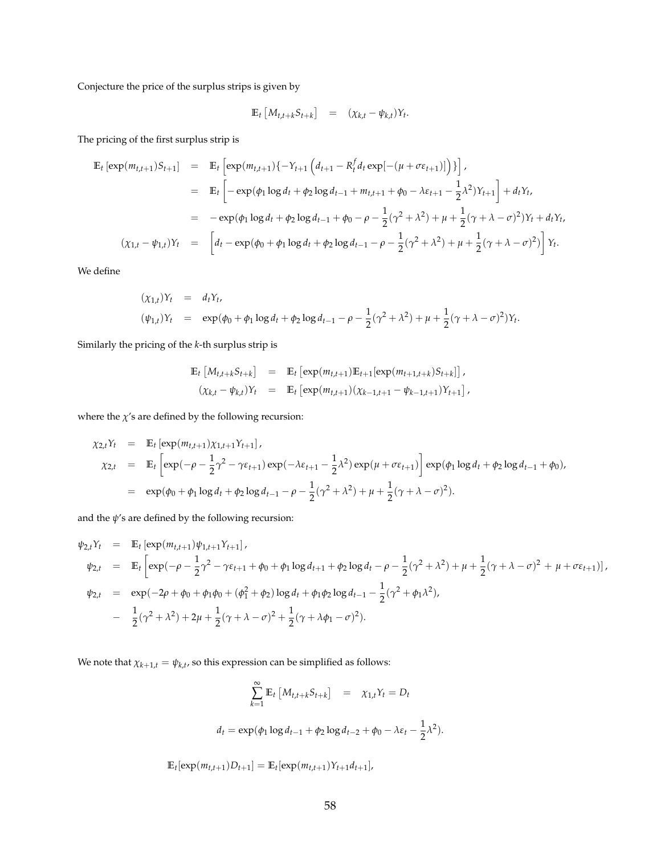Conjecture the price of the surplus strips is given by

$$
\mathbb{E}_t \left[ M_{t,t+k} S_{t+k} \right] = (\chi_{k,t} - \psi_{k,t}) Y_t.
$$

The pricing of the first surplus strip is

$$
\mathbb{E}_{t} \left[ \exp(m_{t,t+1})S_{t+1} \right] = \mathbb{E}_{t} \left[ \exp(m_{t,t+1})\{-Y_{t+1}\left(d_{t+1} - R_{t}^{f}d_{t} \exp[-(\mu + \sigma \varepsilon_{t+1})]\right)\}\right],
$$
\n
$$
= \mathbb{E}_{t} \left[ -\exp(\phi_{1} \log d_{t} + \phi_{2} \log d_{t-1} + m_{t,t+1} + \phi_{0} - \lambda \varepsilon_{t+1} - \frac{1}{2}\lambda^{2})Y_{t+1} \right] + d_{t}Y_{t},
$$
\n
$$
= -\exp(\phi_{1} \log d_{t} + \phi_{2} \log d_{t-1} + \phi_{0} - \rho - \frac{1}{2}(\gamma^{2} + \lambda^{2}) + \mu + \frac{1}{2}(\gamma + \lambda - \sigma)^{2})Y_{t} + d_{t}Y_{t},
$$
\n
$$
(\chi_{1,t} - \psi_{1,t})Y_{t} = \left[ d_{t} - \exp(\phi_{0} + \phi_{1} \log d_{t} + \phi_{2} \log d_{t-1} - \rho - \frac{1}{2}(\gamma^{2} + \lambda^{2}) + \mu + \frac{1}{2}(\gamma + \lambda - \sigma)^{2}) \right]Y_{t}.
$$

We define

$$
(\chi_{1,t})Y_t = d_tY_t,
$$
  
\n
$$
(\psi_{1,t})Y_t = \exp(\phi_0 + \phi_1 \log d_t + \phi_2 \log d_{t-1} - \rho - \frac{1}{2}(\gamma^2 + \lambda^2) + \mu + \frac{1}{2}(\gamma + \lambda - \sigma)^2)Y_t.
$$

Similarly the pricing of the *k*-th surplus strip is

$$
\mathbb{E}_{t} \left[ M_{t,t+k} S_{t+k} \right] = \mathbb{E}_{t} \left[ \exp(m_{t,t+1}) \mathbb{E}_{t+1} [\exp(m_{t+1,t+k}) S_{t+k}] \right],
$$
  

$$
(\chi_{k,t} - \psi_{k,t}) Y_{t} = \mathbb{E}_{t} \left[ \exp(m_{t,t+1}) (\chi_{k-1,t+1} - \psi_{k-1,t+1}) Y_{t+1} \right],
$$

where the  $\chi$ 's are defined by the following recursion:

$$
\chi_{2,t}Y_t = \mathbb{E}_t \left[ \exp(m_{t,t+1}) \chi_{1,t+1} Y_{t+1} \right],
$$
  
\n
$$
\chi_{2,t} = \mathbb{E}_t \left[ \exp(-\rho - \frac{1}{2}\gamma^2 - \gamma \varepsilon_{t+1}) \exp(-\lambda \varepsilon_{t+1} - \frac{1}{2}\lambda^2) \exp(\mu + \sigma \varepsilon_{t+1}) \right] \exp(\phi_1 \log d_t + \phi_2 \log d_{t-1} + \phi_0),
$$
  
\n
$$
= \exp(\phi_0 + \phi_1 \log d_t + \phi_2 \log d_{t-1} - \rho - \frac{1}{2}(\gamma^2 + \lambda^2) + \mu + \frac{1}{2}(\gamma + \lambda - \sigma)^2).
$$

and the  $\psi$ 's are defined by the following recursion:

$$
\psi_{2,t}Y_t = \mathbb{E}_t \left[ \exp(m_{t,t+1}) \psi_{1,t+1} Y_{t+1} \right],
$$
  
\n
$$
\psi_{2,t} = \mathbb{E}_t \left[ \exp(-\rho - \frac{1}{2} \gamma^2 - \gamma \varepsilon_{t+1} + \phi_0 + \phi_1 \log d_{t+1} + \phi_2 \log d_t - \rho - \frac{1}{2} (\gamma^2 + \lambda^2) + \mu + \frac{1}{2} (\gamma + \lambda - \sigma)^2 + \mu + \sigma \varepsilon_{t+1}) \right],
$$
  
\n
$$
\psi_{2,t} = \exp(-2\rho + \phi_0 + \phi_1 \phi_0 + (\phi_1^2 + \phi_2) \log d_t + \phi_1 \phi_2 \log d_{t-1} - \frac{1}{2} (\gamma^2 + \phi_1 \lambda^2),
$$
  
\n
$$
- \frac{1}{2} (\gamma^2 + \lambda^2) + 2\mu + \frac{1}{2} (\gamma + \lambda - \sigma)^2 + \frac{1}{2} (\gamma + \lambda \phi_1 - \sigma)^2).
$$

We note that  $\chi_{k+1,t} = \psi_{k,t}$ , so this expression can be simplified as follows:

$$
\sum_{k=1}^{\infty} \mathbb{E}_t \left[ M_{t,t+k} S_{t+k} \right] = \chi_{1,t} Y_t = D_t
$$
  

$$
d_t = \exp(\phi_1 \log d_{t-1} + \phi_2 \log d_{t-2} + \phi_0 - \lambda \varepsilon_t - \frac{1}{2} \lambda^2).
$$

 $\mathbb{E}_t[\exp(m_{t,t+1})D_{t+1}] = \mathbb{E}_t[\exp(m_{t,t+1})Y_{t+1}d_{t+1}],$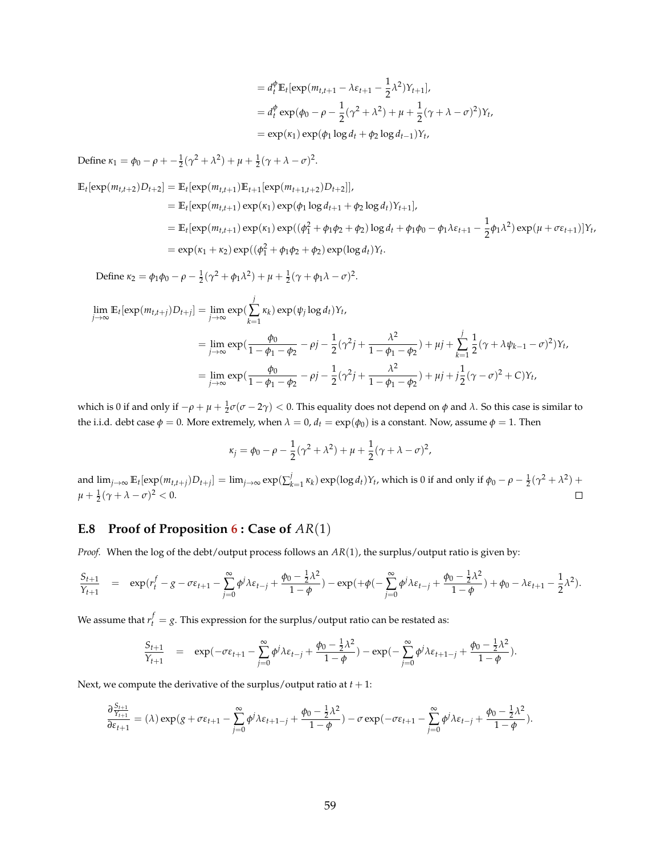$$
= d_t^{\phi} \mathbb{E}_t[\exp(m_{t,t+1} - \lambda \varepsilon_{t+1} - \frac{1}{2} \lambda^2) Y_{t+1}],
$$
  
\n
$$
= d_t^{\phi} \exp(\phi_0 - \rho - \frac{1}{2} (\gamma^2 + \lambda^2) + \mu + \frac{1}{2} (\gamma + \lambda - \sigma)^2) Y_t,
$$
  
\n
$$
= \exp(\kappa_1) \exp(\phi_1 \log d_t + \phi_2 \log d_{t-1}) Y_t,
$$

Define  $\kappa_1 = \phi_0 - \rho + \frac{1}{2}(\gamma^2 + \lambda^2) + \mu + \frac{1}{2}(\gamma + \lambda - \sigma)^2$ .

$$
\mathbb{E}_{t}[\exp(m_{t,t+2})D_{t+2}] = \mathbb{E}_{t}[\exp(m_{t,t+1})\mathbb{E}_{t+1}[\exp(m_{t+1,t+2})D_{t+2}]]
$$
\n
$$
= \mathbb{E}_{t}[\exp(m_{t,t+1})\exp(\kappa_{1})\exp(\phi_{1}\log d_{t+1} + \phi_{2}\log d_{t})Y_{t+1}],
$$
\n
$$
= \mathbb{E}_{t}[\exp(m_{t,t+1})\exp(\kappa_{1})\exp((\phi_{1}^{2} + \phi_{1}\phi_{2} + \phi_{2})\log d_{t} + \phi_{1}\phi_{0} - \phi_{1}\lambda\varepsilon_{t+1} - \frac{1}{2}\phi_{1}\lambda^{2})\exp(\mu + \sigma\varepsilon_{t+1})]Y_{t},
$$
\n
$$
= \exp(\kappa_{1} + \kappa_{2})\exp((\phi_{1}^{2} + \phi_{1}\phi_{2} + \phi_{2})\exp(\log d_{t})Y_{t}.
$$

Define 
$$
\kappa_2 = \phi_1 \phi_0 - \rho - \frac{1}{2} (\gamma^2 + \phi_1 \lambda^2) + \mu + \frac{1}{2} (\gamma + \phi_1 \lambda - \sigma)^2
$$
.

$$
\lim_{j \to \infty} \mathbb{E}_{t}[\exp(m_{t,t+j})D_{t+j}] = \lim_{j \to \infty} \exp(\sum_{k=1}^{j} \kappa_{k}) \exp(\psi_{j} \log d_{t})Y_{t},
$$
\n
$$
= \lim_{j \to \infty} \exp(\frac{\phi_{0}}{1 - \phi_{1} - \phi_{2}} - \rho_{j} - \frac{1}{2}(\gamma^{2}j + \frac{\lambda^{2}}{1 - \phi_{1} - \phi_{2}}) + \mu_{j} + \sum_{k=1}^{j} \frac{1}{2}(\gamma + \lambda \psi_{k-1} - \sigma)^{2})Y_{t},
$$
\n
$$
= \lim_{j \to \infty} \exp(\frac{\phi_{0}}{1 - \phi_{1} - \phi_{2}} - \rho_{j} - \frac{1}{2}(\gamma^{2}j + \frac{\lambda^{2}}{1 - \phi_{1} - \phi_{2}}) + \mu_{j} + j\frac{1}{2}(\gamma - \sigma)^{2} + C)Y_{t},
$$

which is 0 if and only if  $-\rho + \mu + \frac{1}{2} \sigma$  (*σ* − 2 $\gamma$ ) < 0. This equality does not depend on *φ* and *λ*. So this case is similar to the i.i.d. debt case  $\phi = 0$ . More extremely, when  $\lambda = 0$ ,  $d_t = \exp(\phi_0)$  is a constant. Now, assume  $\phi = 1$ . Then

$$
\kappa_j = \phi_0 - \rho - \frac{1}{2}(\gamma^2 + \lambda^2) + \mu + \frac{1}{2}(\gamma + \lambda - \sigma)^2,
$$

and  $\lim_{j\to\infty} \mathbb{E}_t[\exp(m_{t,t+j})D_{t+j}] = \lim_{j\to\infty} \exp(\sum_{k=1}^j \kappa_k) \exp(\log d_t)Y_t$ , which is 0 if and only if  $\phi_0 - \rho - \frac{1}{2}(\gamma^2 + \lambda^2)$  +  $\Box$  $\mu + \frac{1}{2}(\gamma + \lambda - \sigma)^2 < 0.$ 

### **E.8 Proof of Proposition [6](#page-18-0) : Case of** *AR*(1)

*Proof.* When the log of the debt/output process follows an *AR*(1), the surplus/output ratio is given by:

$$
\frac{S_{t+1}}{Y_{t+1}} = \exp(r_t^f - g - \sigma \varepsilon_{t+1} - \sum_{j=0}^{\infty} \phi^j \lambda \varepsilon_{t-j} + \frac{\phi_0 - \frac{1}{2}\lambda^2}{1-\phi}) - \exp(+\phi(-\sum_{j=0}^{\infty} \phi^j \lambda \varepsilon_{t-j} + \frac{\phi_0 - \frac{1}{2}\lambda^2}{1-\phi}) + \phi_0 - \lambda \varepsilon_{t+1} - \frac{1}{2}\lambda^2).
$$

We assume that  $r_t^f = g$ . This expression for the surplus/output ratio can be restated as:

$$
\frac{S_{t+1}}{Y_{t+1}} = \exp(-\sigma \varepsilon_{t+1} - \sum_{j=0}^{\infty} \phi^j \lambda \varepsilon_{t-j} + \frac{\phi_0 - \frac{1}{2} \lambda^2}{1 - \phi}) - \exp(-\sum_{j=0}^{\infty} \phi^j \lambda \varepsilon_{t+1-j} + \frac{\phi_0 - \frac{1}{2} \lambda^2}{1 - \phi}).
$$

Next, we compute the derivative of the surplus/output ratio at  $t + 1$ :

$$
\frac{\partial \frac{S_{t+1}}{Y_{t+1}}}{\partial \varepsilon_{t+1}} = (\lambda) \exp(g + \sigma \varepsilon_{t+1} - \sum_{j=0}^\infty \phi^j \lambda \varepsilon_{t+1-j} + \frac{\phi_0 - \frac{1}{2} \lambda^2}{1-\phi}) - \sigma \exp(-\sigma \varepsilon_{t+1} - \sum_{j=0}^\infty \phi^j \lambda \varepsilon_{t-j} + \frac{\phi_0 - \frac{1}{2} \lambda^2}{1-\phi}).
$$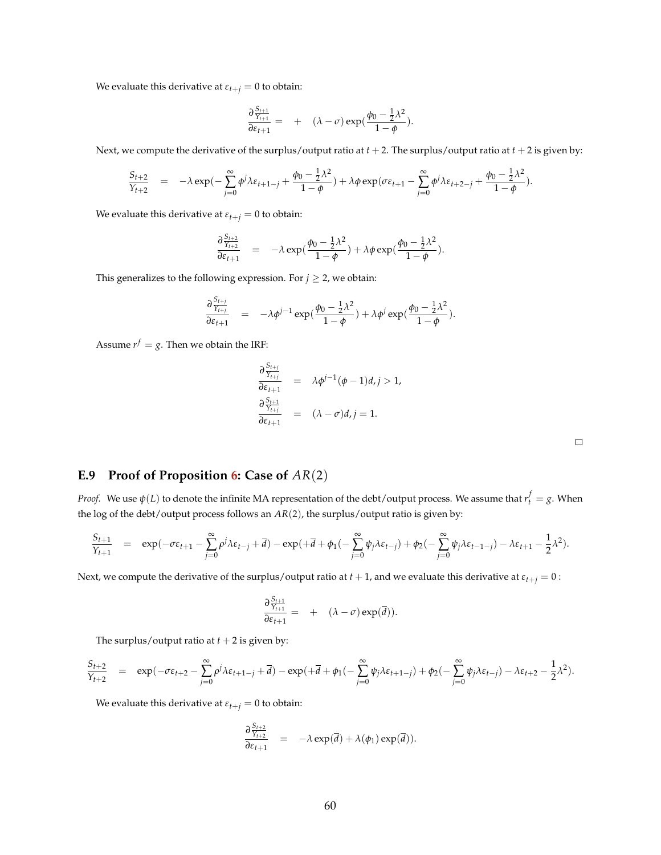We evaluate this derivative at  $\varepsilon_{t+j} = 0$  to obtain:

$$
\frac{\partial \frac{S_{t+1}}{Y_{t+1}}}{\partial \varepsilon_{t+1}} = + (\lambda - \sigma) \exp(\frac{\phi_0 - \frac{1}{2}\lambda^2}{1 - \phi}).
$$

Next, we compute the derivative of the surplus/output ratio at  $t + 2$ . The surplus/output ratio at  $t + 2$  is given by:

$$
\frac{S_{t+2}}{Y_{t+2}} = -\lambda \exp(-\sum_{j=0}^{\infty} \phi^j \lambda \varepsilon_{t+1-j} + \frac{\phi_0 - \frac{1}{2} \lambda^2}{1-\phi}) + \lambda \phi \exp(\sigma \varepsilon_{t+1} - \sum_{j=0}^{\infty} \phi^j \lambda \varepsilon_{t+2-j} + \frac{\phi_0 - \frac{1}{2} \lambda^2}{1-\phi}).
$$

We evaluate this derivative at  $\varepsilon_{t+j} = 0$  to obtain:

$$
\frac{\partial \frac{S_{t+2}}{Y_{t+2}}}{\partial \varepsilon_{t+1}} = -\lambda \exp(\frac{\phi_0 - \frac{1}{2}\lambda^2}{1-\phi}) + \lambda \phi \exp(\frac{\phi_0 - \frac{1}{2}\lambda^2}{1-\phi}).
$$

This generalizes to the following expression. For  $j \geq 2$ , we obtain:

$$
\frac{\partial \frac{S_{t+j}}{Y_{t+j}}}{\partial \varepsilon_{t+1}} = -\lambda \phi^{j-1} \exp(\frac{\phi_0 - \frac{1}{2}\lambda^2}{1-\phi}) + \lambda \phi^j \exp(\frac{\phi_0 - \frac{1}{2}\lambda^2}{1-\phi}).
$$

Assume  $r^f = g$ . Then we obtain the IRF:

$$
\frac{\partial \frac{S_{t+j}}{Y_{t+j}}}{\partial \varepsilon_{t+1}} = \lambda \phi^{j-1}(\phi - 1)d, j > 1,
$$
  

$$
\frac{\partial \frac{S_{t+1}}{Y_{t+j}}}{\partial \varepsilon_{t+1}} = (\lambda - \sigma)d, j = 1.
$$

### **E.9 Proof of Proposition [6:](#page-18-0) Case of** *AR*(2)

*Proof.* We use  $\psi(L)$  to denote the infinite MA representation of the debt/output process. We assume that  $r_t^f=g$ . When the log of the debt/output process follows an *AR*(2), the surplus/output ratio is given by:

$$
\frac{S_{t+1}}{Y_{t+1}} = \exp(-\sigma \varepsilon_{t+1} - \sum_{j=0}^{\infty} \rho^j \lambda \varepsilon_{t-j} + \overline{d}) - \exp(+\overline{d} + \phi_1(-\sum_{j=0}^{\infty} \psi_j \lambda \varepsilon_{t-j}) + \phi_2(-\sum_{j=0}^{\infty} \psi_j \lambda \varepsilon_{t-1-j}) - \lambda \varepsilon_{t+1} - \frac{1}{2} \lambda^2).
$$

Next, we compute the derivative of the surplus/output ratio at  $t + 1$ , and we evaluate this derivative at  $\varepsilon_{t+j} = 0$ :

$$
\frac{\partial \frac{S_{t+1}}{Y_{t+1}}}{\partial \varepsilon_{t+1}} = + (\lambda - \sigma) \exp(\overline{d})).
$$

The surplus/output ratio at  $t + 2$  is given by:

$$
\frac{S_{t+2}}{Y_{t+2}} = \exp(-\sigma \varepsilon_{t+2} - \sum_{j=0}^{\infty} \rho^j \lambda \varepsilon_{t+1-j} + \overline{d}) - \exp(+\overline{d} + \phi_1(-\sum_{j=0}^{\infty} \psi_j \lambda \varepsilon_{t+1-j}) + \phi_2(-\sum_{j=0}^{\infty} \psi_j \lambda \varepsilon_{t-j}) - \lambda \varepsilon_{t+2} - \frac{1}{2} \lambda^2).
$$

We evaluate this derivative at  $\varepsilon_{t+j} = 0$  to obtain:

$$
\frac{\partial \frac{S_{t+2}}{Y_{t+2}}}{\partial \varepsilon_{t+1}} = -\lambda \exp(\overline{d}) + \lambda(\phi_1) \exp(\overline{d})).
$$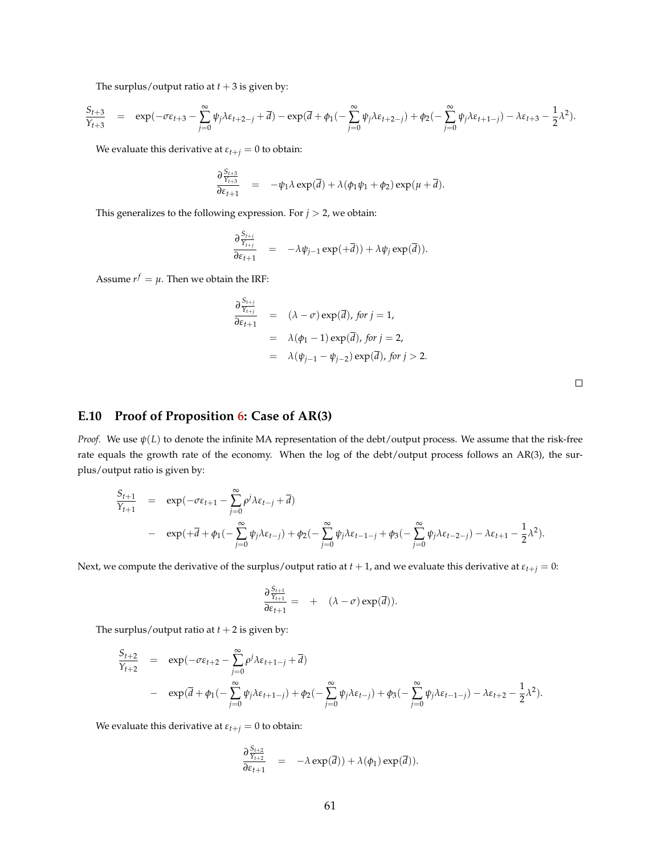The surplus/output ratio at  $t + 3$  is given by:

$$
\frac{S_{t+3}}{Y_{t+3}} = \exp(-\sigma \varepsilon_{t+3} - \sum_{j=0}^{\infty} \psi_j \lambda \varepsilon_{t+2-j} + \overline{d}) - \exp(\overline{d} + \phi_1(-\sum_{j=0}^{\infty} \psi_j \lambda \varepsilon_{t+2-j}) + \phi_2(-\sum_{j=0}^{\infty} \psi_j \lambda \varepsilon_{t+1-j}) - \lambda \varepsilon_{t+3} - \frac{1}{2} \lambda^2).
$$

We evaluate this derivative at  $\varepsilon_{t+j} = 0$  to obtain:

$$
\frac{\partial \frac{S_{t+3}}{Y_{t+3}}}{\partial \varepsilon_{t+1}} = -\psi_1 \lambda \exp(\overline{d}) + \lambda (\phi_1 \psi_1 + \phi_2) \exp(\mu + \overline{d}).
$$

This generalizes to the following expression. For  $j > 2$ , we obtain:

$$
\frac{\partial \frac{S_{t+j}}{\gamma_{t+j}}}{\partial \varepsilon_{t+1}} = -\lambda \psi_{j-1} \exp(+\overline{d})) + \lambda \psi_j \exp(\overline{d})).
$$

Assume  $r^f = \mu$ . Then we obtain the IRF:

$$
\frac{\partial \frac{S_{t+j}}{Y_{t+j}}}{\partial \varepsilon_{t+1}} = (\lambda - \sigma) \exp(\overline{d}), \text{ for } j = 1,
$$
  
\n
$$
= \lambda(\phi_1 - 1) \exp(\overline{d}), \text{ for } j = 2,
$$
  
\n
$$
= \lambda(\psi_{j-1} - \psi_{j-2}) \exp(\overline{d}), \text{ for } j > 2.
$$

#### **E.10 Proof of Proposition [6:](#page-18-0) Case of AR(3)**

*Proof.* We use *ψ*(*L*) to denote the infinite MA representation of the debt/output process. We assume that the risk-free rate equals the growth rate of the economy. When the log of the debt/output process follows an AR(3), the surplus/output ratio is given by:

$$
\frac{S_{t+1}}{Y_{t+1}} = \exp(-\sigma \varepsilon_{t+1} - \sum_{j=0}^{\infty} \rho^j \lambda \varepsilon_{t-j} + \overline{d})
$$
  
- 
$$
\exp(+\overline{d} + \phi_1(-\sum_{j=0}^{\infty} \psi_j \lambda \varepsilon_{t-j}) + \phi_2(-\sum_{j=0}^{\infty} \psi_j \lambda \varepsilon_{t-1-j} + \phi_3(-\sum_{j=0}^{\infty} \psi_j \lambda \varepsilon_{t-2-j}) - \lambda \varepsilon_{t+1} - \frac{1}{2} \lambda^2).
$$

Next, we compute the derivative of the surplus/output ratio at  $t + 1$ , and we evaluate this derivative at  $\varepsilon_{t+j} = 0$ :

$$
\frac{\partial \frac{S_{t+1}}{Y_{t+1}}}{\partial \varepsilon_{t+1}} = + (\lambda - \sigma) \exp(\overline{d})).
$$

The surplus/output ratio at  $t + 2$  is given by:

$$
\frac{S_{t+2}}{Y_{t+2}} = \exp(-\sigma \varepsilon_{t+2} - \sum_{j=0}^{\infty} \rho^j \lambda \varepsilon_{t+1-j} + \overline{d})
$$
  
- 
$$
\exp(\overline{d} + \phi_1(-\sum_{j=0}^{\infty} \psi_j \lambda \varepsilon_{t+1-j}) + \phi_2(-\sum_{j=0}^{\infty} \psi_j \lambda \varepsilon_{t-j}) + \phi_3(-\sum_{j=0}^{\infty} \psi_j \lambda \varepsilon_{t-1-j}) - \lambda \varepsilon_{t+2} - \frac{1}{2} \lambda^2).
$$

We evaluate this derivative at  $\varepsilon_{t+j} = 0$  to obtain:

$$
\frac{\partial \frac{S_{t+2}}{Y_{t+2}}}{\partial \varepsilon_{t+1}} = -\lambda \exp(\overline{d})) + \lambda(\phi_1) \exp(\overline{d})).
$$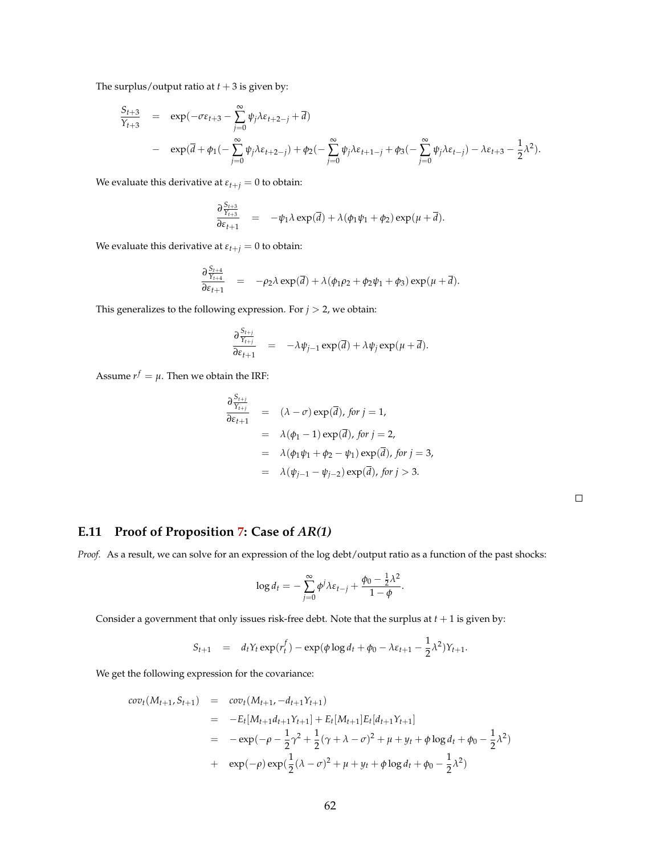The surplus/output ratio at  $t + 3$  is given by:

$$
\frac{S_{t+3}}{Y_{t+3}} = \exp(-\sigma \varepsilon_{t+3} - \sum_{j=0}^{\infty} \psi_j \lambda \varepsilon_{t+2-j} + \overline{d})
$$
  
- 
$$
\exp(\overline{d} + \phi_1(-\sum_{j=0}^{\infty} \psi_j \lambda \varepsilon_{t+2-j}) + \phi_2(-\sum_{j=0}^{\infty} \psi_j \lambda \varepsilon_{t+1-j} + \phi_3(-\sum_{j=0}^{\infty} \psi_j \lambda \varepsilon_{t-j}) - \lambda \varepsilon_{t+3} - \frac{1}{2} \lambda^2).
$$

We evaluate this derivative at  $\varepsilon_{t+j} = 0$  to obtain:

$$
\frac{\partial \frac{S_{t+3}}{Y_{t+3}}}{\partial \varepsilon_{t+1}} = -\psi_1 \lambda \exp(\overline{d}) + \lambda (\phi_1 \psi_1 + \phi_2) \exp(\mu + \overline{d}).
$$

We evaluate this derivative at  $\varepsilon_{t+j} = 0$  to obtain:

$$
\frac{\partial \frac{S_{t+4}}{Y_{t+4}}}{\partial \varepsilon_{t+1}} = -\rho_2 \lambda \exp(\overline{d}) + \lambda (\phi_1 \rho_2 + \phi_2 \psi_1 + \phi_3) \exp(\mu + \overline{d}).
$$

This generalizes to the following expression. For  $j > 2$ , we obtain:

$$
\frac{\partial \frac{S_{t+j}}{Y_{t+j}}}{\partial \varepsilon_{t+1}} = -\lambda \psi_{j-1} \exp(\overline{d}) + \lambda \psi_j \exp(\mu + \overline{d}).
$$

Assume  $r^f = \mu$ . Then we obtain the IRF:

$$
\frac{\partial \frac{S_{t+j}}{\gamma_{t+j}}}{\partial \varepsilon_{t+1}} = (\lambda - \sigma) \exp(\overline{d}), \text{ for } j = 1,
$$
  
\n
$$
= \lambda(\phi_1 - 1) \exp(\overline{d}), \text{ for } j = 2,
$$
  
\n
$$
= \lambda(\phi_1 \psi_1 + \phi_2 - \psi_1) \exp(\overline{d}), \text{ for } j = 3,
$$
  
\n
$$
= \lambda(\psi_{j-1} - \psi_{j-2}) \exp(\overline{d}), \text{ for } j > 3.
$$

## **E.11 Proof of Proposition [7:](#page-25-0) Case of** *AR(1)*

*Proof.* As a result, we can solve for an expression of the log debt/output ratio as a function of the past shocks:

$$
\log d_t = -\sum_{j=0}^{\infty} \phi^j \lambda \varepsilon_{t-j} + \frac{\phi_0 - \frac{1}{2} \lambda^2}{1 - \phi}.
$$

Consider a government that only issues risk-free debt. Note that the surplus at  $t + 1$  is given by:

$$
S_{t+1} = d_t Y_t \exp(r_t^f) - \exp(\phi \log d_t + \phi_0 - \lambda \varepsilon_{t+1} - \frac{1}{2} \lambda^2) Y_{t+1}.
$$

We get the following expression for the covariance:

$$
cov_t(M_{t+1}, S_{t+1}) = cov_t(M_{t+1}, -d_{t+1}Y_{t+1})
$$
  
=  $-E_t[M_{t+1}d_{t+1}Y_{t+1}] + E_t[M_{t+1}]E_t[d_{t+1}Y_{t+1}]$   
=  $-exp(-\rho - \frac{1}{2}\gamma^2 + \frac{1}{2}(\gamma + \lambda - \sigma)^2 + \mu + y_t + \phi \log d_t + \phi_0 - \frac{1}{2}\lambda^2)$   
+  $exp(-\rho)exp(\frac{1}{2}(\lambda - \sigma)^2 + \mu + y_t + \phi \log d_t + \phi_0 - \frac{1}{2}\lambda^2)$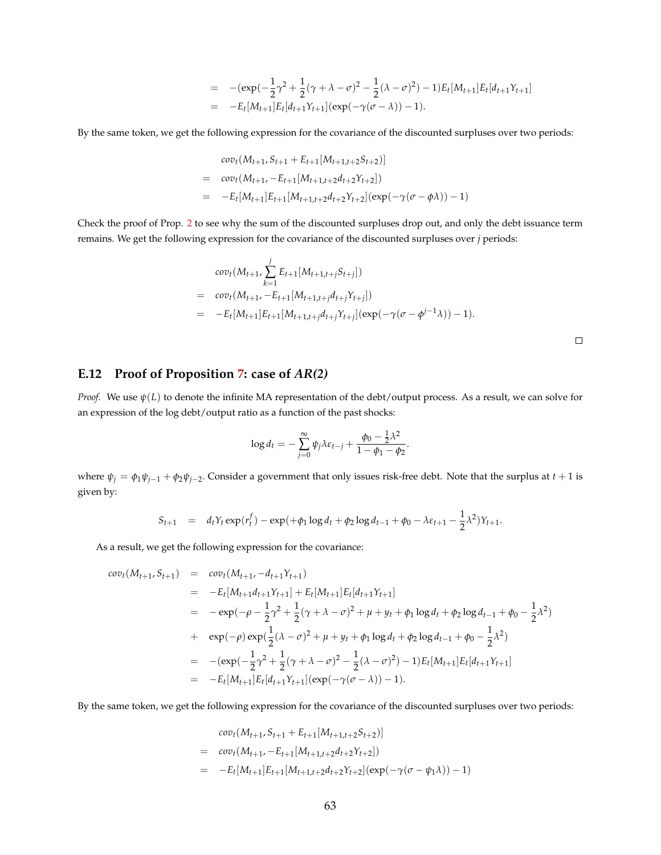$$
= -(\exp(-\frac{1}{2}\gamma^2 + \frac{1}{2}(\gamma + \lambda - \sigma)^2 - \frac{1}{2}(\lambda - \sigma)^2) - 1)E_t[M_{t+1}]E_t[d_{t+1}Y_{t+1}]
$$
  
= 
$$
-E_t[M_{t+1}]E_t[d_{t+1}Y_{t+1}](\exp(-\gamma(\sigma - \lambda)) - 1).
$$

By the same token, we get the following expression for the covariance of the discounted surpluses over two periods:

$$
cov_t(M_{t+1}, S_{t+1} + E_{t+1}[M_{t+1,t+2}S_{t+2})]
$$
  
= 
$$
cov_t(M_{t+1}, -E_{t+1}[M_{t+1,t+2}d_{t+2}Y_{t+2}])
$$
  
= 
$$
-E_t[M_{t+1}]E_{t+1}[M_{t+1,t+2}d_{t+2}Y_{t+2}](exp(-\gamma(\sigma - \phi \lambda)) - 1)
$$

Check the proof of Prop. [2](#page-10-0) to see why the sum of the discounted surpluses drop out, and only the debt issuance term remains. We get the following expression for the covariance of the discounted surpluses over *j* periods:

$$
cov_t(M_{t+1}, \sum_{k=1}^j E_{t+1}[M_{t+1,t+j}S_{t+j}])
$$
  
= 
$$
cov_t(M_{t+1}, -E_{t+1}[M_{t+1,t+j}d_{t+j}Y_{t+j}])
$$
  
= 
$$
-E_t[M_{t+1}]E_{t+1}[M_{t+1,t+j}d_{t+j}Y_{t+j}](exp(-\gamma(\sigma-\phi^{j-1}\lambda))-1).
$$

 $\Box$ 

#### **E.12 Proof of Proposition [7:](#page-25-0) case of** *AR(2)*

*Proof.* We use *ψ*(*L*) to denote the infinite MA representation of the debt/output process. As a result, we can solve for an expression of the log debt/output ratio as a function of the past shocks:

$$
\log d_t = -\sum_{j=0}^{\infty} \psi_j \lambda \varepsilon_{t-j} + \frac{\phi_0 - \frac{1}{2} \lambda^2}{1 - \phi_1 - \phi_2}.
$$

where  $\psi_j = \phi_1 \psi_{j-1} + \phi_2 \psi_{j-2}$ . Consider a government that only issues risk-free debt. Note that the surplus at  $t+1$  is given by:

$$
S_{t+1} = d_t Y_t \exp(r_t^f) - \exp(+\phi_1 \log d_t + \phi_2 \log d_{t-1} + \phi_0 - \lambda \varepsilon_{t+1} - \frac{1}{2} \lambda^2) Y_{t+1}.
$$

As a result, we get the following expression for the covariance:

$$
cov_t(M_{t+1}, S_{t+1}) = cov_t(M_{t+1}, -d_{t+1}Y_{t+1})
$$
  
\n
$$
= -E_t[M_{t+1}d_{t+1}Y_{t+1}] + E_t[M_{t+1}]E_t[d_{t+1}Y_{t+1}]
$$
  
\n
$$
= -exp(-\rho - \frac{1}{2}\gamma^2 + \frac{1}{2}(\gamma + \lambda - \sigma)^2 + \mu + y_t + \phi_1 \log d_t + \phi_2 \log d_{t-1} + \phi_0 - \frac{1}{2}\lambda^2)
$$
  
\n
$$
+ exp(-\rho) exp(\frac{1}{2}(\lambda - \sigma)^2 + \mu + y_t + \phi_1 \log d_t + \phi_2 \log d_{t-1} + \phi_0 - \frac{1}{2}\lambda^2)
$$
  
\n
$$
= -(exp(-\frac{1}{2}\gamma^2 + \frac{1}{2}(\gamma + \lambda - \sigma)^2 - \frac{1}{2}(\lambda - \sigma)^2) - 1)E_t[M_{t+1}]E_t[d_{t+1}Y_{t+1}]
$$
  
\n
$$
= -E_t[M_{t+1}]E_t[d_{t+1}Y_{t+1}] (exp(-\gamma(\sigma - \lambda)) - 1).
$$

By the same token, we get the following expression for the covariance of the discounted surpluses over two periods:

$$
cov_t(M_{t+1}, S_{t+1} + E_{t+1}[M_{t+1,t+2}S_{t+2})]
$$
  
= 
$$
cov_t(M_{t+1}, -E_{t+1}[M_{t+1,t+2}d_{t+2}Y_{t+2}])
$$
  
= 
$$
-E_t[M_{t+1}]E_{t+1}[M_{t+1,t+2}d_{t+2}Y_{t+2}](exp(-\gamma(\sigma - \psi_1\lambda)) - 1)
$$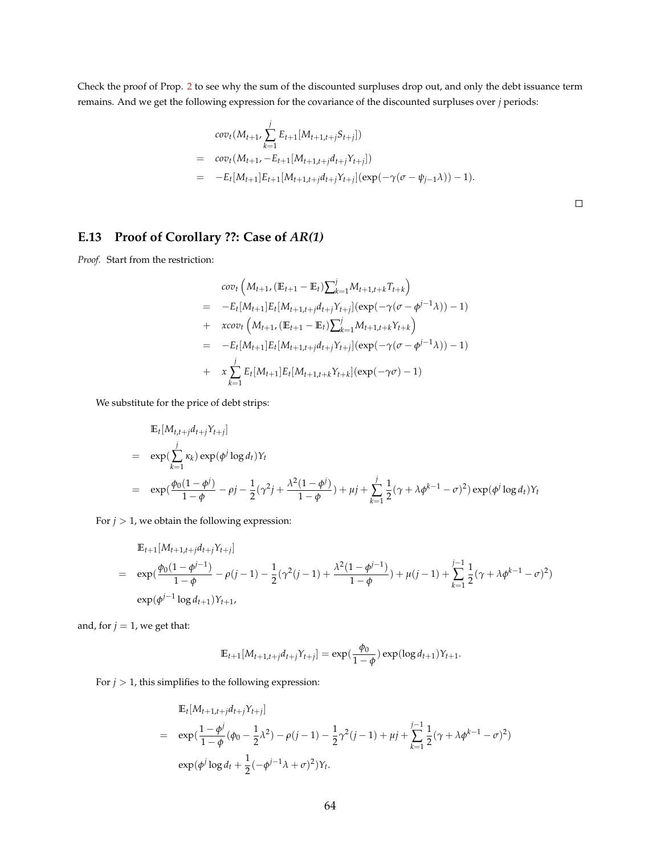Check the proof of Prop. [2](#page-10-0) to see why the sum of the discounted surpluses drop out, and only the debt issuance term remains. And we get the following expression for the covariance of the discounted surpluses over *j* periods:

$$
cov_t(M_{t+1}, \sum_{k=1}^j E_{t+1}[M_{t+1,t+j}S_{t+j}])
$$
  
= 
$$
cov_t(M_{t+1}, -E_{t+1}[M_{t+1,t+j}d_{t+j}Y_{t+j}])
$$
  
= 
$$
-E_t[M_{t+1}]E_{t+1}[M_{t+1,t+j}d_{t+j}Y_{t+j}](exp(-\gamma(\sigma - \psi_{j-1}\lambda)) - 1).
$$

 $\Box$ 

### **E.13 Proof of Corollary ??: Case of** *AR(1)*

*Proof.* Start from the restriction:

$$
cov_t (M_{t+1}, (\mathbb{E}_{t+1} - \mathbb{E}_t) \sum_{k=1}^j M_{t+1,t+k} T_{t+k})
$$
  
=  $-E_t[M_{t+1}] E_t[M_{t+1,t+j} d_{t+j} Y_{t+j}] (\exp(-\gamma(\sigma - \phi^{j-1}\lambda)) - 1)$   
+  $xcov_t (M_{t+1}, (\mathbb{E}_{t+1} - \mathbb{E}_t) \sum_{k=1}^j M_{t+1,t+k} Y_{t+k})$   
=  $-E_t[M_{t+1}] E_t[M_{t+1,t+j} d_{t+j} Y_{t+j}] (\exp(-\gamma(\sigma - \phi^{j-1}\lambda)) - 1)$   
+  $x \sum_{k=1}^j E_t[M_{t+1}] E_t[M_{t+1,t+k} Y_{t+k}] (\exp(-\gamma\sigma) - 1)$ 

We substitute for the price of debt strips:

$$
\mathbb{E}_{t}[M_{t,t+j}d_{t+j}Y_{t+j}]
$$
\n
$$
= \exp(\sum_{k=1}^{j} \kappa_{k}) \exp(\phi^{j} \log d_{t})Y_{t}
$$
\n
$$
= \exp(\frac{\phi_{0}(1-\phi^{j})}{1-\phi} - \rho^{j} - \frac{1}{2}(\gamma^{2}j + \frac{\lambda^{2}(1-\phi^{j})}{1-\phi}) + \mu^{j} + \sum_{k=1}^{j} \frac{1}{2}(\gamma + \lambda \phi^{k-1} - \sigma^{2}) \exp(\phi^{j} \log d_{t})Y_{t}
$$

For  $j > 1$ , we obtain the following expression:

$$
\mathbb{E}_{t+1}[M_{t+1,t+j}d_{t+j}Y_{t+j}]
$$
\n
$$
= \exp(\frac{\phi_0(1-\phi^{j-1})}{1-\phi}-\rho(j-1)-\frac{1}{2}(\gamma^2(j-1)+\frac{\lambda^2(1-\phi^{j-1})}{1-\phi})+\mu(j-1)+\sum_{k=1}^{j-1}\frac{1}{2}(\gamma+\lambda\phi^{k-1}-\sigma)^2)
$$
\n
$$
\exp(\phi^{j-1}\log d_{t+1})Y_{t+1},
$$

and, for  $j = 1$ , we get that:

$$
\mathbb{E}_{t+1}[M_{t+1,t+j}d_{t+j}Y_{t+j}] = \exp(\frac{\phi_0}{1-\phi})\exp(\log d_{t+1})Y_{t+1}.
$$

For  $j > 1$ , this simplifies to the following expression:

$$
\mathbb{E}_{t}[M_{t+1,t+j}d_{t+j}Y_{t+j}]
$$
\n
$$
= \exp(\frac{1-\phi^{j}}{1-\phi}(\phi_{0}-\frac{1}{2}\lambda^{2})-\rho(j-1)-\frac{1}{2}\gamma^{2}(j-1)+\mu j+\sum_{k=1}^{j-1}\frac{1}{2}(\gamma+\lambda\phi^{k-1}-\sigma)^{2})
$$
\n
$$
\exp(\phi^{j}\log d_{t}+\frac{1}{2}(-\phi^{j-1}\lambda+\sigma)^{2})Y_{t}.
$$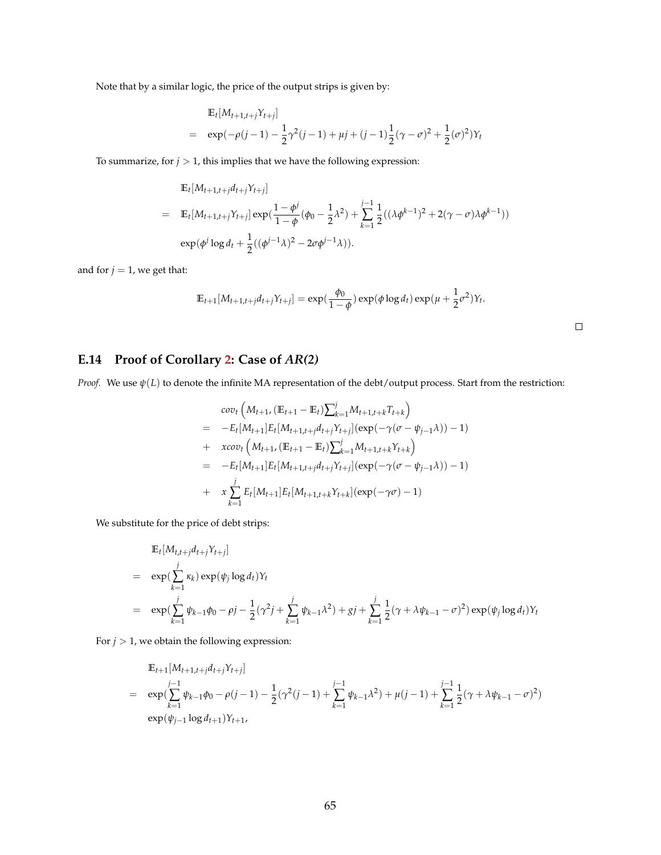Note that by a similar logic, the price of the output strips is given by:

$$
\mathbb{E}_{t}[M_{t+1,t+j}Y_{t+j}]
$$
\n
$$
= \exp(-\rho(j-1) - \frac{1}{2}\gamma^{2}(j-1) + \mu j + (j-1)\frac{1}{2}(\gamma - \sigma)^{2} + \frac{1}{2}(\sigma)^{2})Y_{t}
$$

To summarize, for  $j > 1$ , this implies that we have the following expression:

$$
\mathbb{E}_{t}[M_{t+1,t+j}d_{t+j}Y_{t+j}]
$$
\n
$$
= \mathbb{E}_{t}[M_{t+1,t+j}Y_{t+j}] \exp(\frac{1-\phi^{j}}{1-\phi}(\phi_{0}-\frac{1}{2}\lambda^{2})+\sum_{k=1}^{j-1}\frac{1}{2}((\lambda\phi^{k-1})^{2}+2(\gamma-\sigma)\lambda\phi^{k-1}))
$$
\n
$$
\exp(\phi^{j}\log d_{t}+\frac{1}{2}((\phi^{j-1}\lambda)^{2}-2\sigma\phi^{j-1}\lambda)).
$$

and for  $j = 1$ , we get that:

$$
\mathbb{E}_{t+1}[M_{t+1,t+j}d_{t+j}Y_{t+j}] = \exp(\frac{\phi_0}{1-\phi})\exp(\phi\log d_t)\exp(\mu+\frac{1}{2}\sigma^2)Y_t.
$$

 $\Box$ 

## **E.14 Proof of Corollary [2:](#page-26-0) Case of** *AR(2)*

*Proof.* We use *ψ*(*L*) to denote the infinite MA representation of the debt/output process. Start from the restriction:

$$
cov_t (M_{t+1}, (\mathbb{E}_{t+1} - \mathbb{E}_t) \sum_{k=1}^j M_{t+1,t+k} T_{t+k})
$$
  
= 
$$
-E_t[M_{t+1}] E_t[M_{t+1,t+j} d_{t+j} Y_{t+j}] (\exp(-\gamma(\sigma - \psi_{j-1}\lambda)) - 1)
$$
  
+ 
$$
xcov_t (M_{t+1}, (\mathbb{E}_{t+1} - \mathbb{E}_t) \sum_{k=1}^j M_{t+1,t+k} Y_{t+k})
$$
  
= 
$$
-E_t[M_{t+1}] E_t[M_{t+1,t+j} d_{t+j} Y_{t+j}] (\exp(-\gamma(\sigma - \psi_{j-1}\lambda)) - 1)
$$
  
+ 
$$
x \sum_{k=1}^j E_t[M_{t+1}] E_t[M_{t+1,t+k} Y_{t+k}] (\exp(-\gamma\sigma) - 1)
$$

We substitute for the price of debt strips:

$$
\mathbb{E}_{t}[M_{t,t+j}d_{t+j}Y_{t+j}]
$$
\n
$$
= \exp(\sum_{k=1}^{j} \kappa_{k}) \exp(\psi_{j} \log d_{t})Y_{t}
$$
\n
$$
= \exp(\sum_{k=1}^{j} \psi_{k-1}\phi_{0} - \rho_{j} - \frac{1}{2}(\gamma^{2}j + \sum_{k=1}^{j} \psi_{k-1}\lambda^{2}) + gj + \sum_{k=1}^{j} \frac{1}{2}(\gamma + \lambda \psi_{k-1} - \sigma)^{2}) \exp(\psi_{j} \log d_{t})Y_{t}
$$

For  $j > 1$ , we obtain the following expression:

$$
\mathbb{E}_{t+1}[M_{t+1,t+j}d_{t+j}Y_{t+j}]
$$
\n
$$
= \exp\left(\sum_{k=1}^{j-1} \psi_{k-1}\phi_0 - \rho(j-1) - \frac{1}{2}(\gamma^2(j-1) + \sum_{k=1}^{j-1} \psi_{k-1}\lambda^2) + \mu(j-1) + \sum_{k=1}^{j-1} \frac{1}{2}(\gamma + \lambda\psi_{k-1} - \sigma)^2\right)
$$
\n
$$
\exp(\psi_{j-1}\log d_{t+1})Y_{t+1},
$$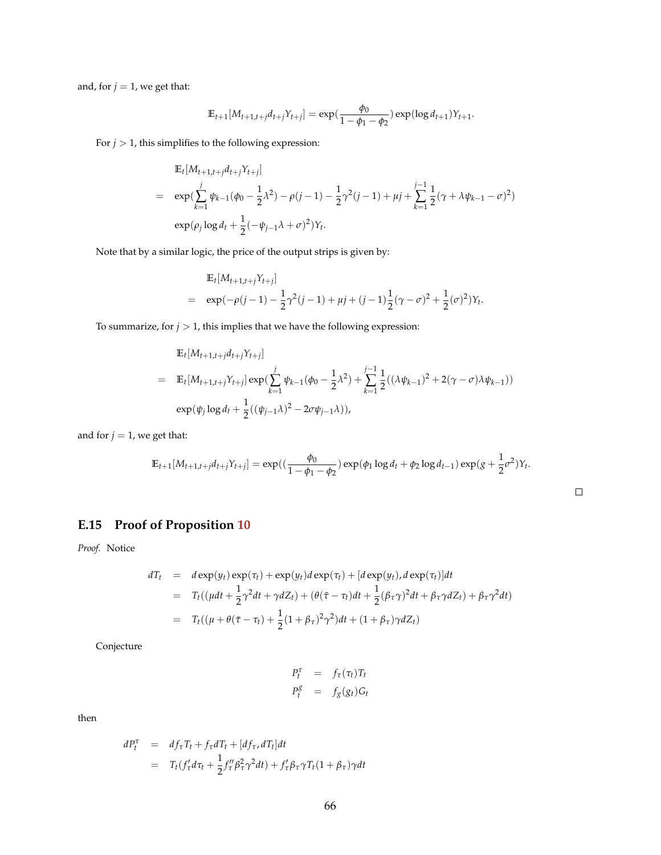and, for  $j = 1$ , we get that:

$$
\mathbb{E}_{t+1}[M_{t+1,t+j}d_{t+j}Y_{t+j}] = \exp(\frac{\phi_0}{1-\phi_1-\phi_2})\exp(\log d_{t+1})Y_{t+1}.
$$

For  $j > 1$ , this simplifies to the following expression:

$$
\mathbb{E}_{t}[M_{t+1,t+j}d_{t+j}Y_{t+j}]
$$
\n
$$
= \exp\left(\sum_{k=1}^{j} \psi_{k-1}(\phi_{0} - \frac{1}{2}\lambda^{2}) - \rho(j-1) - \frac{1}{2}\gamma^{2}(j-1) + \mu j + \sum_{k=1}^{j-1} \frac{1}{2}(\gamma + \lambda \psi_{k-1} - \sigma)^{2}\right)
$$
\n
$$
\exp(\rho_{j} \log d_{t} + \frac{1}{2}(-\psi_{j-1}\lambda + \sigma)^{2})Y_{t}.
$$

Note that by a similar logic, the price of the output strips is given by:

$$
\mathbb{E}_{t}[M_{t+1,t+j}Y_{t+j}]
$$
\n
$$
= \exp(-\rho(j-1) - \frac{1}{2}\gamma^{2}(j-1) + \mu j + (j-1)\frac{1}{2}(\gamma - \sigma)^{2} + \frac{1}{2}(\sigma)^{2})Y_{t}.
$$

To summarize, for  $j > 1$ , this implies that we have the following expression:

$$
\mathbb{E}_{t}[M_{t+1,t+j}d_{t+j}Y_{t+j}]
$$
\n
$$
= \mathbb{E}_{t}[M_{t+1,t+j}Y_{t+j}] \exp(\sum_{k=1}^{j} \psi_{k-1}(\phi_{0} - \frac{1}{2}\lambda^{2}) + \sum_{k=1}^{j-1} \frac{1}{2}((\lambda\psi_{k-1})^{2} + 2(\gamma - \sigma)\lambda\psi_{k-1}))
$$
\n
$$
\exp(\psi_{j}\log d_{t} + \frac{1}{2}((\psi_{j-1}\lambda)^{2} - 2\sigma\psi_{j-1}\lambda)),
$$

and for  $j = 1$ , we get that:

$$
\mathbb{E}_{t+1}[M_{t+1,t+j}d_{t+j}Y_{t+j}] = \exp((\frac{\phi_0}{1-\phi_1-\phi_2})\exp(\phi_1\log d_t + \phi_2\log d_{t-1})\exp((g+\frac{1}{2}\sigma^2)Y_t).
$$

 $\Box$ 

# **E.15 Proof of Proposition [10](#page-41-0)**

*Proof.* Notice

$$
dT_t = d \exp(y_t) \exp(\tau_t) + \exp(y_t) d \exp(\tau_t) + [d \exp(y_t), d \exp(\tau_t)] dt
$$
  
= 
$$
T_t((\mu dt + \frac{1}{2}\gamma^2 dt + \gamma dZ_t) + (\theta(\bar{\tau} - \tau_t)dt + \frac{1}{2}(\beta_{\tau}\gamma)^2 dt + \beta_{\tau}\gamma dZ_t) + \beta_{\tau}\gamma^2 dt)
$$
  
= 
$$
T_t((\mu + \theta(\bar{\tau} - \tau_t) + \frac{1}{2}(1 + \beta_{\tau})^2 \gamma^2)dt + (1 + \beta_{\tau})\gamma dZ_t)
$$

Conjecture

$$
P_t^{\tau} = f_{\tau}(\tau_t) T_t
$$
  

$$
P_t^g = f_g(g_t) G_t
$$

then

$$
dP_t^{\tau} = df_{\tau}T_t + f_{\tau}dT_t + [df_{\tau}, dT_t]dt
$$
  
= 
$$
T_t(f_{\tau}^{\prime}d\tau_t + \frac{1}{2}f_{\tau}^{\prime\prime}\beta_{\tau}^2\gamma^2dt) + f_{\tau}^{\prime}\beta_{\tau}\gamma T_t(1+\beta_{\tau})\gamma dt
$$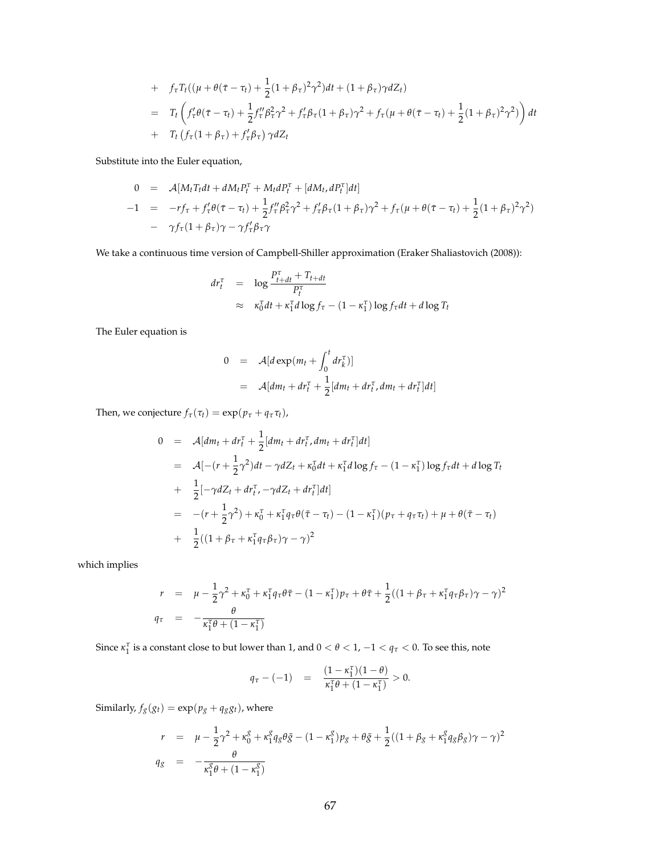+ 
$$
f_{\tau}T_t((\mu + \theta(\bar{\tau} - \tau_t) + \frac{1}{2}(1 + \beta_{\tau})^2 \gamma^2)dt + (1 + \beta_{\tau})\gamma dZ_t)
$$
  
\n=  $T_t \left( f_{\tau}'\theta(\bar{\tau} - \tau_t) + \frac{1}{2}f_{\tau}''\beta_{\tau}^2 \gamma^2 + f_{\tau}'\beta_{\tau}(1 + \beta_{\tau})\gamma^2 + f_{\tau}(\mu + \theta(\bar{\tau} - \tau_t) + \frac{1}{2}(1 + \beta_{\tau})^2 \gamma^2) \right) dt$   
\n+  $T_t \left( f_{\tau}(1 + \beta_{\tau}) + f_{\tau}'\beta_{\tau} \right) \gamma dZ_t$ 

Substitute into the Euler equation,

$$
0 = \mathcal{A}[M_t T_t dt + dM_t P_t^{\tau} + M_t dP_t^{\tau} + [dM_t, dP_t^{\tau}] dt]
$$
  
-1 =  $-r f_{\tau} + f_{\tau}' \theta(\bar{\tau} - \tau_t) + \frac{1}{2} f_{\tau}'' \beta_{\tau}^2 \gamma^2 + f_{\tau}' \beta_{\tau} (1 + \beta_{\tau}) \gamma^2 + f_{\tau} (\mu + \theta(\bar{\tau} - \tau_t) + \frac{1}{2} (1 + \beta_{\tau})^2 \gamma^2)$   
-  $\gamma f_{\tau} (1 + \beta_{\tau}) \gamma - \gamma f_{\tau}' \beta_{\tau} \gamma$ 

We take a continuous time version of Campbell-Shiller approximation (Eraker Shaliastovich (2008)):

$$
dr_t^{\tau} = \log \frac{P_{t+dt}^{\tau} + T_{t+dt}}{P_t^{\tau}}
$$
  
 
$$
\approx \kappa_0^{\tau} dt + \kappa_1^{\tau} d \log f_{\tau} - (1 - \kappa_1^{\tau}) \log f_{\tau} dt + d \log T_t
$$

The Euler equation is

$$
0 = \mathcal{A}[d \exp(m_t + \int_0^t dr_k^{\tau})]
$$
  
= 
$$
\mathcal{A}[dm_t + dr_t^{\tau} + \frac{1}{2}[dm_t + dr_t^{\tau}, dm_t + dr_t^{\tau}]dt]
$$

Then, we conjecture  $f_{\tau}(\tau_t) = \exp(p_{\tau} + q_{\tau} \tau_t)$ ,

$$
0 = \mathcal{A}[dm_t + dr_t^{\tau} + \frac{1}{2}[dm_t + dr_t^{\tau}, dm_t + dr_t^{\tau}]dt]
$$
  
\n
$$
= \mathcal{A}[-(r + \frac{1}{2}\gamma^2)dt - \gamma dZ_t + \kappa_0^{\tau}dt + \kappa_1^{\tau}d\log f_{\tau} - (1 - \kappa_1^{\tau})\log f_{\tau}dt + d\log T_t
$$
  
\n
$$
+ \frac{1}{2}[-\gamma dZ_t + dr_t^{\tau}, -\gamma dZ_t + dr_t^{\tau}]dt]
$$
  
\n
$$
= -(r + \frac{1}{2}\gamma^2) + \kappa_0^{\tau} + \kappa_1^{\tau}q_{\tau}\theta(\bar{\tau} - \tau_t) - (1 - \kappa_1^{\tau})(p_{\tau} + q_{\tau}\tau_t) + \mu + \theta(\bar{\tau} - \tau_t)
$$
  
\n
$$
+ \frac{1}{2}((1 + \beta_{\tau} + \kappa_1^{\tau}q_{\tau}\beta_{\tau})\gamma - \gamma)^2
$$

which implies

$$
r = \mu - \frac{1}{2}\gamma^2 + \kappa_0^{\tau} + \kappa_1^{\tau}q_{\tau}\theta\bar{\tau} - (1 - \kappa_1^{\tau})p_{\tau} + \theta\bar{\tau} + \frac{1}{2}((1 + \beta_{\tau} + \kappa_1^{\tau}q_{\tau}\beta_{\tau})\gamma - \gamma)^2
$$
  

$$
q_{\tau} = -\frac{\theta}{\kappa_1^{\tau}\theta + (1 - \kappa_1^{\tau})}
$$

Since  $\kappa_1^{\tau}$  is a constant close to but lower than 1, and  $0 < \theta < 1$ ,  $-1 < q_{\tau} < 0$ . To see this, note

$$
q_{\tau} - (-1) = \frac{(1 - \kappa_1^{\tau})(1 - \theta)}{\kappa_1^{\tau}\theta + (1 - \kappa_1^{\tau})} > 0.
$$

Similarly,  $f_g(g_t) = \exp(p_g + q_g g_t)$ , where

$$
r = \mu - \frac{1}{2}\gamma^2 + \kappa_0^g + \kappa_1^g q_g \theta \bar{g} - (1 - \kappa_1^g) p_g + \theta \bar{g} + \frac{1}{2}((1 + \beta_g + \kappa_1^g q_g \beta_g)\gamma - \gamma)^2
$$
  
\n
$$
q_g = -\frac{\theta}{\kappa_1^g \theta + (1 - \kappa_1^g)}
$$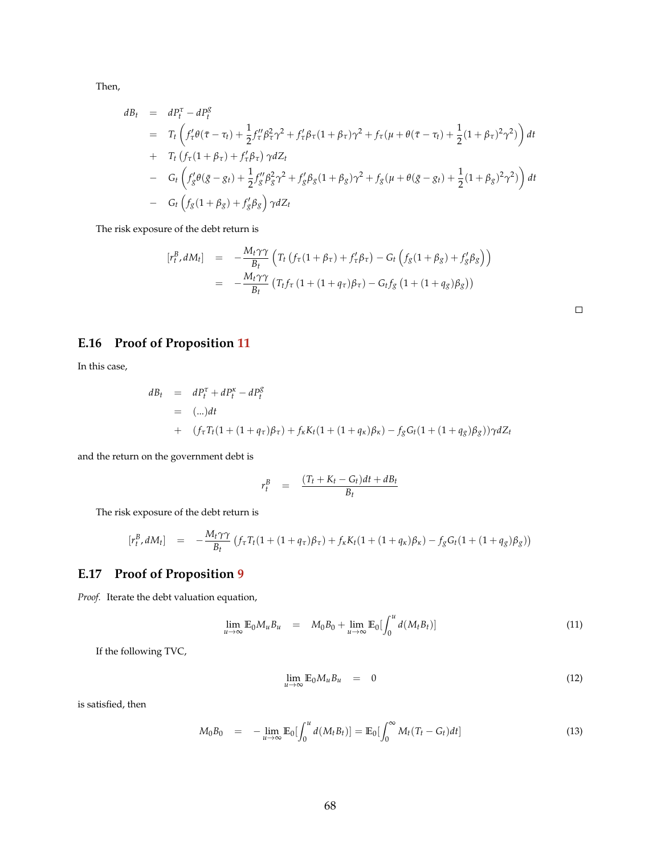Then,

$$
dB_{t} = dP_{t}^{\tau} - dP_{t}^{g}
$$
  
\n
$$
= T_{t} \left( f_{\tau}^{\prime} \theta(\bar{\tau} - \tau_{t}) + \frac{1}{2} f_{\tau}^{\prime \prime} \beta_{\tau}^{2} \gamma^{2} + f_{\tau}^{\prime} \beta_{\tau} (1 + \beta_{\tau}) \gamma^{2} + f_{\tau} (\mu + \theta(\bar{\tau} - \tau_{t}) + \frac{1}{2} (1 + \beta_{\tau})^{2} \gamma^{2}) \right) dt
$$
  
\n
$$
+ T_{t} \left( f_{\tau} (1 + \beta_{\tau}) + f_{\tau}^{\prime} \beta_{\tau} \right) \gamma dZ_{t}
$$
  
\n
$$
- G_{t} \left( f_{g}^{\prime} \theta(\bar{g} - g_{t}) + \frac{1}{2} f_{g}^{\prime \prime} \beta_{g}^{2} \gamma^{2} + f_{g}^{\prime} \beta_{g} (1 + \beta_{g}) \gamma^{2} + f_{g} (\mu + \theta(\bar{g} - g_{t}) + \frac{1}{2} (1 + \beta_{g})^{2} \gamma^{2}) \right) dt
$$
  
\n
$$
- G_{t} \left( f_{g} (1 + \beta_{g}) + f_{g}^{\prime} \beta_{g} \right) \gamma dZ_{t}
$$

The risk exposure of the debt return is

$$
\begin{array}{rcl}\n[r_t^B, dM_t] & = & -\frac{M_t \gamma \gamma}{B_t} \left( T_t \left( f_\tau (1 + \beta_\tau) + f_\tau' \beta_\tau \right) - G_t \left( f_g (1 + \beta_g) + f_g' \beta_g \right) \right) \\
& = & -\frac{M_t \gamma \gamma}{B_t} \left( T_t f_\tau \left( 1 + (1 + q_\tau) \beta_\tau \right) - G_t f_g \left( 1 + (1 + q_g) \beta_g \right) \right)\n\end{array}
$$

## **E.16 Proof of Proposition [11](#page-42-0)**

In this case,

$$
dB_t = dP_t^{\tau} + dP_t^{\kappa} - dP_t^g
$$
  
= (-...)*dt*  
+  $(f_{\tau}T_t(1 + (1 + q_{\tau})\beta_{\tau}) + f_{\kappa}K_t(1 + (1 + q_{\kappa})\beta_{\kappa}) - f_gG_t(1 + (1 + q_g)\beta_g))\gamma dZ_t$ 

and the return on the government debt is

$$
r_t^B = \frac{(T_t + K_t - G_t)dt + dB_t}{B_t}
$$

The risk exposure of the debt return is

$$
[r_t^B, dM_t] = -\frac{M_t \gamma \gamma}{B_t} (f_\tau T_t (1 + (1 + q_\tau)\beta_\tau) + f_\kappa K_t (1 + (1 + q_\kappa)\beta_\kappa) - f_g G_t (1 + (1 + q_g)\beta_g))
$$

## **E.17 Proof of Proposition [9](#page-40-1)**

*Proof.* Iterate the debt valuation equation,

$$
\lim_{u \to \infty} \mathbb{E}_0 M_u B_u = M_0 B_0 + \lim_{u \to \infty} \mathbb{E}_0 \left[ \int_0^u d(M_t B_t) \right]
$$
\n(11)

If the following TVC,

$$
\lim_{u \to \infty} \mathbb{E}_0 M_u B_u = 0 \tag{12}
$$

is satisfied, then

$$
M_0 B_0 = -\lim_{u \to \infty} \mathbb{E}_0 \left[ \int_0^u d(M_t B_t) \right] = \mathbb{E}_0 \left[ \int_0^{\infty} M_t (T_t - G_t) dt \right]
$$
(13)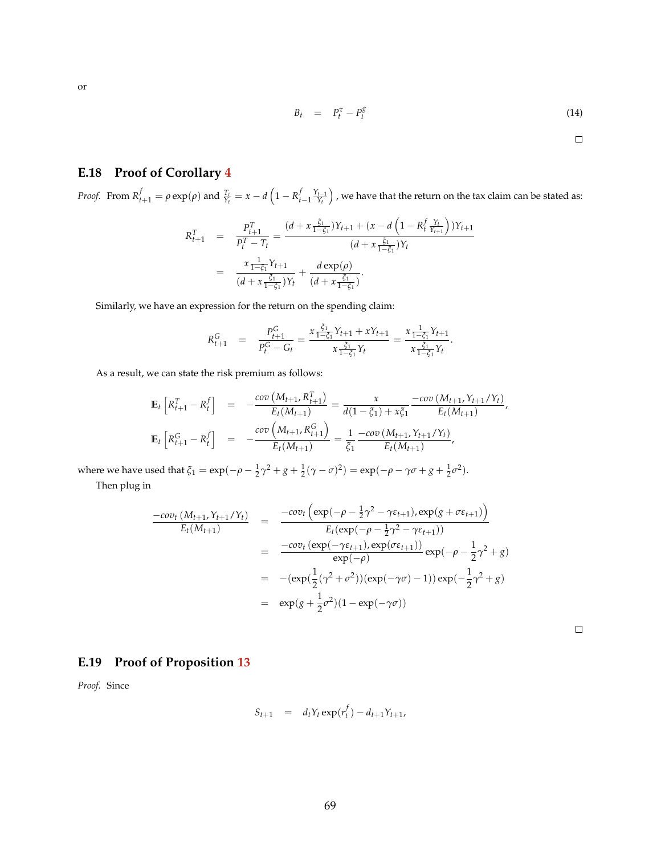$$
\sum_{i=1}^{n} x_i
$$

$$
B_t = P_t^{\tau} - P_t^{\mathcal{S}} \tag{14}
$$

 $\Box$ 

## **E.18 Proof of Corollary [4](#page-43-0)**

Proof. From  $R_{t+1}^f=\rho\exp(\rho)$  and  $\frac{T_t}{Y_t}=x-d\left(1-R_{t-1}^f\frac{Y_{t-1}}{Y_t}\right)$  , we have that the return on the tax claim can be stated as:

$$
R_{t+1}^T = \frac{P_{t+1}^T}{P_t^T - T_t} = \frac{(d + x \frac{\xi_1}{1 - \xi_1})Y_{t+1} + (x - d \left(1 - R_t^f \frac{Y_t}{Y_{t+1}}\right))Y_{t+1}}{(d + x \frac{\xi_1}{1 - \xi_1})Y_t}
$$
  
= 
$$
\frac{x \frac{1}{1 - \xi_1}Y_{t+1}}{(d + x \frac{\xi_1}{1 - \xi_1})Y_t} + \frac{d \exp(\rho)}{(d + x \frac{\xi_1}{1 - \xi_1})}.
$$

Similarly, we have an expression for the return on the spending claim:

$$
R_{t+1}^G = \frac{P_{t+1}^G}{P_t^G - G_t} = \frac{x \frac{\xi_1}{1 - \xi_1} Y_{t+1} + x Y_{t+1}}{x \frac{\xi_1}{1 - \xi_1} Y_t} = \frac{x \frac{1}{1 - \xi_1} Y_{t+1}}{x \frac{\xi_1}{1 - \xi_1} Y_t}.
$$

As a result, we can state the risk premium as follows:

$$
\mathbb{E}_{t}\left[R_{t+1}^{T}-R_{t}^{f}\right] = -\frac{\text{cov}\left(M_{t+1}, R_{t+1}^{T}\right)}{E_{t}(M_{t+1})} = \frac{x}{d(1-\xi_{1})+x\xi_{1}} - \frac{\text{cov}\left(M_{t+1}, Y_{t+1}/Y_{t}\right)}{E_{t}(M_{t+1})},
$$
\n
$$
\mathbb{E}_{t}\left[R_{t+1}^{G}-R_{t}^{f}\right] = -\frac{\text{cov}\left(M_{t+1}, R_{t+1}^{G}\right)}{E_{t}(M_{t+1})} = \frac{1}{\xi_{1}} - \frac{\text{cov}\left(M_{t+1}, Y_{t+1}/Y_{t}\right)}{E_{t}(M_{t+1})},
$$

where we have used that  $\xi_1 = \exp(-\rho - \frac{1}{2}\gamma^2 + g + \frac{1}{2}(\gamma - \sigma)^2) = \exp(-\rho - \gamma\sigma + g + \frac{1}{2}\sigma^2)$ .

Then plug in

$$
\frac{-cov_t(M_{t+1}, Y_{t+1}/Y_t)}{E_t(M_{t+1})} = \frac{-cov_t(\exp(-\rho - \frac{1}{2}\gamma^2 - \gamma \varepsilon_{t+1}), \exp(g + \sigma \varepsilon_{t+1}))}{E_t(\exp(-\rho - \frac{1}{2}\gamma^2 - \gamma \varepsilon_{t+1}))}
$$
  
\n
$$
= \frac{-cov_t(\exp(-\gamma \varepsilon_{t+1}), \exp(\sigma \varepsilon_{t+1}))}{\exp(-\rho)} \exp(-\rho - \frac{1}{2}\gamma^2 + g)
$$
  
\n
$$
= -(\exp(\frac{1}{2}(\gamma^2 + \sigma^2))(\exp(-\gamma \sigma) - 1)) \exp(-\frac{1}{2}\gamma^2 + g)
$$
  
\n
$$
= \exp(g + \frac{1}{2}\sigma^2)(1 - \exp(-\gamma \sigma))
$$

## **E.19 Proof of Proposition [13](#page-46-0)**

*Proof.* Since

$$
S_{t+1} = d_t Y_t \exp(r_t^f) - d_{t+1} Y_{t+1},
$$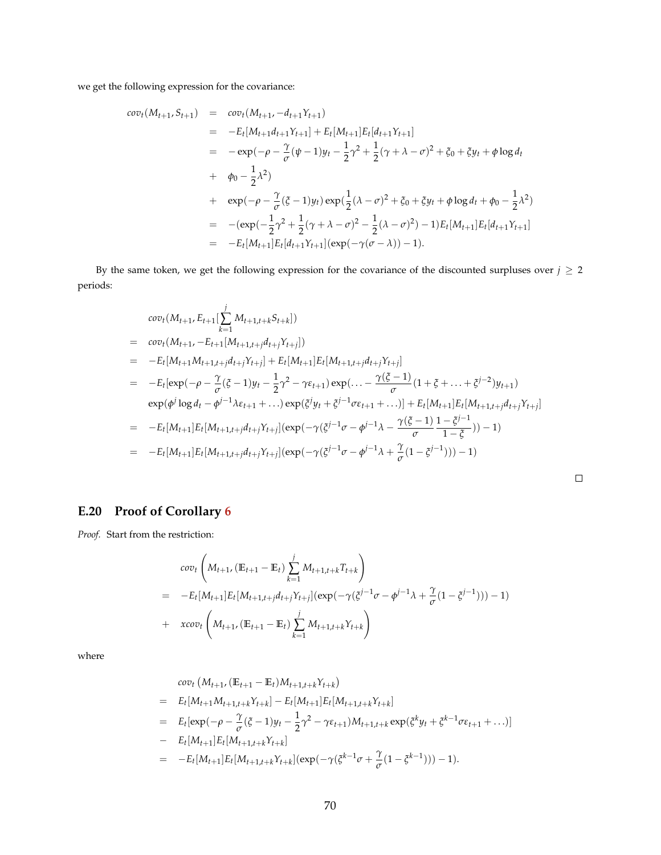we get the following expression for the covariance:

$$
cov_t(M_{t+1}, S_{t+1}) = cov_t(M_{t+1}, -d_{t+1}Y_{t+1})
$$
  
\n
$$
= -E_t[M_{t+1}d_{t+1}Y_{t+1}] + E_t[M_{t+1}]E_t[d_{t+1}Y_{t+1}]
$$
  
\n
$$
= -exp(-\rho - \frac{\gamma}{\sigma}(\psi - 1)y_t - \frac{1}{2}\gamma^2 + \frac{1}{2}(\gamma + \lambda - \sigma)^2 + \xi_0 + \xi y_t + \phi \log d_t
$$
  
\n
$$
+ \phi_0 - \frac{1}{2}\lambda^2)
$$
  
\n
$$
+ exp(-\rho - \frac{\gamma}{\sigma}(\xi - 1)y_t)exp(\frac{1}{2}(\lambda - \sigma)^2 + \xi_0 + \xi y_t + \phi \log d_t + \phi_0 - \frac{1}{2}\lambda^2)
$$
  
\n
$$
= -(exp(-\frac{1}{2}\gamma^2 + \frac{1}{2}(\gamma + \lambda - \sigma)^2 - \frac{1}{2}(\lambda - \sigma)^2) - 1)E_t[M_{t+1}]E_t[d_{t+1}Y_{t+1}]
$$
  
\n
$$
= -E_t[M_{t+1}]E_t[d_{t+1}Y_{t+1}](exp(-\gamma(\sigma - \lambda)) - 1).
$$

By the same token, we get the following expression for the covariance of the discounted surpluses over  $j \geq 2$ periods:

$$
cov_t(M_{t+1}, E_{t+1}[\sum_{k=1}^{j} M_{t+1,t+k}S_{t+k}])
$$
  
=  $cov_t(M_{t+1}, -E_{t+1}[M_{t+1,t+j}d_{t+j}Y_{t+j}])$   
=  $-E_t[M_{t+1}M_{t+1,t+j}d_{t+j}Y_{t+j}] + E_t[M_{t+1}]E_t[M_{t+1,t+j}d_{t+j}Y_{t+j}]$   
=  $-E_t[exp(-\rho - \frac{\gamma}{\sigma}(\xi - 1)y_t - \frac{1}{2}\gamma^2 - \gamma\epsilon_{t+1})exp(\dots - \frac{\gamma(\xi - 1)}{\sigma}(1 + \xi + \dots + \xi^{j-2})y_{t+1})$   
 $exp(\phi^j \log d_t - \phi^{j-1}\lambda\epsilon_{t+1} + \dots)exp(\xi^j y_t + \xi^{j-1}\sigma\epsilon_{t+1} + \dots)] + E_t[M_{t+1}]E_t[M_{t+1,t+j}d_{t+j}Y_{t+j}]$   
=  $-E_t[M_{t+1}]E_t[M_{t+1,t+j}d_{t+j}Y_{t+j}](exp(-\gamma(\xi^{j-1}\sigma - \phi^{j-1}\lambda - \frac{\gamma(\xi - 1)}{\sigma} \frac{1 - \xi^{j-1}}{1 - \xi})) - 1)$   
=  $-E_t[M_{t+1}]E_t[M_{t+1,t+j}d_{t+j}Y_{t+j}](exp(-\gamma(\xi^{j-1}\sigma - \phi^{j-1}\lambda + \frac{\gamma}{\sigma}(1 - \xi^{j-1}))) - 1)$ 

# **E.20 Proof of Corollary [6](#page-47-1)**

*Proof.* Start from the restriction:

$$
cov_t\left(M_{t+1}, (\mathbb{E}_{t+1} - \mathbb{E}_t) \sum_{k=1}^j M_{t+1,t+k} T_{t+k}\right)
$$
  
= 
$$
-E_t[M_{t+1}]E_t[M_{t+1,t+j}d_{t+j}Y_{t+j}](exp(-\gamma(\xi^{j-1}\sigma - \phi^{j-1}\lambda + \frac{\gamma}{\sigma}(1 - \xi^{j-1}))) - 1)
$$
  
+ 
$$
xcov_t\left(M_{t+1}, (\mathbb{E}_{t+1} - \mathbb{E}_t) \sum_{k=1}^j M_{t+1,t+k} Y_{t+k}\right)
$$

where

$$
cov_t (M_{t+1}, (\mathbb{E}_{t+1} - \mathbb{E}_t)M_{t+1,t+k}Y_{t+k})
$$
  
=  $E_t[M_{t+1}M_{t+1,t+k}Y_{t+k}] - E_t[M_{t+1}]E_t[M_{t+1,t+k}Y_{t+k}]$   
=  $E_t[exp(-\rho - \frac{\gamma}{\sigma}(\xi - 1)y_t - \frac{1}{2}\gamma^2 - \gamma\epsilon_{t+1})M_{t+1,t+k}exp(\xi^k y_t + \xi^{k-1}\sigma\epsilon_{t+1} + ...)]$   
-  $E_t[M_{t+1}]E_t[M_{t+1,t+k}Y_{t+k}]$   
=  $-E_t[M_{t+1}]E_t[M_{t+1,t+k}Y_{t+k}] (exp(-\gamma(\xi^{k-1}\sigma + \frac{\gamma}{\sigma}(1 - \xi^{k-1}))) - 1).$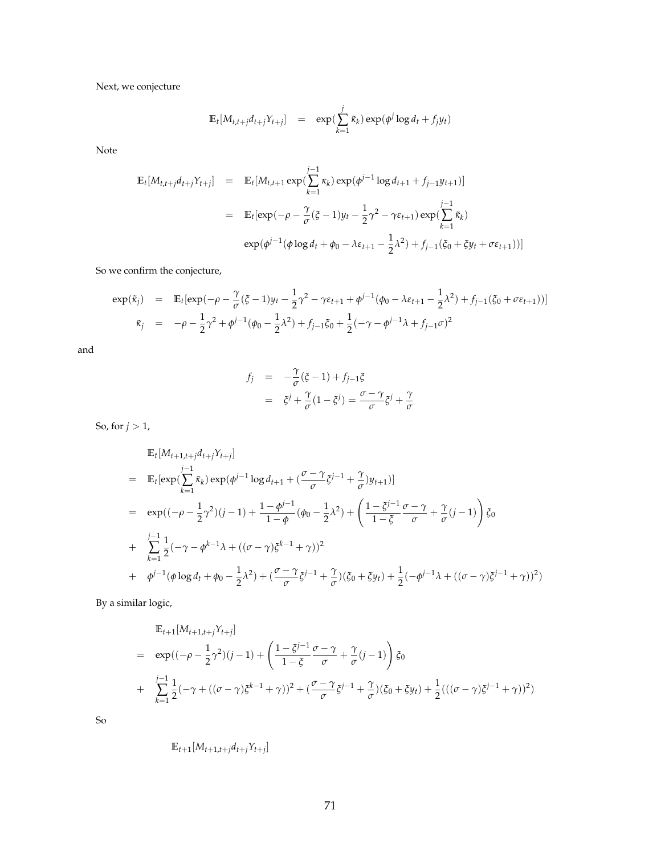Next, we conjecture

$$
\mathbb{E}_{t}[M_{t,t+j}d_{t+j}Y_{t+j}] = \exp(\sum_{k=1}^{j} \tilde{\kappa}_{k}) \exp(\phi^{j} \log d_{t} + f_{j}y_{t})
$$

Note

$$
\mathbb{E}_{t}[M_{t,t+j}d_{t+j}Y_{t+j}] = \mathbb{E}_{t}[M_{t,t+1} \exp(\sum_{k=1}^{j-1} \kappa_{k}) \exp(\phi^{j-1} \log d_{t+1} + f_{j-1}y_{t+1})]
$$
\n
$$
= \mathbb{E}_{t}[\exp(-\rho - \frac{\gamma}{\sigma}(\xi - 1)y_{t} - \frac{1}{2}\gamma^{2} - \gamma \varepsilon_{t+1}) \exp(\sum_{k=1}^{j-1} \tilde{\kappa}_{k})
$$
\n
$$
\exp(\phi^{j-1}(\phi \log d_{t} + \phi_{0} - \lambda \varepsilon_{t+1} - \frac{1}{2}\lambda^{2}) + f_{j-1}(\xi_{0} + \xi y_{t} + \sigma \varepsilon_{t+1}))]
$$

So we confirm the conjecture,

$$
\exp(\tilde{\kappa}_j) = \mathbb{E}_t[\exp(-\rho - \frac{\gamma}{\sigma}(\xi - 1)y_t - \frac{1}{2}\gamma^2 - \gamma \varepsilon_{t+1} + \phi^{j-1}(\phi_0 - \lambda \varepsilon_{t+1} - \frac{1}{2}\lambda^2) + f_{j-1}(\xi_0 + \sigma \varepsilon_{t+1}))]
$$
  

$$
\tilde{\kappa}_j = -\rho - \frac{1}{2}\gamma^2 + \phi^{j-1}(\phi_0 - \frac{1}{2}\lambda^2) + f_{j-1}\xi_0 + \frac{1}{2}(-\gamma - \phi^{j-1}\lambda + f_{j-1}\sigma)^2
$$

and

$$
f_j = -\frac{\gamma}{\sigma}(\xi - 1) + f_{j-1}\xi
$$
  
=  $\xi^j + \frac{\gamma}{\sigma}(1 - \xi^j) = \frac{\sigma - \gamma}{\sigma}\xi^j + \frac{\gamma}{\sigma}$ 

So, for  $j > 1$ ,

$$
\mathbb{E}_{t}[M_{t+1,t+j}d_{t+j}Y_{t+j}]
$$
\n
$$
= \mathbb{E}_{t}[\exp(\sum_{k=1}^{j-1}\tilde{\kappa}_{k})\exp(\phi^{j-1}\log d_{t+1} + (\frac{\sigma-\gamma}{\sigma}\zeta^{j-1} + \frac{\gamma}{\sigma})y_{t+1})]
$$
\n
$$
= \exp((- \rho - \frac{1}{2}\gamma^{2})(j-1) + \frac{1-\phi^{j-1}}{1-\phi}(\phi_{0} - \frac{1}{2}\lambda^{2}) + (\frac{1-\zeta^{j-1}}{1-\zeta}\frac{\sigma-\gamma}{\sigma} + \frac{\gamma}{\sigma}(j-1))\zeta_{0}
$$
\n
$$
+ \sum_{k=1}^{j-1}\frac{1}{2}(-\gamma-\phi^{k-1}\lambda + ((\sigma-\gamma)\zeta^{k-1}+\gamma))^{2}
$$
\n
$$
+ \phi^{j-1}(\phi \log d_{t} + \phi_{0} - \frac{1}{2}\lambda^{2}) + (\frac{\sigma-\gamma}{\sigma}\zeta^{j-1} + \frac{\gamma}{\sigma})(\zeta_{0} + \zeta y_{t}) + \frac{1}{2}(-\phi^{j-1}\lambda + ((\sigma-\gamma)\zeta^{j-1}+\gamma))^{2})
$$

By a similar logic,

$$
\mathbb{E}_{t+1}[M_{t+1,t+j}Y_{t+j}]
$$
\n
$$
= \exp((-\rho - \frac{1}{2}\gamma^2)(j-1) + \left(\frac{1-\xi^{j-1}}{1-\xi}\frac{\sigma-\gamma}{\sigma} + \frac{\gamma}{\sigma}(j-1)\right)\xi_0
$$
\n
$$
+ \sum_{k=1}^{j-1} \frac{1}{2}(-\gamma + ((\sigma - \gamma)\xi^{k-1} + \gamma))^2 + (\frac{\sigma-\gamma}{\sigma}\xi^{j-1} + \frac{\gamma}{\sigma})(\xi_0 + \xi y_t) + \frac{1}{2}(((\sigma - \gamma)\xi^{j-1} + \gamma))^2)
$$

So

$$
\mathbb{E}_{t+1}[M_{t+1,t+j}d_{t+j}Y_{t+j}]
$$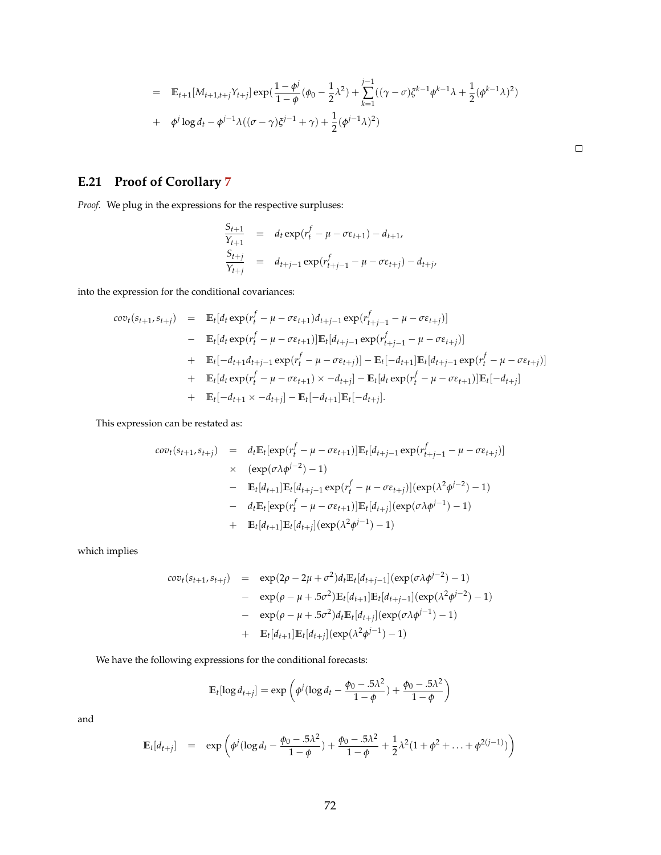$$
= \mathbb{E}_{t+1}[M_{t+1,t+j}Y_{t+j}] \exp(\frac{1-\phi^j}{1-\phi}(\phi_0 - \frac{1}{2}\lambda^2) + \sum_{k=1}^{j-1}((\gamma - \sigma)\xi^{k-1}\phi^{k-1}\lambda + \frac{1}{2}(\phi^{k-1}\lambda)^2)
$$
  
+  $\phi^j \log d_t - \phi^{j-1}\lambda((\sigma - \gamma)\xi^{j-1} + \gamma) + \frac{1}{2}(\phi^{j-1}\lambda)^2)$ 

 $\Box$ 

## **E.21 Proof of Corollary [7](#page-48-0)**

*Proof.* We plug in the expressions for the respective surpluses:

$$
\frac{S_{t+1}}{Y_{t+1}} = d_t \exp(r_t^f - \mu - \sigma \varepsilon_{t+1}) - d_{t+1},
$$
\n
$$
\frac{S_{t+j}}{Y_{t+j}} = d_{t+j-1} \exp(r_{t+j-1}^f - \mu - \sigma \varepsilon_{t+j}) - d_{t+j},
$$

into the expression for the conditional covariances:

$$
cov_t(s_{t+1}, s_{t+j}) = \mathbb{E}_t[d_t \exp(r_t^f - \mu - \sigma \varepsilon_{t+1})d_{t+j-1} \exp(r_{t+j-1}^f - \mu - \sigma \varepsilon_{t+j})]
$$
  
\n
$$
- \mathbb{E}_t[d_t \exp(r_t^f - \mu - \sigma \varepsilon_{t+1})]\mathbb{E}_t[d_{t+j-1} \exp(r_{t+j-1}^f - \mu - \sigma \varepsilon_{t+j})]
$$
  
\n
$$
+ \mathbb{E}_t[-d_{t+1}d_{t+j-1} \exp(r_t^f - \mu - \sigma \varepsilon_{t+j})] - \mathbb{E}_t[-d_{t+1}]\mathbb{E}_t[d_{t+j-1} \exp(r_t^f - \mu - \sigma \varepsilon_{t+j})]
$$
  
\n
$$
+ \mathbb{E}_t[d_t \exp(r_t^f - \mu - \sigma \varepsilon_{t+1}) \times -d_{t+j}] - \mathbb{E}_t[d_t \exp(r_t^f - \mu - \sigma \varepsilon_{t+1})]\mathbb{E}_t[-d_{t+j}]
$$
  
\n
$$
+ \mathbb{E}_t[-d_{t+1} \times -d_{t+j}] - \mathbb{E}_t[-d_{t+1}]\mathbb{E}_t[-d_{t+j}].
$$

This expression can be restated as:

$$
cov_t(s_{t+1}, s_{t+j}) = d_t \mathbb{E}_t[\exp(r_t^f - \mu - \sigma \varepsilon_{t+1})] \mathbb{E}_t[d_{t+j-1} \exp(r_{t+j-1}^f - \mu - \sigma \varepsilon_{t+j})]
$$
  
\n
$$
\times (\exp(\sigma \lambda \phi^{j-2}) - 1)
$$
  
\n
$$
- \mathbb{E}_t[d_{t+1}] \mathbb{E}_t[d_{t+j-1} \exp(r_t^f - \mu - \sigma \varepsilon_{t+j})] (\exp(\lambda^2 \phi^{j-2}) - 1)
$$
  
\n
$$
- d_t \mathbb{E}_t[\exp(r_t^f - \mu - \sigma \varepsilon_{t+1})] \mathbb{E}_t[d_{t+j}] (\exp(\sigma \lambda \phi^{j-1}) - 1)
$$
  
\n
$$
+ \mathbb{E}_t[d_{t+1}] \mathbb{E}_t[d_{t+j}] (\exp(\lambda^2 \phi^{j-1}) - 1)
$$

which implies

$$
cov_t(s_{t+1}, s_{t+j}) = \exp(2\rho - 2\mu + \sigma^2) d_t \mathbb{E}_t[d_{t+j-1}] (\exp(\sigma \lambda \phi^{j-2}) - 1)
$$
  
\n
$$
- \exp(\rho - \mu + .5\sigma^2) \mathbb{E}_t[d_{t+1}] \mathbb{E}_t[d_{t+j-1}] (\exp(\lambda^2 \phi^{j-2}) - 1)
$$
  
\n
$$
- \exp(\rho - \mu + .5\sigma^2) d_t \mathbb{E}_t[d_{t+j}] (\exp(\sigma \lambda \phi^{j-1}) - 1)
$$
  
\n
$$
+ \mathbb{E}_t[d_{t+1}] \mathbb{E}_t[d_{t+j}] (\exp(\lambda^2 \phi^{j-1}) - 1)
$$

We have the following expressions for the conditional forecasts:

$$
\mathbb{E}_{t}[\log d_{t+j}] = \exp\left(\phi^{j}(\log d_{t} - \frac{\phi_{0} - .5\lambda^{2}}{1 - \phi}) + \frac{\phi_{0} - .5\lambda^{2}}{1 - \phi}\right)
$$

and

$$
\mathbb{E}_{t}[d_{t+j}] = \exp \left( \phi^{j} (\log d_{t} - \frac{\phi_{0} - .5\lambda^{2}}{1 - \phi}) + \frac{\phi_{0} - .5\lambda^{2}}{1 - \phi} + \frac{1}{2}\lambda^{2} (1 + \phi^{2} + \ldots + \phi^{2(j-1)}) \right)
$$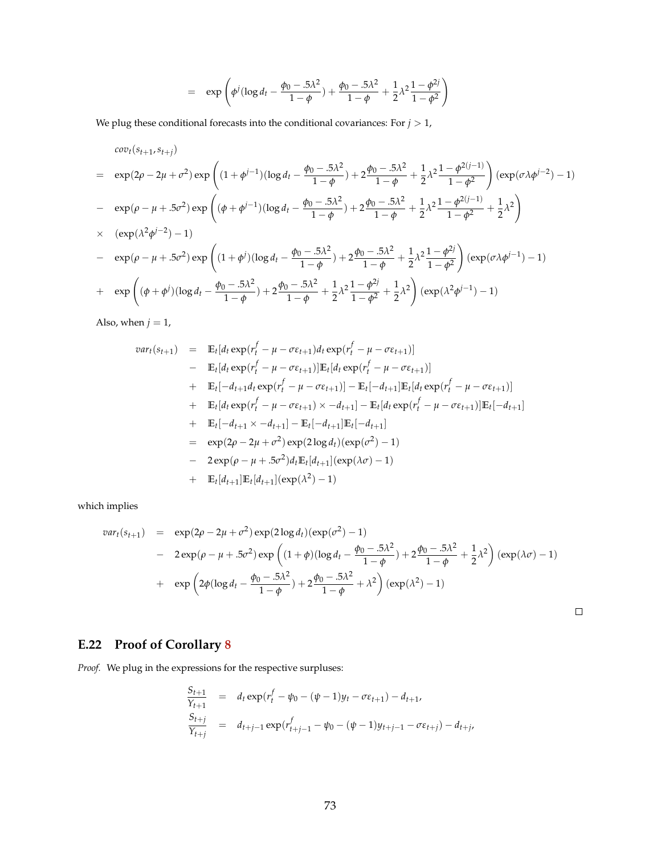$$
= \exp \left( \phi^j (\log d_t - \frac{\phi_0 - .5\lambda^2}{1 - \phi}) + \frac{\phi_0 - .5\lambda^2}{1 - \phi} + \frac{1}{2}\lambda^2 \frac{1 - \phi^{2j}}{1 - \phi^2} \right)
$$

We plug these conditional forecasts into the conditional covariances: For  $j>1,$ 

$$
cov_t(s_{t+1}, s_{t+j})
$$
\n
$$
= \exp(2\rho - 2\mu + \sigma^2) \exp\left((1 + \phi^{j-1})(\log d_t - \frac{\phi_0 - 5\lambda^2}{1 - \phi}) + 2\frac{\phi_0 - 5\lambda^2}{1 - \phi} + \frac{1}{2}\lambda^2 \frac{1 - \phi^{2(j-1)}}{1 - \phi^2}\right) (\exp(\sigma \lambda \phi^{j-2}) - 1)
$$
\n
$$
- \exp(\rho - \mu + 5\sigma^2) \exp\left((\phi + \phi^{j-1})(\log d_t - \frac{\phi_0 - 5\lambda^2}{1 - \phi}) + 2\frac{\phi_0 - 5\lambda^2}{1 - \phi} + \frac{1}{2}\lambda^2 \frac{1 - \phi^{2(j-1)}}{1 - \phi^2} + \frac{1}{2}\lambda^2\right)
$$
\n
$$
\times \exp(\lambda^2 \phi^{j-2}) - 1)
$$
\n
$$
- \exp(\rho - \mu + 5\sigma^2) \exp\left((1 + \phi^j)(\log d_t - \frac{\phi_0 - 5\lambda^2}{1 - \phi}) + 2\frac{\phi_0 - 5\lambda^2}{1 - \phi} + \frac{1}{2}\lambda^2 \frac{1 - \phi^{2j}}{1 - \phi^2}\right) (\exp(\sigma \lambda \phi^{j-1}) - 1)
$$
\n
$$
+ \exp\left((\phi + \phi^j)(\log d_t - \frac{\phi_0 - 5\lambda^2}{1 - \phi}) + 2\frac{\phi_0 - 5\lambda^2}{1 - \phi} + \frac{1}{2}\lambda^2 \frac{1 - \phi^{2j}}{1 - \phi^2} + \frac{1}{2}\lambda^2\right) (\exp(\lambda^2 \phi^{j-1}) - 1)
$$

Also, when  $j = 1$ ,

$$
var_t(s_{t+1}) = \mathbb{E}_t[d_t \exp(r_t^f - \mu - \sigma \varepsilon_{t+1})d_t \exp(r_t^f - \mu - \sigma \varepsilon_{t+1})]
$$
  
\n
$$
- \mathbb{E}_t[d_t \exp(r_t^f - \mu - \sigma \varepsilon_{t+1})]\mathbb{E}_t[d_t \exp(r_t^f - \mu - \sigma \varepsilon_{t+1})]
$$
  
\n
$$
+ \mathbb{E}_t[-d_{t+1}d_t \exp(r_t^f - \mu - \sigma \varepsilon_{t+1})] - \mathbb{E}_t[-d_{t+1}]\mathbb{E}_t[d_t \exp(r_t^f - \mu - \sigma \varepsilon_{t+1})]
$$
  
\n
$$
+ \mathbb{E}_t[d_t \exp(r_t^f - \mu - \sigma \varepsilon_{t+1}) \times -d_{t+1}] - \mathbb{E}_t[d_t \exp(r_t^f - \mu - \sigma \varepsilon_{t+1})]\mathbb{E}_t[-d_{t+1}]
$$
  
\n
$$
+ \mathbb{E}_t[-d_{t+1} \times -d_{t+1}] - \mathbb{E}_t[-d_{t+1}]\mathbb{E}_t[-d_{t+1}]
$$
  
\n
$$
= \exp(2\rho - 2\mu + \sigma^2) \exp(2\log d_t)(\exp(\sigma^2) - 1)
$$
  
\n
$$
- 2 \exp(\rho - \mu + .5\sigma^2)d_t\mathbb{E}_t[d_{t+1}](\exp(\lambda \sigma) - 1)
$$
  
\n
$$
+ \mathbb{E}_t[d_{t+1}]\mathbb{E}_t[d_{t+1}](\exp(\lambda^2) - 1)
$$

which implies

$$
var_t(s_{t+1}) = \exp(2\rho - 2\mu + \sigma^2) \exp(2\log d_t)(\exp(\sigma^2) - 1)
$$
  
- 2 exp(\rho - \mu + .5\sigma^2) exp ((1 + \phi)(\log d\_t - \frac{\phi\_0 - .5\lambda^2}{1 - \phi}) + 2\frac{\phi\_0 - .5\lambda^2}{1 - \phi} + \frac{1}{2}\lambda^2) (exp(\lambda\sigma) - 1)  
+ exp (2\phi(\log d\_t - \frac{\phi\_0 - .5\lambda^2}{1 - \phi}) + 2\frac{\phi\_0 - .5\lambda^2}{1 - \phi} + \lambda^2) (exp(\lambda^2) - 1)

 $\Box$ 

## **E.22 Proof of Corollary [8](#page-48-1)**

*Proof.* We plug in the expressions for the respective surpluses:

$$
\frac{S_{t+1}}{Y_{t+1}} = d_t \exp(r_t^f - \psi_0 - (\psi - 1)y_t - \sigma \varepsilon_{t+1}) - d_{t+1},
$$
\n
$$
\frac{S_{t+j}}{Y_{t+j}} = d_{t+j-1} \exp(r_{t+j-1}^f - \psi_0 - (\psi - 1)y_{t+j-1} - \sigma \varepsilon_{t+j}) - d_{t+j}.
$$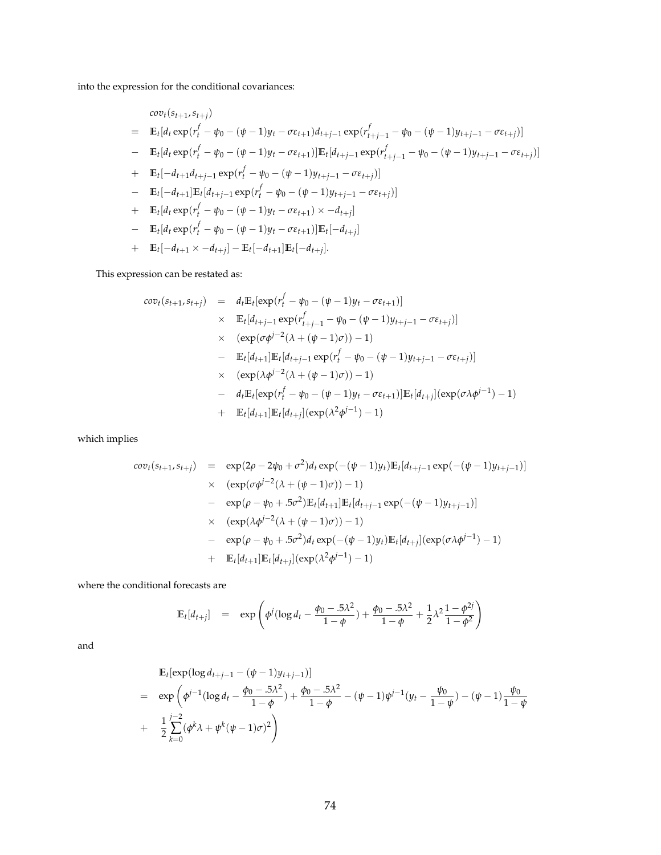into the expression for the conditional covariances:

$$
cov_t(s_{t+1}, s_{t+j})
$$
\n
$$
= \mathbb{E}_t [d_t \exp(r_t^f - \psi_0 - (\psi - 1)y_t - \sigma \varepsilon_{t+1}) d_{t+j-1} \exp(r_{t+j-1}^f - \psi_0 - (\psi - 1)y_{t+j-1} - \sigma \varepsilon_{t+j})]
$$
\n
$$
- \mathbb{E}_t [d_t \exp(r_t^f - \psi_0 - (\psi - 1)y_t - \sigma \varepsilon_{t+1})] \mathbb{E}_t [d_{t+j-1} \exp(r_{t+j-1}^f - \psi_0 - (\psi - 1)y_{t+j-1} - \sigma \varepsilon_{t+j})]
$$
\n
$$
+ \mathbb{E}_t [-d_{t+1}d_{t+j-1} \exp(r_t^f - \psi_0 - (\psi - 1)y_{t+j-1} - \sigma \varepsilon_{t+j})]
$$
\n
$$
- \mathbb{E}_t [-d_{t+1}] \mathbb{E}_t [d_t \exp(r_t^f - \psi_0 - (\psi - 1)y_t - \sigma \varepsilon_{t+1}) \times -d_{t+j}]
$$
\n
$$
+ \mathbb{E}_t [d_t \exp(r_t^f - \psi_0 - (\psi - 1)y_t - \sigma \varepsilon_{t+1})] \mathbb{E}_t [-d_{t+j}]
$$
\n
$$
+ \mathbb{E}_t [d_t \exp(r_t^f - \psi_0 - (\psi - 1)y_t - \sigma \varepsilon_{t+1})] \mathbb{E}_t [-d_{t+j}]
$$
\n
$$
+ \mathbb{E}_t [-d_{t+1} \times -d_{t+j}] - \mathbb{E}_t [-d_{t+1}] \mathbb{E}_t [-d_{t+j}].
$$

This expression can be restated as:

$$
cov_t(s_{t+1}, s_{t+j}) = d_t \mathbb{E}_t[\exp(r_t^f - \psi_0 - (\psi - 1)y_t - \sigma \varepsilon_{t+1})]
$$
  
\n
$$
\times \mathbb{E}_t[d_{t+j-1} \exp(r_{t+j-1}^f - \psi_0 - (\psi - 1)y_{t+j-1} - \sigma \varepsilon_{t+j})]
$$
  
\n
$$
\times (\exp(\sigma \phi^{j-2}(\lambda + (\psi - 1)\sigma)) - 1)
$$
  
\n
$$
- \mathbb{E}_t[d_{t+1}] \mathbb{E}_t[d_{t+j-1} \exp(r_t^f - \psi_0 - (\psi - 1)y_{t+j-1} - \sigma \varepsilon_{t+j})]
$$
  
\n
$$
\times (\exp(\lambda \phi^{j-2}(\lambda + (\psi - 1)\sigma)) - 1)
$$
  
\n
$$
- d_t \mathbb{E}_t[\exp(r_t^f - \psi_0 - (\psi - 1)y_t - \sigma \varepsilon_{t+1})] \mathbb{E}_t[d_{t+j}] (\exp(\sigma \lambda \phi^{j-1}) - 1)
$$
  
\n
$$
+ \mathbb{E}_t[d_{t+1}] \mathbb{E}_t[d_{t+j}] (\exp(\lambda^2 \phi^{j-1}) - 1)
$$

which implies

$$
cov_{t}(s_{t+1}, s_{t+j}) = \exp(2\rho - 2\psi_{0} + \sigma^{2})d_{t} \exp(-( \psi - 1)y_{t}) \mathbb{E}_{t}[d_{t+j-1} \exp(-( \psi - 1)y_{t+j-1})]
$$
  
\n
$$
\times (\exp(\sigma \phi^{j-2}(\lambda + (\psi - 1)\sigma)) - 1)
$$
  
\n
$$
- \exp(\rho - \psi_{0} + .5\sigma^{2}) \mathbb{E}_{t}[d_{t+1}] \mathbb{E}_{t}[d_{t+j-1} \exp(-( \psi - 1)y_{t+j-1})]
$$
  
\n
$$
\times (\exp(\lambda \phi^{j-2}(\lambda + (\psi - 1)\sigma)) - 1)
$$
  
\n
$$
- \exp(\rho - \psi_{0} + .5\sigma^{2})d_{t} \exp(-( \psi - 1)y_{t}) \mathbb{E}_{t}[d_{t+j}] (\exp(\sigma \lambda \phi^{j-1}) - 1)
$$
  
\n
$$
+ \mathbb{E}_{t}[d_{t+1}] \mathbb{E}_{t}[d_{t+j}] (\exp(\lambda^{2} \phi^{j-1}) - 1)
$$

where the conditional forecasts are

$$
\mathbb{E}_{t}[d_{t+j}] = \exp \left( \phi^{j} (\log d_{t} - \frac{\phi_{0} - .5\lambda^{2}}{1 - \phi}) + \frac{\phi_{0} - .5\lambda^{2}}{1 - \phi} + \frac{1}{2}\lambda^{2} \frac{1 - \phi^{2j}}{1 - \phi^{2}} \right)
$$

and

$$
\mathbb{E}_{t}[\exp(\log d_{t+j-1} - (\psi - 1)y_{t+j-1})]
$$
\n
$$
= \exp\left(\phi^{j-1}(\log d_{t} - \frac{\phi_{0} - 5\lambda^{2}}{1 - \phi}) + \frac{\phi_{0} - 5\lambda^{2}}{1 - \phi} - (\psi - 1)\psi^{j-1}(y_{t} - \frac{\psi_{0}}{1 - \psi}) - (\psi - 1)\frac{\psi_{0}}{1 - \psi}\right)
$$
\n
$$
+ \frac{1}{2}\sum_{k=0}^{j-2}(\phi^{k}\lambda + \psi^{k}(\psi - 1)\sigma)^{2}\right)
$$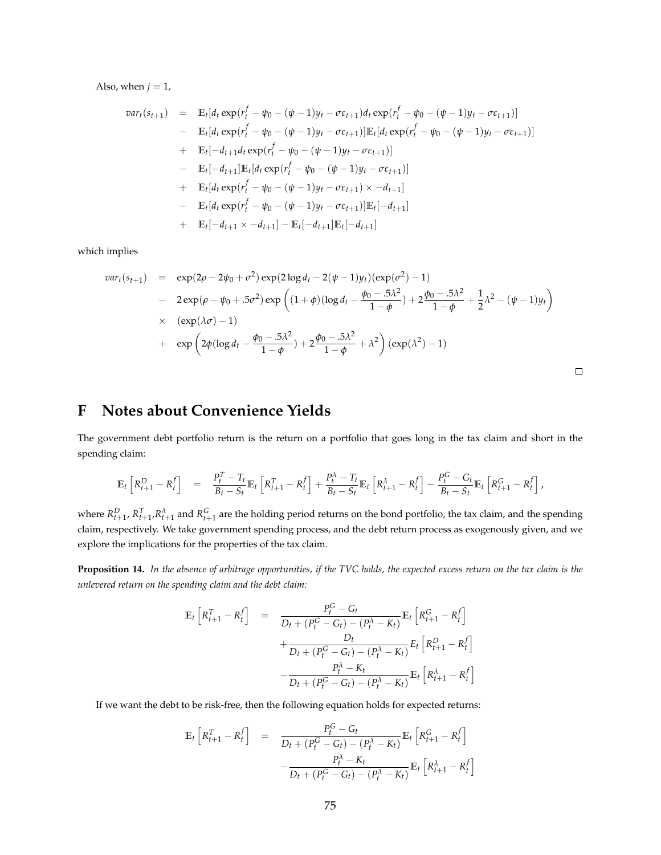Also, when  $j = 1$ ,

$$
var_t(s_{t+1}) = \mathbb{E}_t[d_t \exp(r_t^f - \psi_0 - (\psi - 1)y_t - \sigma \varepsilon_{t+1})d_t \exp(r_t^f - \psi_0 - (\psi - 1)y_t - \sigma \varepsilon_{t+1})]
$$
  
\n
$$
- \mathbb{E}_t[d_t \exp(r_t^f - \psi_0 - (\psi - 1)y_t - \sigma \varepsilon_{t+1})]\mathbb{E}_t[d_t \exp(r_t^f - \psi_0 - (\psi - 1)y_t - \sigma \varepsilon_{t+1})]
$$
  
\n
$$
+ \mathbb{E}_t[-d_{t+1}d_t \exp(r_t^f - \psi_0 - (\psi - 1)y_t - \sigma \varepsilon_{t+1})]
$$
  
\n
$$
- \mathbb{E}_t[-d_{t+1}]\mathbb{E}_t[d_t \exp(r_t^f - \psi_0 - (\psi - 1)y_t - \sigma \varepsilon_{t+1})]
$$
  
\n
$$
+ \mathbb{E}_t[d_t \exp(r_t^f - \psi_0 - (\psi - 1)y_t - \sigma \varepsilon_{t+1}) \times -d_{t+1}]
$$
  
\n
$$
- \mathbb{E}_t[d_t \exp(r_t^f - \psi_0 - (\psi - 1)y_t - \sigma \varepsilon_{t+1})]\mathbb{E}_t[-d_{t+1}]
$$
  
\n
$$
+ \mathbb{E}_t[-d_{t+1} \times -d_{t+1}] - \mathbb{E}_t[-d_{t+1}]\mathbb{E}_t[-d_{t+1}]
$$

which implies

$$
var_t(s_{t+1}) = \exp(2\rho - 2\psi_0 + \sigma^2) \exp(2\log d_t - 2(\psi - 1)y_t)(\exp(\sigma^2) - 1)
$$
  
- 
$$
2 \exp(\rho - \psi_0 + .5\sigma^2) \exp\left((1 + \phi)(\log d_t - \frac{\phi_0 - .5\lambda^2}{1 - \phi}) + 2\frac{\phi_0 - .5\lambda^2}{1 - \phi} + \frac{1}{2}\lambda^2 - (\psi - 1)y_t\right)
$$
  

$$
\times (\exp(\lambda\sigma) - 1)
$$
  
+ 
$$
\exp\left(2\phi(\log d_t - \frac{\phi_0 - .5\lambda^2}{1 - \phi}) + 2\frac{\phi_0 - .5\lambda^2}{1 - \phi} + \lambda^2\right)(\exp(\lambda^2) - 1)
$$

 $\Box$ 

## **F Notes about Convenience Yields**

The government debt portfolio return is the return on a portfolio that goes long in the tax claim and short in the spending claim:

$$
\mathbb{E}_{t}\left[R_{t+1}^{D}-R_{t}^{f}\right] = \frac{P_{t}^{T}-T_{t}}{B_{t}-S_{t}}\mathbb{E}_{t}\left[R_{t+1}^{T}-R_{t}^{f}\right]+\frac{P_{t}^{\lambda}-T_{t}}{B_{t}-S_{t}}\mathbb{E}_{t}\left[R_{t+1}^{\lambda}-R_{t}^{f}\right]-\frac{P_{t}^{G}-G_{t}}{B_{t}-S_{t}}\mathbb{E}_{t}\left[R_{t+1}^{G}-R_{t}^{f}\right],
$$

where  $R_{t+1}^D$ ,  $R_{t+1}^T$ , $R_{t+1}^{\lambda}$  and  $R_{t+1}^G$  are the holding period returns on the bond portfolio, the tax claim, and the spending claim, respectively. We take government spending process, and the debt return process as exogenously given, and we explore the implications for the properties of the tax claim.

**Proposition 14.** *In the absence of arbitrage opportunities, if the TVC holds, the expected excess return on the tax claim is the unlevered return on the spending claim and the debt claim:*

$$
\mathbb{E}_{t}\left[R_{t+1}^{T}-R_{t}^{f}\right] = \frac{P_{t}^{G}-G_{t}}{D_{t}+(P_{t}^{G}-G_{t})-(P_{t}^{\lambda}-K_{t})}\mathbb{E}_{t}\left[R_{t+1}^{G}-R_{t}^{f}\right] + \frac{D_{t}}{D_{t}+(P_{t}^{G}-G_{t})-(P_{t}^{\lambda}-K_{t})}E_{t}\left[R_{t+1}^{D}-R_{t}^{f}\right] - \frac{P_{t}^{\lambda}-K_{t}}{D_{t}+(P_{t}^{G}-G_{t})-(P_{t}^{\lambda}-K_{t})}\mathbb{E}_{t}\left[R_{t+1}^{\lambda}-R_{t}^{f}\right]
$$

If we want the debt to be risk-free, then the following equation holds for expected returns:

$$
\mathbb{E}_{t}\left[R_{t+1}^{T} - R_{t}^{f}\right] = \frac{P_{t}^{G} - G_{t}}{D_{t} + (P_{t}^{G} - G_{t}) - (P_{t}^{\lambda} - K_{t})}\mathbb{E}_{t}\left[R_{t+1}^{G} - R_{t}^{f}\right] - \frac{P_{t}^{\lambda} - K_{t}}{D_{t} + (P_{t}^{G} - G_{t}) - (P_{t}^{\lambda} - K_{t})}\mathbb{E}_{t}\left[R_{t+1}^{\lambda} - R_{t}^{f}\right]
$$